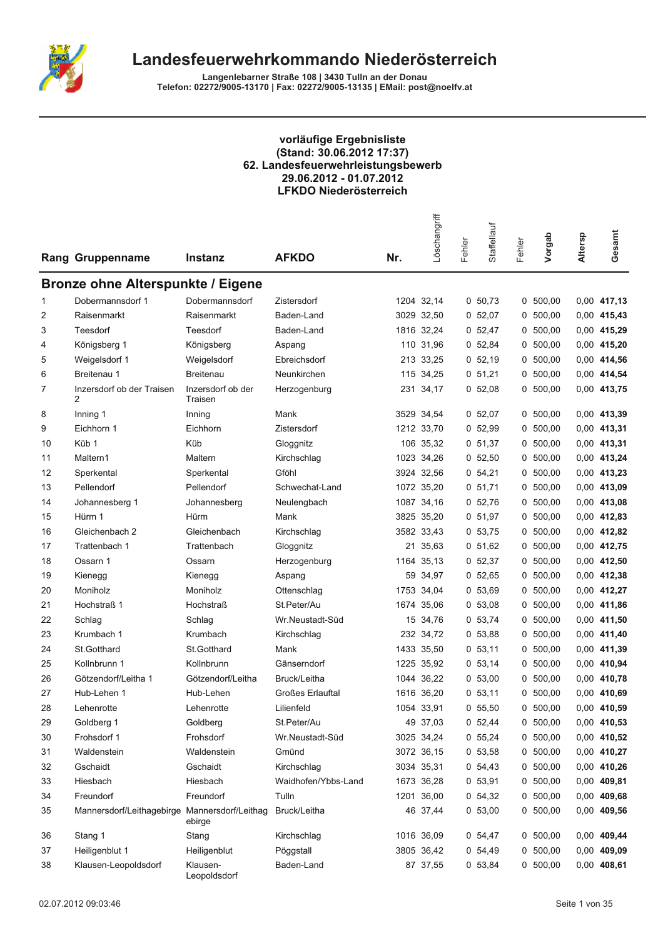

Langenlebarner Straße 108 | 3430 Tulln an der Donau<br>Telefon: 02272/9005-13170 | Fax: 02272/9005-13135 | EMail: post@noelfv.at

# vorläufige Ergebnisliste<br>(Stand: 30.06.2012 17:37) 62. Landesfeuerwehrleistungsbewerb<br>29.06.2012 - 01.07.2012 **LFKDO Niederösterreich**

|    | <b>Rang Gruppenname</b>                       | <b>Instanz</b>               | <b>AFKDO</b>            | Nr.  | Löschangriff | Fehler | Staffellauf | Fehler | Vorgab     | Altersp | Gesamt        |
|----|-----------------------------------------------|------------------------------|-------------------------|------|--------------|--------|-------------|--------|------------|---------|---------------|
|    | <b>Bronze ohne Alterspunkte / Eigene</b>      |                              |                         |      |              |        |             |        |            |         |               |
| 1  | Dobermannsdorf 1                              | Dobermannsdorf               | Zistersdorf             |      | 1204 32,14   |        | 0, 50, 73   |        | 0, 500, 00 |         | 0,00 417,13   |
| 2  | Raisenmarkt                                   | Raisenmarkt                  | Baden-Land              |      | 3029 32,50   |        | 0, 52, 07   | 0      | 500,00     |         | 0,00 415,43   |
| 3  | Teesdorf                                      | Teesdorf                     | Baden-Land              |      | 1816 32,24   |        | 0, 52, 47   | 0      | 500,00     |         | 0,00 415,29   |
| 4  | Königsberg 1                                  | Königsberg                   | Aspang                  |      | 110 31,96    |        | 0, 52, 84   | 0      | 500,00     |         | 0,00 415,20   |
| 5  | Weigelsdorf 1                                 | Weigelsdorf                  | Ebreichsdorf            |      | 213 33,25    |        | 0, 52, 19   | 0      | 500,00     |         | 0,00 414,56   |
| 6  | Breitenau 1                                   | <b>Breitenau</b>             | Neunkirchen             |      | 115 34,25    |        | 0, 51, 21   | 0      | 500,00     |         | 0,00 414,54   |
| 7  | Inzersdorf ob der Traisen<br>2                | Inzersdorf ob der<br>Traisen | Herzogenburg            |      | 231 34,17    |        | 0, 52, 08   | 0      | 500,00     |         | 0,00 413,75   |
| 8  | Inning 1                                      | Inning                       | Mank                    |      | 3529 34,54   |        | 0, 52, 07   | 0      | 500,00     |         | 0,00 413,39   |
| 9  | Eichhorn 1                                    | Eichhorn                     | Zistersdorf             |      | 1212 33,70   |        | 0 52,99     | 0      | 500,00     |         | 0,00 413,31   |
| 10 | Küb 1                                         | Küb                          | Gloggnitz               |      | 106 35,32    |        | 0, 51, 37   | 0      | 500,00     |         | 0,00 413,31   |
| 11 | Maltern1                                      | Maltern                      | Kirchschlag             |      | 1023 34,26   |        | 0, 52, 50   | 0      | 500,00     |         | 0,00 413,24   |
| 12 | Sperkental                                    | Sperkental                   | Gföhl                   |      | 3924 32,56   |        | 0, 54, 21   | 0      | 500,00     |         | 0,00 413,23   |
| 13 | Pellendorf                                    | Pellendorf                   | Schwechat-Land          |      | 1072 35,20   |        | 0, 51, 71   |        | 0, 500, 00 |         | 0,00 413,09   |
| 14 | Johannesberg 1                                | Johannesberg                 | Neulengbach             |      | 1087 34,16   |        | 0, 52, 76   | 0      | 500,00     |         | 0,00 413,08   |
| 15 | Hürm 1                                        | Hürm                         | Mank                    |      | 3825 35,20   |        | 0, 51, 97   | 0      | 500,00     |         | 0,00 412,83   |
| 16 | Gleichenbach 2                                | Gleichenbach                 | Kirchschlag             |      | 3582 33,43   |        | 0, 53, 75   | 0      | 500,00     |         | 0,00 412,82   |
| 17 | Trattenbach 1                                 | Trattenbach                  | Gloggnitz               |      | 21 35,63     |        | 0, 51, 62   | 0      | 500,00     |         | 0,00 412,75   |
| 18 | Ossarn 1                                      | Ossarn                       | Herzogenburg            |      | 1164 35,13   |        | 0, 52, 37   | 0      | 500,00     |         | 0,00 412,50   |
| 19 | Kienegg                                       | Kienegg                      | Aspang                  |      | 59 34,97     |        | 0, 52, 65   | 0      | 500,00     |         | 0,00 412,38   |
| 20 | Moniholz                                      | Moniholz                     | Ottenschlag             | 1753 | 34,04        |        | 0, 53, 69   | 0      | 500,00     |         | 0,00 412,27   |
| 21 | Hochstraß 1                                   | <b>Hochstraß</b>             | St.Peter/Au             |      | 1674 35,06   |        | 0, 53, 08   | 0      | 500,00     |         | 0,00 411,86   |
| 22 | Schlag                                        | Schlag                       | Wr.Neustadt-Süd         |      | 15 34,76     |        | 0 53,74     | 0      | 500,00     |         | 0,00 411,50   |
| 23 | Krumbach 1                                    | Krumbach                     | Kirchschlag             |      | 232 34,72    |        | 0, 53, 88   | 0      | 500,00     |         | 0,00 411,40   |
| 24 | St.Gotthard                                   | St.Gotthard                  | Mank                    |      | 1433 35,50   |        | 0, 53, 11   | 0      | 500,00     |         | 0,00 411,39   |
| 25 | Kollnbrunn 1                                  | Kollnbrunn                   | Gänserndorf             |      | 1225 35,92   |        | 0, 53, 14   | 0      | 500,00     |         | 0,00 410,94   |
| 26 | Götzendorf/Leitha 1                           | Götzendorf/Leitha            | Bruck/Leitha            |      | 1044 36,22   |        | 0, 53, 00   | 0      | 500,00     |         | 0,00 410,78   |
| 27 | Hub-Lehen 1                                   | Hub-Lehen                    | <b>Großes Erlauftal</b> |      | 1616 36,20   |        | 0, 53, 11   | 0      | 500,00     |         | 0,00 410,69   |
| 28 | Lehenrotte                                    | Lehenrotte                   | Lilienfeld              |      | 1054 33,91   |        | 0, 55, 50   |        | 0 500,00   |         | 0,00 410,59   |
| 29 | Goldberg 1                                    | Goldberg                     | St.Peter/Au             |      | 49 37,03     |        | 0, 52, 44   |        | 0, 500, 00 |         | 0,00 410,53   |
| 30 | Frohsdorf 1                                   | Frohsdorf                    | Wr.Neustadt-Süd         |      | 3025 34,24   |        | 0, 55, 24   |        | 0, 500, 00 |         | 0,00 410,52   |
| 31 | Waldenstein                                   | Waldenstein                  | Gmünd                   |      | 3072 36,15   |        | 0, 53, 58   |        | 0, 500, 00 |         | 0,00 410,27   |
| 32 | Gschaidt                                      | Gschaidt                     | Kirchschlag             |      | 3034 35,31   |        | 0, 54, 43   |        | 0, 500, 00 |         | 0,00 410,26   |
| 33 | Hiesbach                                      | Hiesbach                     | Waidhofen/Ybbs-Land     |      | 1673 36,28   |        | 0, 53, 91   |        | 0, 500, 00 |         | 0,00 409,81   |
| 34 | Freundorf                                     | Freundorf                    | Tulln                   |      | 1201 36,00   |        | 0, 54, 32   | 0      | 500,00     |         | 0,00 409,68   |
| 35 | Mannersdorf/Leithagebirge Mannersdorf/Leithag | ebirge                       | Bruck/Leitha            |      | 46 37,44     |        | 0, 53, 00   |        | 0, 500, 00 |         | 0,00 409,56   |
| 36 | Stang 1                                       | Stang                        | Kirchschlag             |      | 1016 36,09   |        | 0, 54, 47   |        | 0, 500, 00 |         | 0,00 409,44   |
| 37 | Heiligenblut 1                                | Heiligenblut                 | Pöggstall               |      | 3805 36,42   |        | 0, 54, 49   |        | 0, 500, 00 |         | $0,00$ 409,09 |
| 38 | Klausen-Leopoldsdorf                          | Klausen-<br>Leopoldsdorf     | Baden-Land              |      | 87 37,55     |        | 0, 53, 84   |        | 0 500,00   |         | 0,00 408,61   |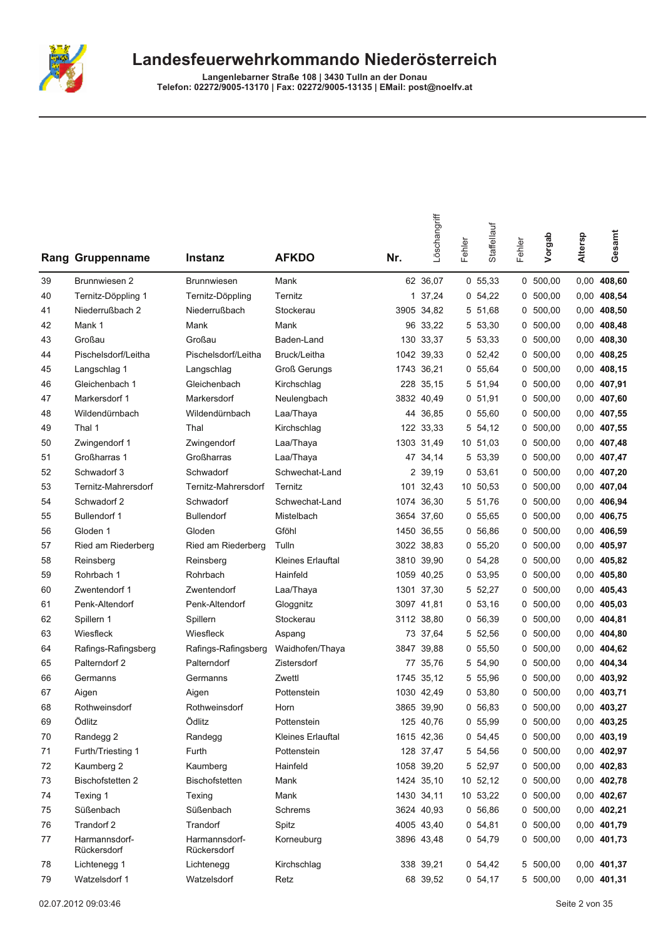

|    | <b>Rang Gruppenname</b>      | <b>Instanz</b>               | <b>AFKDO</b>             | Nr.  | Löschangriff | Fehler | Staffellauf | Fehler | Vorgab     | Altersp | Gesamt      |
|----|------------------------------|------------------------------|--------------------------|------|--------------|--------|-------------|--------|------------|---------|-------------|
| 39 | Brunnwiesen 2                | <b>Brunnwiesen</b>           | Mank                     |      | 62 36,07     |        | 0, 55, 33   |        | 0, 500, 00 | 0,00    | 408,60      |
| 40 | Ternitz-Döppling 1           | Ternitz-Döppling             | Ternitz                  | 1    | 37,24        |        | 0, 54, 22   | 0      | 500,00     | 0,00    | 408,54      |
| 41 | Niederrußbach 2              | Niederrußbach                | Stockerau                | 3905 | 34,82        |        | 5 51,68     | 0      | 500,00     | 0,00    | 408,50      |
| 42 | Mank 1                       | Mank                         | Mank                     |      | 96 33,22     |        | 5 53,30     | 0      | 500,00     | 0,00    | 408,48      |
| 43 | Großau                       | Großau                       | Baden-Land               |      | 130 33,37    |        | 5 53,33     | 0      | 500,00     | 0,00    | 408,30      |
| 44 | Pischelsdorf/Leitha          | Pischelsdorf/Leitha          | Bruck/Leitha             |      | 1042 39,33   |        | 0, 52, 42   |        | 0, 500, 00 | 0,00    | 408,25      |
| 45 | Langschlag 1                 | Langschlag                   | <b>Groß Gerungs</b>      |      | 1743 36,21   |        | 0, 55, 64   | 0      | 500,00     | 0,00    | 408,15      |
| 46 | Gleichenbach 1               | Gleichenbach                 | Kirchschlag              | 228  | 35,15        |        | 5 51,94     | 0      | 500,00     | 0,00    | 407,91      |
| 47 | Markersdorf 1                | Markersdorf                  | Neulengbach              |      | 3832 40,49   |        | 0, 51, 91   | 0      | 500,00     | 0,00    | 407,60      |
| 48 | Wildendürnbach               | Wildendürnbach               | Laa/Thaya                | 44   | 36,85        |        | 0, 55, 60   | 0      | 500,00     | 0,00    | 407,55      |
| 49 | Thal 1                       | Thal                         | Kirchschlag              |      | 122 33,33    |        | 5 54,12     | 0      | 500,00     | 0,00    | 407,55      |
| 50 | Zwingendorf 1                | Zwingendorf                  | Laa/Thaya                |      | 1303 31,49   |        | 10 51,03    | 0      | 500,00     | 0,00    | 407,48      |
| 51 | Großharras 1                 | Großharras                   | Laa/Thaya                | 47   | 34,14        |        | 5 53,39     | 0      | 500,00     | 0,00    | 407,47      |
| 52 | Schwadorf 3                  | Schwadorf                    | Schwechat-Land           |      | 2 39,19      |        | 0, 53, 61   | 0      | 500,00     | 0,00    | 407,20      |
| 53 | Ternitz-Mahrersdorf          | Ternitz-Mahrersdorf          | Ternitz                  | 101  | 32,43        |        | 10 50,53    | 0      | 500,00     | 0,00    | 407,04      |
| 54 | Schwadorf 2                  | Schwadorf                    | Schwechat-Land           | 1074 | 36,30        |        | 5 51.76     |        | 0, 500, 00 | 0,00    | 406,94      |
| 55 | Bullendorf 1                 | <b>Bullendorf</b>            | Mistelbach               |      | 3654 37.60   |        | 0, 55, 65   | 0      | 500,00     | 0,00    | 406,75      |
| 56 | Gloden 1                     | Gloden                       | Gföhl                    | 1450 | 36,55        |        | 0, 56, 86   | 0      | 500,00     | 0,00    | 406,59      |
| 57 | Ried am Riederberg           | Ried am Riederberg           | Tulln                    |      | 3022 38,83   |        | 0, 55, 20   | 0      | 500,00     | 0,00    | 405,97      |
| 58 | Reinsberg                    | Reinsberg                    | <b>Kleines Erlauftal</b> | 3810 | 39,90        |        | 0, 54, 28   | 0      | 500,00     | 0,00    | 405,82      |
| 59 | Rohrbach 1                   | Rohrbach                     | Hainfeld                 |      | 1059 40,25   |        | 0, 53, 95   | 0      | 500,00     | 0,00    | 405,80      |
| 60 | Zwentendorf 1                | Zwentendorf                  | Laa/Thaya                | 1301 | 37,30        |        | 5 52,27     | 0      | 500,00     | 0,00    | 405,43      |
| 61 | Penk-Altendorf               | Penk-Altendorf               | Gloggnitz                |      | 3097 41,81   |        | 0, 53, 16   | 0      | 500,00     | 0,00    | 405,03      |
| 62 | Spillern 1                   | Spillern                     | Stockerau                |      | 3112 38,80   |        | 0, 56, 39   | 0      | 500,00     | 0,00    | 404,81      |
| 63 | Wiesfleck                    | Wiesfleck                    | Aspang                   |      | 73 37,64     |        | 5 52,56     | 0      | 500,00     | 0,00    | 404,80      |
| 64 | Rafings-Rafingsberg          | Rafings-Rafingsberg          | Waidhofen/Thaya          | 3847 | 39,88        |        | 0, 55, 50   |        | 0, 500, 00 | 0,00    | 404,62      |
| 65 | Palterndorf 2                | Palterndorf                  | Zistersdorf              | 77   | 35,76        |        | 5 54,90     | 0      | 500,00     | 0,00    | 404,34      |
| 66 | Germanns                     | Germanns                     | Zwettl                   | 1745 | 35,12        |        | 5 55,96     | 0      | 500,00     | 0,00    | 403,92      |
| 67 | Aigen                        | Aigen                        | Pottenstein              | 1030 | 42,49        |        | 0, 53, 80   | 0      | 500,00     | 0,00    | 403,71      |
| 68 | Rothweinsdorf                | Rothweinsdorf                | Horn                     |      | 3865 39.90   |        | 0, 56, 83   | 0      | 500,00     |         | 0,00 403,27 |
| 69 | Ödlitz                       | Ödlitz                       | Pottenstein              |      | 125 40,76    |        | 0 55,99     |        | 0, 500, 00 |         | 0,00 403,25 |
| 70 | Randegg 2                    | Randegg                      | Kleines Erlauftal        |      | 1615 42,36   |        | 0, 54, 45   |        | 0, 500, 00 |         | 0,00 403,19 |
| 71 | Furth/Triesting 1            | Furth                        | Pottenstein              |      | 128 37,47    |        | 5 54,56     |        | 0, 500, 00 |         | 0,00 402,97 |
| 72 | Kaumberg 2                   | Kaumberg                     | Hainfeld                 |      | 1058 39,20   |        | 5 52,97     |        | 0, 500, 00 |         | 0,00 402,83 |
| 73 | <b>Bischofstetten 2</b>      | Bischofstetten               | Mank                     |      | 1424 35,10   |        | 10 52,12    |        | 0, 500, 00 |         | 0,00 402,78 |
| 74 | Texing 1                     | Texing                       | Mank                     |      | 1430 34,11   |        | 10 53,22    |        | 0, 500, 00 |         | 0,00 402,67 |
| 75 | Süßenbach                    | Süßenbach                    | Schrems                  |      | 3624 40,93   |        | 0, 56, 86   |        | 0, 500, 00 |         | 0,00 402,21 |
| 76 | Trandorf 2                   | Trandorf                     | Spitz                    |      | 4005 43,40   |        | 0, 54, 81   |        | 0 500,00   |         | 0,00 401,79 |
| 77 | Harmannsdorf-<br>Rückersdorf | Harmannsdorf-<br>Rückersdorf | Korneuburg               |      | 3896 43,48   |        | 0, 54, 79   |        | 0, 500, 00 |         | 0,00 401,73 |
| 78 | Lichtenegg 1                 | Lichtenegg                   | Kirchschlag              |      | 338 39,21    |        | 0, 54, 42   |        | 5 500,00   |         | 0,00 401,37 |
| 79 | Watzelsdorf 1                | Watzelsdorf                  | Retz                     |      | 68 39,52     |        | 0, 54, 17   |        | 5 500,00   |         | 0,00 401,31 |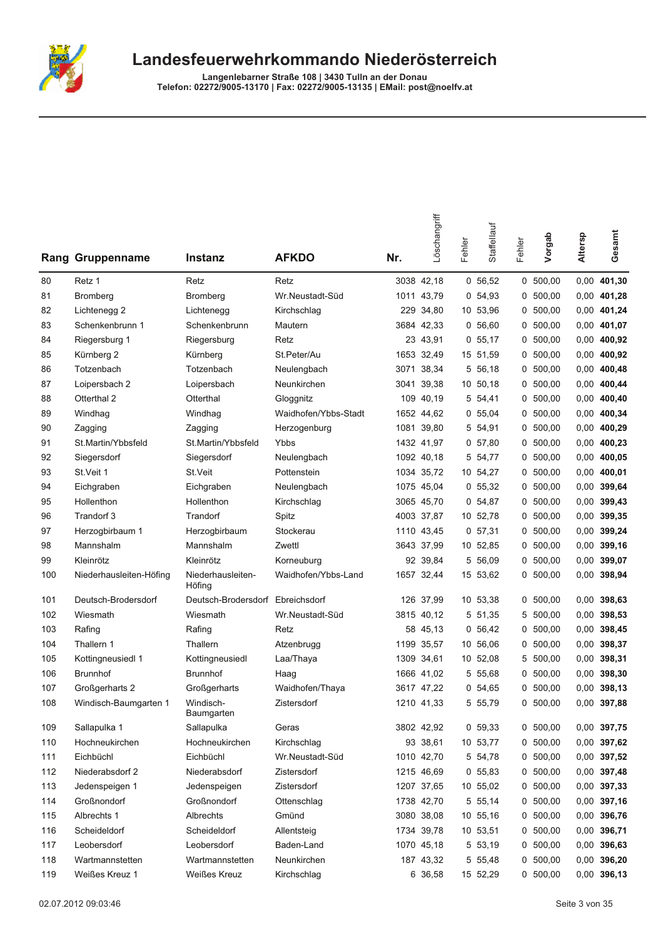

|     | Rang Gruppenname        | <b>Instanz</b>              | <b>AFKDO</b>         | Nr.  | Löschangriff | Fehler | Staffellauf | Fehler | Vorgab     | Altersp | Gesamt        |
|-----|-------------------------|-----------------------------|----------------------|------|--------------|--------|-------------|--------|------------|---------|---------------|
| 80  | Retz 1                  | Retz                        | Retz                 |      | 3038 42,18   |        | 0, 56, 52   |        | 0, 500, 00 |         | 0,00 401,30   |
| 81  | Bromberg                | <b>Bromberg</b>             | Wr.Neustadt-Süd      | 1011 | 43,79        |        | 0, 54, 93   |        | 0, 500, 00 |         | 0,00 401,28   |
| 82  | Lichtenegg 2            | Lichtenegg                  | Kirchschlag          | 229  | 34,80        |        | 10 53,96    | 0      | 500,00     |         | 0,00 401,24   |
| 83  | Schenkenbrunn 1         | Schenkenbrunn               | Mautern              |      | 3684 42,33   |        | 0, 56, 60   |        | 0, 500, 00 |         | 0,00 401,07   |
| 84  | Riegersburg 1           | Riegersburg                 | Retz                 |      | 23 43,91     |        | 0, 55, 17   |        | 0, 500, 00 |         | 0,00 400,92   |
| 85  | Kürnberg 2              | Kürnberg                    | St.Peter/Au          |      | 1653 32,49   |        | 15 51,59    |        | 0, 500, 00 |         | $0,00$ 400,92 |
| 86  | Totzenbach              | Totzenbach                  | Neulengbach          | 3071 | 38,34        |        | 5 56.18     |        | 0, 500, 00 |         | 0,00 400,48   |
| 87  | Loipersbach 2           | Loipersbach                 | Neunkirchen          | 3041 | 39,38        |        | 10 50,18    | 0      | 500,00     |         | 0,00 400,44   |
| 88  | Otterthal 2             | Otterthal                   | Gloggnitz            | 109  | 40,19        |        | 5 54,41     |        | 0, 500, 00 |         | 0,00 400,40   |
| 89  | Windhag                 | Windhag                     | Waidhofen/Ybbs-Stadt |      | 1652 44,62   |        | 0, 55, 04   | 0      | 500,00     | 0,00    | 400,34        |
| 90  | Zagging                 | Zagging                     | Herzogenburg         |      | 1081 39,80   |        | 5 54,91     |        | 0, 500, 00 |         | 0,00 400,29   |
| 91  | St.Martin/Ybbsfeld      | St.Martin/Ybbsfeld          | Ybbs                 |      | 1432 41.97   |        | 0, 57, 80   |        | 0, 500, 00 |         | $0,00$ 400,23 |
| 92  | Siegersdorf             | Siegersdorf                 | Neulengbach          |      | 1092 40,18   |        | 5 54,77     | 0      | 500,00     |         | $0,00$ 400,05 |
| 93  | St.Veit 1               | St.Veit                     | Pottenstein          |      | 1034 35,72   |        | 10 54,27    |        | 0 500,00   |         | $0,00$ 400,01 |
| 94  | Eichgraben              | Eichgraben                  | Neulengbach          |      | 1075 45,04   |        | 0, 55, 32   |        | 0, 500, 00 |         | 0,00 399,64   |
| 95  | Hollenthon              | Hollenthon                  | Kirchschlag          |      | 3065 45,70   |        | 0, 54, 87   |        | 0, 500, 00 |         | 0,00 399,43   |
| 96  | Trandorf 3              | Trandorf                    | Spitz                |      | 4003 37,87   |        | 10 52,78    |        | 0, 500, 00 |         | 0,00 399,35   |
| 97  | Herzogbirbaum 1         | Herzogbirbaum               | Stockerau            | 1110 | 43.45        |        | 0, 57, 31   | 0      | 500,00     |         | 0,00 399,24   |
| 98  | Mannshalm               | Mannshalm                   | Zwettl               |      | 3643 37,99   |        | 10 52,85    |        | 0, 500, 00 | 0,00    | 399,16        |
| 99  | Kleinrötz               | Kleinrötz                   | Korneuburg           |      | 92 39,84     |        | 5 56,09     | 0      | 500,00     |         | 0,00 399,07   |
| 100 | Niederhausleiten-Höfing | Niederhausleiten-<br>Höfing | Waidhofen/Ybbs-Land  |      | 1657 32,44   |        | 15 53,62    |        | 0, 500, 00 |         | 0,00 398,94   |
| 101 | Deutsch-Brodersdorf     | Deutsch-Brodersdorf         | Ebreichsdorf         | 126  | 37,99        |        | 10 53,38    | 0      | 500,00     | 0,00    | 398,63        |
| 102 | Wiesmath                | Wiesmath                    | Wr.Neustadt-Süd      |      | 3815 40,12   |        | 5 51,35     | 5      | 500,00     |         | 0,00 398,53   |
| 103 | Rafing                  | Rafing                      | Retz                 |      | 58 45,13     |        | 0, 56, 42   |        | 0, 500, 00 |         | 0,00 398,45   |
| 104 | Thallern 1              | Thallern                    | Atzenbrugg           | 1199 | 35,57        |        | 10 56,06    | 0      | 500,00     | 0,00    | 398,37        |
| 105 | Kottingneusiedl 1       | Kottingneusiedl             | Laa/Thaya            | 1309 | 34,61        |        | 10 52,08    | 5      | 500,00     | 0,00    | 398,31        |
| 106 | <b>Brunnhof</b>         | <b>Brunnhof</b>             | Haag                 | 1666 | 41,02        |        | 5 55,68     | 0      | 500,00     |         | 0,00 398,30   |
| 107 | Großgerharts 2          | Großgerharts                | Waidhofen/Thaya      |      | 3617 47,22   |        | 0, 54, 65   |        | 0, 500, 00 |         | 0,00 398,13   |
| 108 | Windisch-Baumgarten 1   | Windisch-<br>Baumgarten     | Zistersdorf          |      | 1210 41,33   |        | 5 55,79     |        | 0, 500, 00 |         | 0.00 397,88   |
| 109 | Sallapulka 1            | Sallapulka                  | Geras                |      | 3802 42,92   |        | 0, 59, 33   |        | 0, 500, 00 |         | 0,00 397,75   |
| 110 | Hochneukirchen          | Hochneukirchen              | Kirchschlag          |      | 93 38,61     |        | 10 53,77    |        | 0, 500, 00 |         | 0,00 397,62   |
| 111 | Eichbüchl               | Eichbüchl                   | Wr.Neustadt-Süd      |      | 1010 42,70   |        | 5 54,78     |        | 0, 500, 00 |         | 0,00 397,52   |
| 112 | Niederabsdorf 2         | Niederabsdorf               | Zistersdorf          |      | 1215 46,69   |        | 0, 55, 83   |        | 0, 500, 00 |         | 0,00 397,48   |
| 113 | Jedenspeigen 1          | Jedenspeigen                | Zistersdorf          |      | 1207 37,65   |        | 10 55,02    |        | 0, 500, 00 |         | 0,00 397,33   |
| 114 | Großnondorf             | Großnondorf                 | Ottenschlag          |      | 1738 42,70   |        | 5 55,14     |        | 0, 500, 00 |         | 0,00 397,16   |
| 115 | Albrechts 1             | Albrechts                   | Gmünd                |      | 3080 38,08   |        | 10 55,16    |        | 0, 500, 00 |         | 0,00 396,76   |
| 116 | Scheideldorf            | Scheideldorf                | Allentsteig          |      | 1734 39,78   |        | 10 53,51    |        | 0, 500, 00 |         | 0,00 396,71   |
| 117 | Leobersdorf             | Leobersdorf                 | Baden-Land           |      | 1070 45,18   |        | 5 53,19     |        | 0, 500, 00 |         | 0,00 396,63   |
| 118 | Wartmannstetten         | Wartmannstetten             | Neunkirchen          |      | 187 43,32    |        | 5 55,48     |        | 0, 500, 00 |         | 0,00 396,20   |
| 119 | Weißes Kreuz 1          | Weißes Kreuz                | Kirchschlag          |      | 6 36,58      |        | 15 52,29    |        | 0, 500, 00 |         | $0,00$ 396,13 |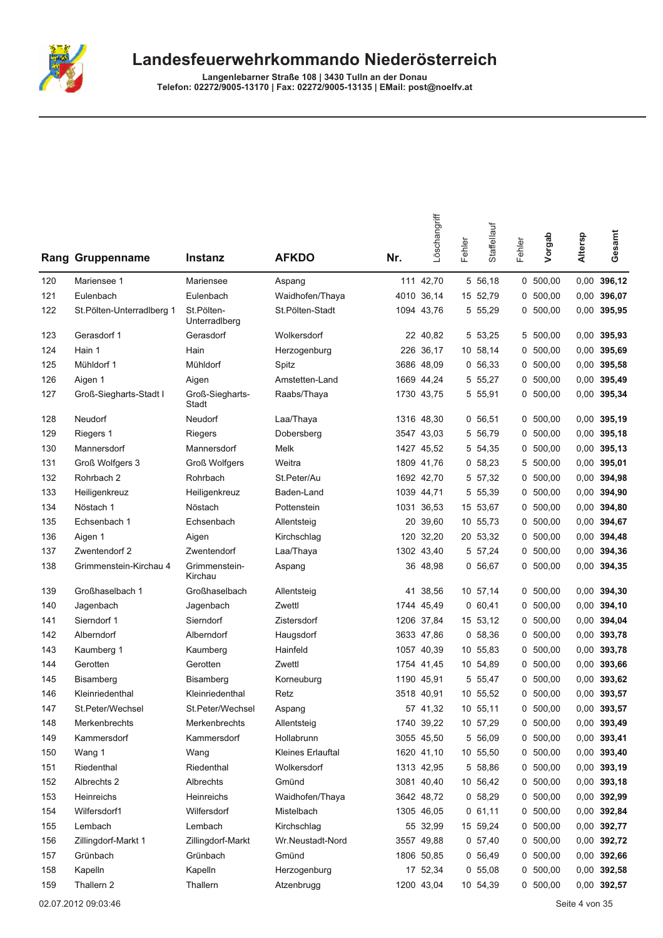

| Rang | Gruppenname                | <b>Instanz</b>              | <b>AFKDO</b>      | Nr. | Löschangriff | Fehler | Staffellauf | Fehler | Vorgab     | Altersp | Gesamt        |
|------|----------------------------|-----------------------------|-------------------|-----|--------------|--------|-------------|--------|------------|---------|---------------|
| 120  | Mariensee 1                | Mariensee                   | Aspang            |     | 111 42.70    |        | 5 56,18     |        | 0, 500, 00 | 0,00    | 396,12        |
| 121  | Eulenbach                  | Eulenbach                   | Waidhofen/Thaya   |     | 4010 36,14   |        | 15 52,79    | 0      | 500,00     | 0,00    | 396,07        |
| 122  | St. Pölten-Unterradiberg 1 | St.Pölten-<br>Unterradlberg | St.Pölten-Stadt   |     | 1094 43,76   |        | 5 55,29     | 0      | 500,00     | 0,00    | 395,95        |
| 123  | Gerasdorf 1                | Gerasdorf                   | Wolkersdorf       |     | 22 40,82     |        | 5 53,25     | 5      | 500,00     | 0,00    | 395,93        |
| 124  | Hain 1                     | Hain                        | Herzogenburg      |     | 226 36,17    |        | 10 58,14    | 0      | 500,00     | 0,00    | 395,69        |
| 125  | Mühldorf 1                 | Mühldorf                    | Spitz             |     | 3686 48,09   |        | 0, 56, 33   | 0      | 500,00     | 0,00    | 395,58        |
| 126  | Aigen 1                    | Aigen                       | Amstetten-Land    |     | 1669 44,24   |        | 5 55,27     |        | 0, 500, 00 | 0,00    | 395,49        |
| 127  | Groß-Siegharts-Stadt I     | Groß-Siegharts-<br>Stadt    | Raabs/Thaya       |     | 1730 43,75   |        | 5 55,91     |        | 0, 500, 00 | 0,00    | 395,34        |
| 128  | Neudorf                    | Neudorf                     | Laa/Thaya         |     | 1316 48,30   |        | 0, 56, 51   |        | 0, 500, 00 |         | $0,00$ 395,19 |
| 129  | Riegers 1                  | Riegers                     | Dobersberg        |     | 3547 43,03   |        | 5 56,79     | 0      | 500,00     | 0,00    | 395,18        |
| 130  | Mannersdorf                | Mannersdorf                 | Melk              |     | 1427 45,52   |        | 5 54,35     | 0      | 500,00     | 0,00    | 395,13        |
| 131  | Groß Wolfgers 3            | <b>Groß Wolfgers</b>        | Weitra            |     | 1809 41,76   |        | 0, 58, 23   | 5      | 500,00     | 0,00    | 395,01        |
| 132  | Rohrbach 2                 | Rohrbach                    | St.Peter/Au       |     | 1692 42,70   |        | 5 57,32     | 0      | 500,00     | 0,00    | 394,98        |
| 133  | Heiligenkreuz              | Heiligenkreuz               | Baden-Land        |     | 1039 44,71   |        | 5 55,39     | 0      | 500,00     | 0,00    | 394,90        |
| 134  | Nöstach 1                  | Nöstach                     | Pottenstein       |     | 1031 36,53   |        | 15 53,67    |        | 0, 500, 00 | 0,00    | 394,80        |
| 135  | Echsenbach 1               | Echsenbach                  | Allentsteig       | 20  | 39,60        |        | 10 55,73    | 0      | 500,00     | 0,00    | 394,67        |
| 136  | Aigen 1                    | Aigen                       | Kirchschlag       | 120 | 32,20        |        | 20 53,32    | 0      | 500,00     | 0,00    | 394,48        |
| 137  | Zwentendorf 2              | Zwentendorf                 | Laa/Thaya         |     | 1302 43,40   |        | 5 57,24     | 0      | 500,00     | 0,00    | 394,36        |
| 138  | Grimmenstein-Kirchau 4     | Grimmenstein-<br>Kirchau    | Aspang            |     | 36 48,98     |        | 0, 56, 67   |        | 0, 500, 00 | 0,00    | 394,35        |
| 139  | Großhaselbach 1            | Großhaselbach               | Allentsteig       | 41  | 38,56        |        | 10 57,14    | 0      | 500,00     | 0,00    | 394,30        |
| 140  | Jagenbach                  | Jagenbach                   | Zwettl            |     | 1744 45,49   |        | 0,60,41     | 0      | 500,00     | 0,00    | 394,10        |
| 141  | Sierndorf 1                | Sierndorf                   | Zistersdorf       |     | 1206 37,84   |        | 15 53,12    |        | 0, 500, 00 | 0,00    | 394,04        |
| 142  | Alberndorf                 | Alberndorf                  | Haugsdorf         |     | 3633 47,86   |        | 0, 58, 36   | 0      | 500,00     | 0,00    | 393,78        |
| 143  | Kaumberg 1                 | Kaumberg                    | Hainfeld          |     | 1057 40,39   |        | 10 55,83    | 0      | 500,00     | 0,00    | 393,78        |
| 144  | Gerotten                   | Gerotten                    | Zwettl            |     | 1754 41.45   |        | 10 54,89    | 0      | 500,00     | 0,00    | 393,66        |
| 145  | <b>Bisamberg</b>           | Bisamberg                   | Korneuburg        |     | 1190 45,91   |        | 5 55,47     | 0      | 500,00     | 0,00    | 393,62        |
| 146  | Kleinriedenthal            | Kleinriedenthal             | Retz              |     | 3518 40,91   |        | 10 55,52    |        | 0, 500, 00 | 0,00    | 393,57        |
| 147  | St.Peter/Wechsel           | St.Peter/Wechsel            | Aspang            |     | 57 41,32     |        | 10 55,11    |        | 0 500,00   |         | 0,00 393,57   |
| 148  | Merkenbrechts              | Merkenbrechts               | Allentsteig       |     | 1740 39,22   |        | 10 57,29    |        | 0, 500, 00 |         | $0,00$ 393,49 |
| 149  | Kammersdorf                | Kammersdorf                 | Hollabrunn        |     | 3055 45,50   |        | 5 56,09     |        | 0, 500, 00 |         | $0,00$ 393,41 |
| 150  | Wang 1                     | Wang                        | Kleines Erlauftal |     | 1620 41,10   |        | 10 55,50    |        | 0, 500, 00 |         | 0,00 393,40   |
| 151  | Riedenthal                 | Riedenthal                  | Wolkersdorf       |     | 1313 42,95   |        | 5 58,86     |        | 0, 500, 00 |         | 0,00 393,19   |
| 152  | Albrechts 2                | Albrechts                   | Gmünd             |     | 3081 40,40   |        | 10 56,42    |        | 0, 500, 00 |         | $0,00$ 393,18 |
| 153  | Heinreichs                 | Heinreichs                  | Waidhofen/Thaya   |     | 3642 48,72   |        | 0 58,29     | 0      | 500,00     |         | 0,00 392,99   |
| 154  | Wilfersdorf1               | Wilfersdorf                 | Mistelbach        |     | 1305 46,05   |        | 0, 61, 11   |        | 0, 500, 00 |         | 0,00 392,84   |
| 155  | Lembach                    | Lembach                     | Kirchschlag       |     | 55 32,99     |        | 15 59,24    |        | 0 500,00   |         | 0,00 392,77   |
| 156  | Zillingdorf-Markt 1        | Zillingdorf-Markt           | Wr.Neustadt-Nord  |     | 3557 49,88   |        | 0, 57, 40   |        | 0, 500, 00 |         | 0,00 392,72   |
| 157  | Grünbach                   | Grünbach                    | Gmünd             |     | 1806 50,85   |        | 0, 56, 49   |        | 0, 500, 00 |         | 0,00 392,66   |
| 158  | Kapelln                    | Kapelln                     | Herzogenburg      |     | 17 52,34     |        | 0, 55, 08   | 0      | 500,00     |         | 0,00 392,58   |
| 159  | Thallern 2                 | Thallern                    | Atzenbrugg        |     | 1200 43,04   |        | 10 54,39    |        | 0, 500, 00 |         | 0,00 392,57   |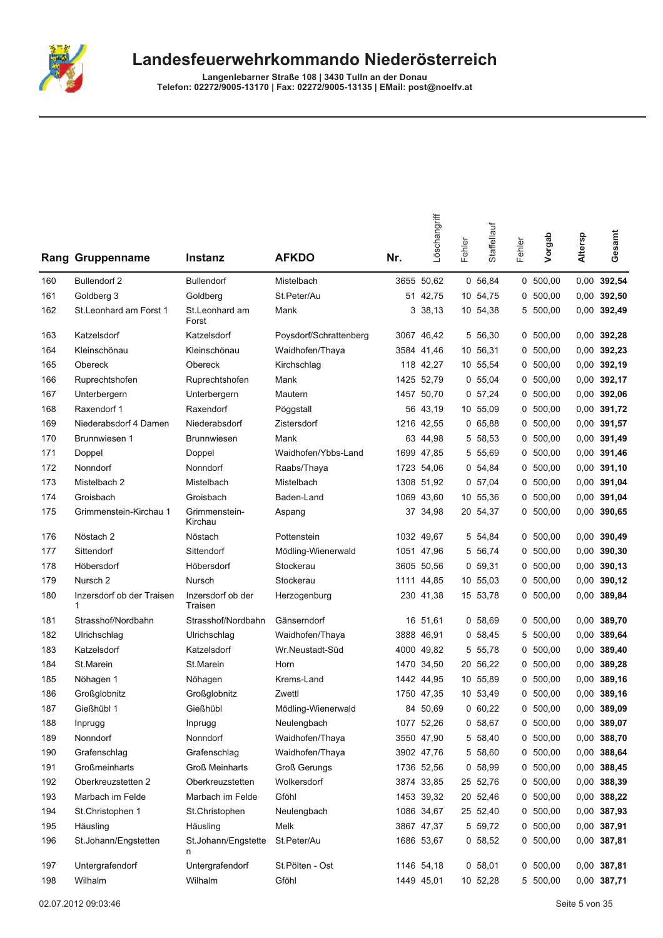

| Rang | Gruppenname               | Instanz                      | <b>AFKDO</b>           | Nr.  | Löschangriff | Fehler | Staffellauf | Fehler | Vorgab     | Altersp | Gesamt        |
|------|---------------------------|------------------------------|------------------------|------|--------------|--------|-------------|--------|------------|---------|---------------|
| 160  | <b>Bullendorf 2</b>       | <b>Bullendorf</b>            | Mistelbach             |      | 3655 50,62   |        | 0 56,84     |        | 0, 500, 00 |         | 0,00 392,54   |
| 161  | Goldberg 3                | Goldberg                     | St.Peter/Au            |      | 51 42,75     |        | 10 54,75    | 0      | 500,00     |         | $0,00$ 392,50 |
| 162  | St.Leonhard am Forst 1    | St.Leonhard am<br>Forst      | Mank                   | 3    | 38,13        |        | 10 54,38    | 5      | 500,00     |         | 0,00 392,49   |
| 163  | Katzelsdorf               | Katzelsdorf                  | Poysdorf/Schrattenberg |      | 3067 46,42   |        | 5 56,30     |        | 0, 500, 00 |         | 0.00 392,28   |
| 164  | Kleinschönau              | Kleinschönau                 | Waidhofen/Thaya        |      | 3584 41.46   |        | 10 56,31    | 0      | 500,00     |         | 0,00 392,23   |
| 165  | Obereck                   | Obereck                      | Kirchschlag            |      | 118 42,27    |        | 10 55,54    |        | 0, 500, 00 |         | $0,00$ 392,19 |
| 166  | Ruprechtshofen            | Ruprechtshofen               | Mank                   |      | 1425 52,79   |        | 0, 55, 04   |        | 0, 500, 00 |         | 0,00 392,17   |
| 167  | Unterbergern              | Unterbergern                 | Mautern                |      | 1457 50,70   |        | 0, 57, 24   |        | 0, 500, 00 |         | 0,00 392,06   |
| 168  | Raxendorf 1               | Raxendorf                    | Pöggstall              |      | 56 43,19     |        | 10 55,09    |        | 0, 500, 00 |         | 0,00 391,72   |
| 169  | Niederabsdorf 4 Damen     | Niederabsdorf                | Zistersdorf            |      | 1216 42,55   |        | 065,88      |        | 0, 500, 00 |         | 0,00 391,57   |
| 170  | Brunnwiesen 1             | <b>Brunnwiesen</b>           | Mank                   |      | 63 44,98     |        | 5 58,53     |        | 0, 500, 00 |         | 0,00 391,49   |
| 171  | Doppel                    | Doppel                       | Waidhofen/Ybbs-Land    | 1699 | 47,85        |        | 5 55,69     | 0      | 500,00     |         | 0,00 391,46   |
| 172  | Nonndorf                  | Nonndorf                     | Raabs/Thaya            |      | 1723 54,06   |        | 0, 54, 84   |        | 0, 500, 00 |         | $0,00$ 391,10 |
| 173  | Mistelbach 2              | Mistelbach                   | Mistelbach             |      | 1308 51,92   |        | 0, 57, 04   | 0      | 500,00     |         | 0,00 391,04   |
| 174  | Groisbach                 | Groisbach                    | Baden-Land             |      | 1069 43.60   |        | 10 55,36    | 0      | 500,00     |         | 0,00 391,04   |
| 175  | Grimmenstein-Kirchau 1    | Grimmenstein-<br>Kirchau     | Aspang                 |      | 37 34,98     |        | 20 54,37    |        | 0 500,00   |         | 0,00 390,65   |
| 176  | Nöstach 2                 | Nöstach                      | Pottenstein            |      | 1032 49,67   |        | 5 54,84     |        | 0, 500, 00 |         | 0,00 390,49   |
| 177  | Sittendorf                | Sittendorf                   | Mödling-Wienerwald     |      | 1051 47,96   |        | 5 56,74     |        | 0, 500, 00 |         | $0,00$ 390,30 |
| 178  | Höbersdorf                | Höbersdorf                   | Stockerau              |      | 3605 50,56   |        | 0, 59, 31   |        | 0, 500, 00 |         | $0,00$ 390,13 |
| 179  | Nursch <sub>2</sub>       | Nursch                       | Stockerau              |      | 1111 44,85   |        | 10 55,03    |        | 0, 500, 00 |         | $0,00$ 390,12 |
| 180  | Inzersdorf ob der Traisen | Inzersdorf ob der<br>Traisen | Herzogenburg           |      | 230 41,38    |        | 15 53,78    |        | 0, 500, 00 |         | 0,00 389,84   |
| 181  | Strasshof/Nordbahn        | Strasshof/Nordbahn           | Gänserndorf            |      | 16 51,61     |        | 0, 58, 69   |        | 0, 500, 00 |         | 0,00 389,70   |
| 182  | Ulrichschlag              | Ulrichschlag                 | Waidhofen/Thaya        |      | 3888 46,91   |        | 0, 58, 45   |        | 5 500,00   |         | 0,00 389,64   |
| 183  | Katzelsdorf               | Katzelsdorf                  | Wr.Neustadt-Süd        |      | 4000 49,82   |        | 5 55,78     | 0      | 500,00     | 0,00    | 389,40        |
| 184  | St.Marein                 | St.Marein                    | Horn                   |      | 1470 34,50   |        | 20 56,22    | 0      | 500,00     |         | 0,00 389,28   |
| 185  | Nöhagen 1                 | Nöhagen                      | Krems-Land             |      | 1442 44,95   |        | 10 55,89    | 0      | 500,00     |         | 0,00 389,16   |
| 186  | Großglobnitz              | Großglobnitz                 | Zwettl                 |      | 1750 47,35   |        | 10 53,49    |        | 0, 500, 00 |         | 0,00 389,16   |
| 187  | Gießhübl 1                | Gießhübl                     | Mödling-Wienerwald     |      | 84 50,69     |        | 0,60,22     |        | 0 500,00   |         | 0,00 389,09   |
| 188  | Inprugg                   | Inprugg                      | Neulengbach            |      | 1077 52,26   |        | 0, 58, 67   |        | 0, 500, 00 |         | 0,00 389,07   |
| 189  | Nonndorf                  | Nonndorf                     | Waidhofen/Thaya        |      | 3550 47,90   |        | 5 58,40     |        | 0, 500, 00 |         | 0,00 388,70   |
| 190  | Grafenschlag              | Grafenschlag                 | Waidhofen/Thaya        |      | 3902 47,76   |        | 5 58,60     |        | 0, 500, 00 |         | 0,00 388,64   |
| 191  | Großmeinharts             | Groß Meinharts               | <b>Groß Gerungs</b>    |      | 1736 52,56   |        | 0 58,99     |        | 0, 500, 00 |         | 0,00 388,45   |
| 192  | Oberkreuzstetten 2        | Oberkreuzstetten             | Wolkersdorf            |      | 3874 33,85   |        | 25 52,76    |        | 0, 500, 00 |         | 0,00 388,39   |
| 193  | Marbach im Felde          | Marbach im Felde             | Gföhl                  |      | 1453 39,32   |        | 20 52,46    |        | 0, 500, 00 |         | 0,00 388,22   |
| 194  | St.Christophen 1          | St.Christophen               | Neulengbach            |      | 1086 34,67   |        | 25 52,40    |        | 0, 500, 00 |         | 0,00 387,93   |
| 195  | Häusling                  | Häusling                     | Melk                   |      | 3867 47,37   |        | 5 59,72     |        | 0 500,00   |         | 0,00 387,91   |
| 196  | St.Johann/Engstetten      | St.Johann/Engstette<br>n     | St.Peter/Au            |      | 1686 53,67   |        | 0, 58, 52   |        | 0 500,00   |         | 0,00 387,81   |
| 197  | Untergrafendorf           | Untergrafendorf              | St.Pölten - Ost        |      | 1146 54,18   |        | 0, 58, 01   |        | 0 500,00   |         | 0,00 387,81   |
| 198  | Wilhalm                   | Wilhalm                      | Gföhl                  |      | 1449 45,01   |        | 10 52,28    |        | 5 500,00   |         | 0,00 387,71   |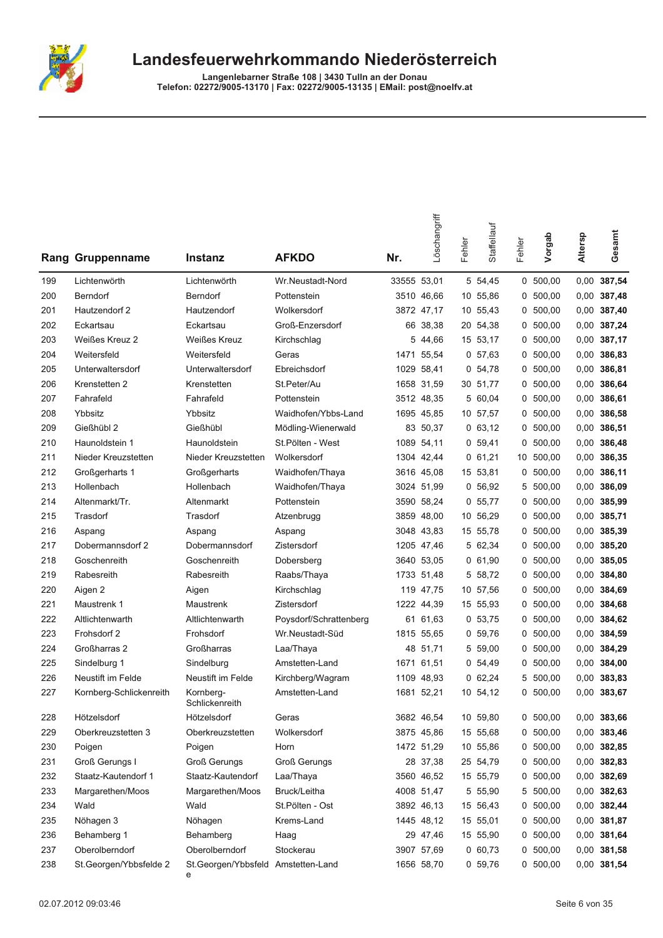

|     | Rang Gruppenname        | <b>Instanz</b>                          | <b>AFKDO</b>           | Nr.         | Löschangriff | Fehler | Staffellauf | Fehler | Vorgab     | Altersp | Gesamt        |
|-----|-------------------------|-----------------------------------------|------------------------|-------------|--------------|--------|-------------|--------|------------|---------|---------------|
| 199 | Lichtenwörth            | Lichtenwörth                            | Wr.Neustadt-Nord       | 33555 53,01 |              |        | 5 54,45     |        | 0, 500, 00 |         | 0,00 387,54   |
| 200 | Berndorf                | Berndorf                                | Pottenstein            |             | 3510 46,66   |        | 10 55,86    |        | 0, 500, 00 |         | 0,00 387,48   |
| 201 | Hautzendorf 2           | Hautzendorf                             | Wolkersdorf            |             | 3872 47,17   |        | 10 55,43    | 0      | 500,00     |         | 0,00 387,40   |
| 202 | Eckartsau               | Eckartsau                               | Groß-Enzersdorf        |             | 66 38,38     |        | 20 54,38    |        | 0, 500, 00 | 0,00    | 387,24        |
| 203 | Weißes Kreuz 2          | Weißes Kreuz                            | Kirchschlag            | 5           | 44,66        |        | 15 53,17    | 0      | 500,00     |         | 0,00 387,17   |
| 204 | Weitersfeld             | Weitersfeld                             | Geras                  |             | 1471 55,54   |        | 0, 57, 63   |        | 0, 500, 00 |         | 0,00 386,83   |
| 205 | Unterwaltersdorf        | Unterwaltersdorf                        | Ebreichsdorf           | 1029        | 58,41        |        | 0, 54, 78   |        | 0, 500, 00 |         | 0,00 386,81   |
| 206 | Krenstetten 2           | Krenstetten                             | St.Peter/Au            | 1658        | 31,59        |        | 30 51,77    | 0      | 500,00     |         | 0,00 386,64   |
| 207 | Fahrafeld               | Fahrafeld                               | Pottenstein            |             | 3512 48,35   |        | 5 60,04     | 0      | 500,00     | 0,00    | 386,61        |
| 208 | Ybbsitz                 | Ybbsitz                                 | Waidhofen/Ybbs-Land    |             | 1695 45,85   |        | 10 57,57    | 0      | 500,00     | 0,00    | 386,58        |
| 209 | Gießhübl 2              | Gießhübl                                | Mödling-Wienerwald     |             | 83 50,37     |        | 0, 63, 12   |        | 0, 500, 00 | 0,00    | 386,51        |
| 210 | Haunoldstein 1          | Haunoldstein                            | St.Pölten - West       |             | 1089 54,11   |        | 0, 59, 41   |        | 0, 500, 00 | 0,00    | 386,48        |
| 211 | Nieder Kreuzstetten     | Nieder Kreuzstetten                     | Wolkersdorf            |             | 1304 42.44   |        | 0,61,21     |        | 10 500,00  |         | 0,00 386,35   |
| 212 | Großgerharts 1          | Großgerharts                            | Waidhofen/Thaya        |             | 3616 45,08   |        | 15 53,81    |        | 0, 500, 00 | 0,00    | 386,11        |
| 213 | Hollenbach              | Hollenbach                              | Waidhofen/Thaya        |             | 3024 51,99   |        | 0, 56, 92   | 5      | 500,00     |         | 0,00 386,09   |
| 214 | Altenmarkt/Tr.          | Altenmarkt                              | Pottenstein            |             | 3590 58,24   |        | 0, 55, 77   |        | 0, 500, 00 |         | 0,00 385,99   |
| 215 | Trasdorf                | Trasdorf                                | Atzenbrugg             | 3859        | 48,00        |        | 10 56,29    |        | 0, 500, 00 |         | 0,00 385,71   |
| 216 | Aspang                  | Aspang                                  | Aspang                 |             | 3048 43.83   |        | 15 55,78    | 0      | 500,00     |         | 0,00 385,39   |
| 217 | Dobermannsdorf 2        | Dobermannsdorf                          | Zistersdorf            |             | 1205 47,46   |        | 5 62,34     | 0      | 500,00     | 0,00    | 385,20        |
| 218 | Goschenreith            | Goschenreith                            | Dobersberg             |             | 3640 53,05   |        | 0, 61, 90   | 0      | 500,00     |         | 0,00 385,05   |
| 219 | Rabesreith              | Rabesreith                              | Raabs/Thaya            |             | 1733 51,48   |        | 5 58,72     |        | 0, 500, 00 | 0,00    | 384,80        |
| 220 | Aigen 2                 | Aigen                                   | Kirchschlag            |             | 119 47,75    |        | 10 57,56    |        | 0, 500, 00 | 0,00    | 384,69        |
| 221 | Maustrenk 1             | Maustrenk                               | Zistersdorf            |             | 1222 44,39   |        | 15 55,93    | 0      | 500,00     |         | 0,00 384,68   |
| 222 | Altlichtenwarth         | Altlichtenwarth                         | Poysdorf/Schrattenberg |             | 61 61,63     |        | 0, 53, 75   |        | 0, 500, 00 | 0,00    | 384,62        |
| 223 | Frohsdorf 2             | Frohsdorf                               | Wr.Neustadt-Süd        |             | 1815 55,65   |        | 0, 59, 76   |        | 0, 500, 00 |         | 0,00 384,59   |
| 224 | Großharras 2            | Großharras                              | Laa/Thaya              |             | 48 51,71     |        | 5 59,00     |        | 0, 500, 00 |         | 0,00 384,29   |
| 225 | Sindelburg 1            | Sindelburg                              | Amstetten-Land         |             | 1671 61,51   |        | 0, 54, 49   |        | 0, 500, 00 |         | $0,00$ 384,00 |
| 226 | Neustift im Felde       | Neustift im Felde                       | Kirchberg/Wagram       | 1109        | 48.93        |        | 062,24      | 5      | 500,00     |         | 0,00 383,83   |
| 227 | Kornberg-Schlickenreith | Kornberg-<br>Schlickenreith             | Amstetten-Land         |             | 1681 52,21   |        | 10 54,12    | 0      | 500.00     | 0,00    | 383,67        |
| 228 | Hötzelsdorf             | Hötzelsdorf                             | Geras                  |             | 3682 46,54   |        | 10 59,80    |        | 0, 500, 00 |         | 0,00 383,66   |
| 229 | Oberkreuzstetten 3      | Oberkreuzstetten                        | Wolkersdorf            |             | 3875 45,86   |        | 15 55,68    |        | 0, 500, 00 |         | 0,00 383,46   |
| 230 | Poigen                  | Poigen                                  | Horn                   |             | 1472 51,29   |        | 10 55,86    |        | 0, 500, 00 |         | 0,00 382,85   |
| 231 | Groß Gerungs I          | <b>Groß Gerungs</b>                     | <b>Groß Gerungs</b>    |             | 28 37,38     |        | 25 54,79    |        | 0, 500, 00 |         | 0,00 382,83   |
| 232 | Staatz-Kautendorf 1     | Staatz-Kautendorf                       | Laa/Thaya              |             | 3560 46,52   |        | 15 55,79    |        | 0, 500, 00 |         | 0,00 382,69   |
| 233 | Margarethen/Moos        | Margarethen/Moos                        | Bruck/Leitha           |             | 4008 51,47   |        | 5 55,90     |        | 5 500,00   |         | 0,00 382,63   |
| 234 | Wald                    | Wald                                    | St.Pölten - Ost        |             | 3892 46,13   |        | 15 56,43    |        | 0, 500, 00 |         | 0,00 382,44   |
| 235 | Nöhagen 3               | Nöhagen                                 | Krems-Land             |             | 1445 48,12   |        | 15 55,01    |        | 0, 500, 00 |         | 0,00 381,87   |
| 236 | Behamberg 1             | Behamberg                               | Haag                   |             | 29 47,46     |        | 15 55,90    |        | 0, 500, 00 |         | 0,00 381,64   |
| 237 | Oberolberndorf          | Oberolberndorf                          | Stockerau              |             | 3907 57,69   |        | 0,60,73     |        | 0, 500, 00 |         | 0,00 381,58   |
| 238 | St.Georgen/Ybbsfelde 2  | St.Georgen/Ybbsfeld Amstetten-Land<br>е |                        |             | 1656 58,70   |        | 0, 59, 76   |        | 0, 500, 00 |         | 0,00 381,54   |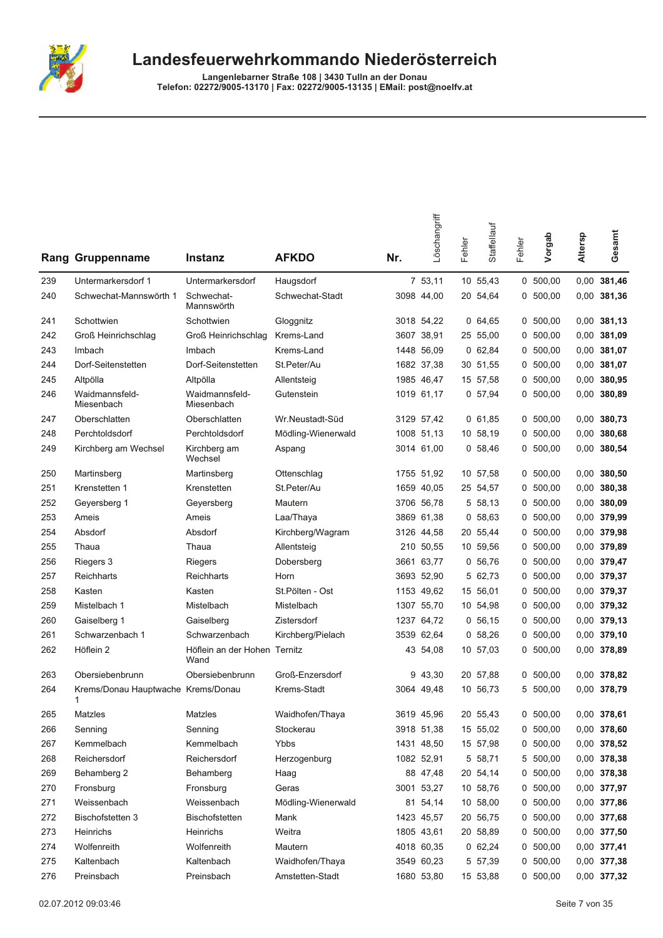

|     | <b>Rang Gruppenname</b>                 | Instanz                              | <b>AFKDO</b>       | Nr. | Löschangriff | Fehler | Staffellauf | Fehler | Vorgab     | Altersp | Gesamt        |
|-----|-----------------------------------------|--------------------------------------|--------------------|-----|--------------|--------|-------------|--------|------------|---------|---------------|
| 239 | Untermarkersdorf 1                      | Untermarkersdorf                     | Haugsdorf          |     | 7 53,11      |        | 10 55,43    |        | 0, 500, 00 |         | 0,00 381,46   |
| 240 | Schwechat-Mannswörth 1                  | Schwechat-<br>Mannswörth             | Schwechat-Stadt    |     | 3098 44,00   |        | 20 54,64    |        | 0, 500, 00 |         | 0,00 381,36   |
| 241 | Schottwien                              | Schottwien                           | Gloggnitz          |     | 3018 54,22   |        | 0,64,65     |        | 0, 500, 00 |         | $0,00$ 381,13 |
| 242 | Groß Heinrichschlag                     | Groß Heinrichschlag                  | Krems-Land         |     | 3607 38,91   |        | 25 55,00    |        | 0, 500, 00 |         | 0,00 381,09   |
| 243 | Imbach                                  | Imbach                               | Krems-Land         |     | 1448 56.09   |        | 062,84      | 0      | 500,00     |         | 0,00 381,07   |
| 244 | Dorf-Seitenstetten                      | Dorf-Seitenstetten                   | St.Peter/Au        |     | 1682 37,38   |        | 30 51,55    | 0      | 500,00     |         | 0,00 381,07   |
| 245 | Altpölla                                | Altpölla                             | Allentsteig        |     | 1985 46,47   |        | 15 57,58    |        | 0, 500, 00 |         | 0,00 380,95   |
| 246 | Waidmannsfeld-<br>Miesenbach            | Waidmannsfeld-<br>Miesenbach         | Gutenstein         |     | 1019 61,17   |        | 0, 57, 94   |        | 0, 500, 00 |         | 0,00 380,89   |
| 247 | Oberschlatten                           | Oberschlatten                        | Wr.Neustadt-Süd    |     | 3129 57,42   |        | 0, 61, 85   |        | 0, 500, 00 |         | 0,00 380,73   |
| 248 | Perchtoldsdorf                          | Perchtoldsdorf                       | Mödling-Wienerwald |     | 1008 51,13   |        | 10 58,19    |        | 0, 500, 00 |         | 0,00 380,68   |
| 249 | Kirchberg am Wechsel                    | Kirchberg am<br>Wechsel              | Aspang             |     | 3014 61,00   |        | 0, 58, 46   |        | 0, 500, 00 |         | 0,00 380,54   |
| 250 | Martinsberg                             | Martinsberg                          | Ottenschlag        |     | 1755 51,92   |        | 10 57,58    |        | 0, 500, 00 |         | $0,00$ 380,50 |
| 251 | Krenstetten 1                           | Krenstetten                          | St.Peter/Au        |     | 1659 40,05   |        | 25 54,57    |        | 0, 500, 00 |         | 0,00 380,38   |
| 252 | Geyersberg 1                            | Geyersberg                           | Mautern            |     | 3706 56.78   |        | 5 58,13     |        | 0, 500, 00 |         | $0,00$ 380,09 |
| 253 | Ameis                                   | Ameis                                | Laa/Thaya          |     | 3869 61,38   |        | 0, 58, 63   |        | 0, 500, 00 |         | 0,00 379,99   |
| 254 | Absdorf                                 | Absdorf                              | Kirchberg/Wagram   |     | 3126 44,58   |        | 20 55,44    |        | 0, 500, 00 |         | 0,00 379,98   |
| 255 | Thaua                                   | Thaua                                | Allentsteig        |     | 210 50,55    |        | 10 59,56    | 0      | 500,00     |         | 0,00 379,89   |
| 256 | Riegers 3                               | Riegers                              | Dobersberg         |     | 3661 63,77   |        | 0, 56, 76   |        | 0, 500, 00 |         | 0,00 379,47   |
| 257 | Reichharts                              | Reichharts                           | Horn               |     | 3693 52,90   |        | 5 62,73     |        | 0, 500, 00 |         | 0,00 379,37   |
| 258 | Kasten                                  | Kasten                               | St.Pölten - Ost    |     | 1153 49,62   |        | 15 56,01    | 0      | 500,00     |         | 0,00 379,37   |
| 259 | Mistelbach 1                            | Mistelbach                           | Mistelbach         |     | 1307 55,70   |        | 10 54,98    |        | 0, 500, 00 |         | 0,00 379,32   |
| 260 | Gaiselberg 1                            | Gaiselberg                           | Zistersdorf        |     | 1237 64,72   |        | 0, 56, 15   |        | 0, 500, 00 |         | 0,00 379,13   |
| 261 | Schwarzenbach 1                         | Schwarzenbach                        | Kirchberg/Pielach  |     | 3539 62,64   |        | 0, 58, 26   |        | 0, 500, 00 |         | 0,00 379,10   |
| 262 | Höflein 2                               | Höflein an der Hohen Ternitz<br>Wand |                    |     | 43 54,08     |        | 10 57,03    |        | 0, 500, 00 |         | 0,00 378,89   |
| 263 | Obersiebenbrunn                         | Obersiebenbrunn                      | Groß-Enzersdorf    |     | 9 43.30      |        | 20 57,88    |        | 0, 500, 00 |         | 0,00 378,82   |
| 264 | Krems/Donau Hauptwache Krems/Donau<br>1 |                                      | Krems-Stadt        |     | 3064 49,48   |        | 10 56,73    |        | 5 500,00   |         | 0,00 378,79   |
| 265 | Matzles                                 | Matzles                              | Waidhofen/Thaya    |     | 3619 45,96   |        | 20 55,43    |        | 0 500,00   |         | 0,00 378,61   |
| 266 | Senning                                 | Senning                              | Stockerau          |     | 3918 51,38   |        | 15 55,02    |        | 0, 500, 00 |         | 0,00 378,60   |
| 267 | Kemmelbach                              | Kemmelbach                           | Ybbs               |     | 1431 48,50   |        | 15 57,98    |        | 0 500,00   |         | 0,00 378,52   |
| 268 | Reichersdorf                            | Reichersdorf                         | Herzogenburg       |     | 1082 52,91   |        | 5 58,71     |        | 5 500,00   |         | 0,00 378,38   |
| 269 | Behamberg 2                             | Behamberg                            | Haag               |     | 88 47,48     |        | 20 54,14    |        | 0, 500, 00 |         | 0,00 378,38   |
| 270 | Fronsburg                               | Fronsburg                            | Geras              |     | 3001 53,27   |        | 10 58,76    |        | 0, 500, 00 |         | 0,00 377,97   |
| 271 | Weissenbach                             | Weissenbach                          | Mödling-Wienerwald |     | 81 54,14     |        | 10 58,00    |        | 0, 500, 00 |         | 0,00 377,86   |
| 272 | Bischofstetten 3                        | Bischofstetten                       | Mank               |     | 1423 45,57   |        | 20 56,75    |        | 0, 500, 00 |         | 0,00 377,68   |
| 273 | Heinrichs                               | Heinrichs                            | Weitra             |     | 1805 43,61   |        | 20 58,89    |        | 0, 500, 00 |         | 0,00 377,50   |
| 274 | Wolfenreith                             | Wolfenreith                          | Mautern            |     | 4018 60,35   |        | 062,24      |        | 0, 500, 00 |         | 0,00 377,41   |
| 275 | Kaltenbach                              | Kaltenbach                           | Waidhofen/Thaya    |     | 3549 60,23   |        | 5 57,39     |        | 0 500,00   |         | 0,00 377,38   |
| 276 | Preinsbach                              | Preinsbach                           | Amstetten-Stadt    |     | 1680 53,80   |        | 15 53,88    |        | 0 500,00   |         | 0,00 377,32   |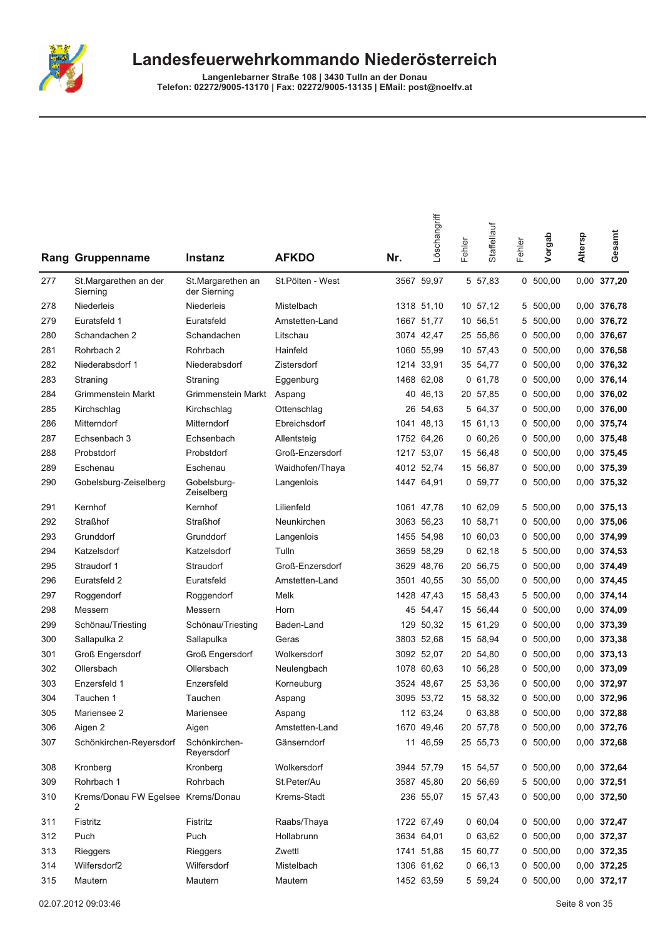

|     | <b>Rang Gruppenname</b>                 | Instanz                           | <b>AFKDO</b>     | Nr. | Löschangriff | Fehler | Staffellauf | Fehler | Vorgab     | Altersp | Gesamt      |
|-----|-----------------------------------------|-----------------------------------|------------------|-----|--------------|--------|-------------|--------|------------|---------|-------------|
| 277 | St.Margarethen an der<br>Sierning       | St.Margarethen an<br>der Sierning | St.Pölten - West |     | 3567 59,97   |        | 5 57,83     |        | 0, 500, 00 | 0,00    | 377,20      |
| 278 | Niederleis                              | Niederleis                        | Mistelbach       |     | 1318 51,10   |        | 10 57,12    |        | 5 500,00   |         | 0,00 376,78 |
| 279 | Euratsfeld 1                            | Euratsfeld                        | Amstetten-Land   |     | 1667 51,77   |        | 10 56,51    |        | 5 500,00   |         | 0,00 376,72 |
| 280 | Schandachen 2                           | Schandachen                       | Litschau         |     | 3074 42,47   |        | 25 55,86    | 0      | 500,00     | 0,00    | 376,67      |
| 281 | Rohrbach 2                              | Rohrbach                          | Hainfeld         |     | 1060 55,99   |        | 10 57,43    | 0      | 500,00     | 0,00    | 376,58      |
| 282 | Niederabsdorf 1                         | Niederabsdorf                     | Zistersdorf      |     | 1214 33,91   |        | 35 54,77    | 0      | 500,00     |         | 0,00 376,32 |
| 283 | Straning                                | Straning                          | Eggenburg        |     | 1468 62,08   |        | 0, 61, 78   | 0      | 500,00     |         | 0,00 376,14 |
| 284 | Grimmenstein Markt                      | Grimmenstein Markt                | Aspang           |     | 40 46,13     |        | 20 57,85    |        | 0, 500, 00 |         | 0,00 376,02 |
| 285 | Kirchschlag                             | Kirchschlag                       | Ottenschlag      |     | 26 54,63     |        | 5 64,37     | 0      | 500,00     |         | 0,00 376,00 |
| 286 | Mitterndorf                             | Mitterndorf                       | Ebreichsdorf     |     | 1041 48,13   |        | 15 61,13    | 0      | 500,00     | 0,00    | 375,74      |
| 287 | Echsenbach 3                            | Echsenbach                        | Allentsteig      |     | 1752 64,26   |        | 060,26      | 0      | 500,00     |         | 0,00 375,48 |
| 288 | Probstdorf                              | Probstdorf                        | Groß-Enzersdorf  |     | 1217 53,07   |        | 15 56,48    | 0      | 500,00     |         | 0,00 375,45 |
| 289 | Eschenau                                | Eschenau                          | Waidhofen/Thaya  |     | 4012 52,74   |        | 15 56,87    |        | 0, 500, 00 |         | 0,00 375,39 |
| 290 | Gobelsburg-Zeiselberg                   | Gobelsburg-<br>Zeiselberg         | Langenlois       |     | 1447 64,91   |        | 0, 59, 77   |        | 0, 500, 00 |         | 0,00 375,32 |
| 291 | Kernhof                                 | Kernhof                           | Lilienfeld       |     | 1061 47,78   |        | 10 62,09    |        | 5 500,00   |         | 0,00 375,13 |
| 292 | <b>Straßhof</b>                         | <b>Straßhof</b>                   | Neunkirchen      |     | 3063 56,23   |        | 10 58,71    | 0      | 500,00     |         | 0,00 375,06 |
| 293 | Grunddorf                               | Grunddorf                         | Langenlois       |     | 1455 54,98   |        | 10 60,03    | 0      | 500,00     |         | 0,00 374,99 |
| 294 | Katzelsdorf                             | Katzelsdorf                       | Tulln            |     | 3659 58,29   |        | 0, 62, 18   | 5      | 500,00     |         | 0,00 374,53 |
| 295 | Straudorf 1                             | Straudorf                         | Groß-Enzersdorf  |     | 3629 48,76   |        | 20 56,75    | 0      | 500,00     |         | 0,00 374,49 |
| 296 | Euratsfeld 2                            | Euratsfeld                        | Amstetten-Land   |     | 3501 40,55   |        | 30 55,00    | 0      | 500,00     |         | 0,00 374,45 |
| 297 | Roggendorf                              | Roggendorf                        | Melk             |     | 1428 47,43   |        | 15 58,43    | 5      | 500,00     |         | 0,00 374,14 |
| 298 | Messern                                 | Messern                           | Horn             |     | 45 54,47     |        | 15 56,44    | 0      | 500,00     |         | 0,00 374,09 |
| 299 | Schönau/Triesting                       | Schönau/Triesting                 | Baden-Land       |     | 129 50,32    |        | 15 61,29    | 0      | 500,00     |         | 0,00 373,39 |
| 300 | Sallapulka 2                            | Sallapulka                        | Geras            |     | 3803 52,68   |        | 15 58,94    | 0      | 500,00     | 0,00    | 373,38      |
| 301 | Groß Engersdorf                         | Groß Engersdorf                   | Wolkersdorf      |     | 3092 52,07   |        | 20 54,80    | 0      | 500,00     |         | 0,00 373,13 |
| 302 | Ollersbach                              | Ollersbach                        | Neulengbach      |     | 1078 60,63   |        | 10 56,28    | 0      | 500,00     |         | 0,00 373,09 |
| 303 | Enzersfeld 1                            | Enzersfeld                        | Korneuburg       |     | 3524 48,67   |        | 25 53,36    | 0      | 500,00     |         | 0,00 372,97 |
| 304 | Tauchen 1                               | Tauchen                           | Aspang           |     | 3095 53,72   |        | 15 58,32    |        | 0, 500, 00 |         | 0,00 372,96 |
| 305 | Mariensee 2                             | Mariensee                         | Aspang           |     | 112 63,24    |        | 063,88      |        | 0 500,00   |         | 0,00 372,88 |
| 306 | Aigen 2                                 | Aigen                             | Amstetten-Land   |     | 1670 49,46   |        | 20 57,78    |        | 0, 500, 00 |         | 0,00 372,76 |
| 307 | Schönkirchen-Reyersdorf                 | Schönkirchen-<br>Reyersdorf       | Gänserndorf      |     | 11 46,59     |        | 25 55,73    |        | 0, 500, 00 |         | 0,00 372,68 |
| 308 | Kronberg                                | Kronberg                          | Wolkersdorf      |     | 3944 57,79   |        | 15 54,57    |        | 0, 500, 00 |         | 0,00 372,64 |
| 309 | Rohrbach 1                              | Rohrbach                          | St.Peter/Au      |     | 3587 45,80   |        | 20 56,69    |        | 5 500,00   |         | 0,00 372,51 |
| 310 | Krems/Donau FW Egelsee Krems/Donau<br>2 |                                   | Krems-Stadt      |     | 236 55,07    |        | 15 57,43    |        | 0, 500, 00 |         | 0,00 372,50 |
| 311 | Fistritz                                | Fistritz                          | Raabs/Thaya      |     | 1722 67,49   |        | 0,60,04     |        | 0, 500, 00 |         | 0,00 372,47 |
| 312 | Puch                                    | Puch                              | Hollabrunn       |     | 3634 64,01   |        | 063,62      |        | 0, 500, 00 |         | 0,00 372,37 |
| 313 | Rieggers                                | Rieggers                          | Zwettl           |     | 1741 51,88   |        | 15 60,77    |        | 0, 500, 00 |         | 0,00 372,35 |
| 314 | Wilfersdorf2                            | Wilfersdorf                       | Mistelbach       |     | 1306 61,62   |        | 0, 66, 13   |        | 0, 500, 00 |         | 0,00 372,25 |
| 315 | Mautern                                 | Mautern                           | Mautern          |     | 1452 63,59   |        | 5 59,24     |        | 0 500,00   |         | 0,00 372,17 |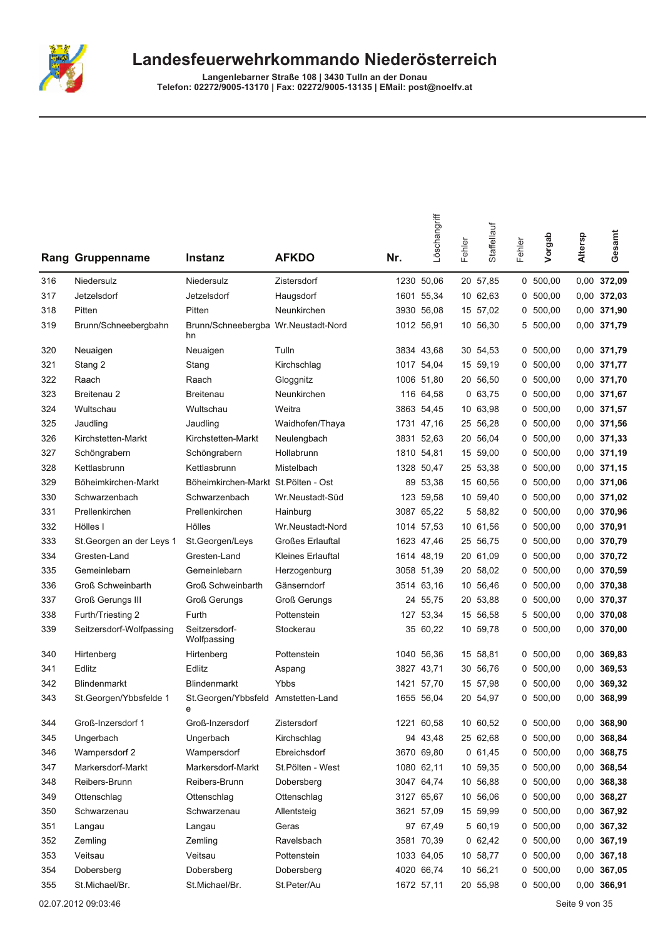

Langenlebarner Straße 108 | 3430 Tulln an der Donau<br>Telefon: 02272/9005-13170 | Fax: 02272/9005-13135 | EMail: post@noelfv.at

| Rang | Gruppenname               | <b>Instanz</b>                            | <b>AFKDO</b>            | Nr. | Löschangriff | Fehler | Staffellauf | Fehler | Vorgab     | Altersp | Gesamt        |
|------|---------------------------|-------------------------------------------|-------------------------|-----|--------------|--------|-------------|--------|------------|---------|---------------|
| 316  | Niedersulz                | Niedersulz                                | Zistersdorf             |     | 1230 50,06   |        | 20 57,85    |        | 0, 500, 00 |         | 0,00 372,09   |
| 317  | Jetzelsdorf               | Jetzelsdorf                               | Haugsdorf               |     | 1601 55,34   |        | 10 62,63    | 0      | 500,00     |         | 0,00 372,03   |
| 318  | Pitten                    | Pitten                                    | Neunkirchen             |     | 3930 56,08   |        | 15 57,02    | 0      | 500,00     |         | 0,00 371,90   |
| 319  | Brunn/Schneebergbahn      | Brunn/Schneebergba Wr.Neustadt-Nord<br>hn |                         |     | 1012 56,91   |        | 10 56,30    | 5      | 500,00     |         | 0,00 371,79   |
| 320  | Neuaigen                  | Neuaigen                                  | Tulln                   |     | 3834 43,68   |        | 30 54,53    | 0      | 500,00     |         | 0,00 371,79   |
| 321  | Stang 2                   | Stang                                     | Kirchschlag             |     | 1017 54,04   |        | 15 59,19    |        | 0, 500, 00 |         | 0,00 371,77   |
| 322  | Raach                     | Raach                                     | Gloggnitz               |     | 1006 51,80   |        | 20 56,50    |        | 0, 500, 00 |         | 0,00 371,70   |
| 323  | Breitenau 2               | <b>Breitenau</b>                          | Neunkirchen             |     | 116 64,58    |        | 0, 63, 75   |        | 0, 500, 00 |         | 0,00 371,67   |
| 324  | Wultschau                 | Wultschau                                 | Weitra                  |     | 3863 54,45   |        | 10 63,98    |        | 0, 500, 00 |         | 0,00 371,57   |
| 325  | Jaudling                  | Jaudling                                  | Waidhofen/Thaya         |     | 1731 47,16   |        | 25 56,28    |        | 0, 500, 00 |         | 0,00 371,56   |
| 326  | Kirchstetten-Markt        | Kirchstetten-Markt                        | Neulengbach             |     | 3831 52,63   |        | 20 56,04    |        | 0, 500, 00 |         | 0,00 371,33   |
| 327  | Schöngrabern              | Schöngrabern                              | Hollabrunn              |     | 1810 54,81   |        | 15 59,00    | 0      | 500,00     |         | 0,00 371,19   |
| 328  | Kettlasbrunn              | Kettlasbrunn                              | Mistelbach              |     | 1328 50,47   |        | 25 53,38    |        | 0, 500, 00 |         | 0,00 371,15   |
| 329  | Böheimkirchen-Markt       | Böheimkirchen-Markt St.Pölten - Ost       |                         | 89  | 53,38        |        | 15 60,56    | 0      | 500,00     |         | 0,00 371,06   |
| 330  | Schwarzenbach             | Schwarzenbach                             | Wr.Neustadt-Süd         |     | 123 59,58    |        | 10 59,40    | 0      | 500,00     |         | 0,00 371,02   |
| 331  | Prellenkirchen            | Prellenkirchen                            | Hainburg                |     | 3087 65,22   |        | 5 58,82     |        | 0, 500, 00 |         | 0,00 370,96   |
| 332  | Hölles I                  | Hölles                                    | Wr.Neustadt-Nord        |     | 1014 57,53   |        | 10 61,56    |        | 0, 500, 00 |         | 0,00 370,91   |
| 333  | St. Georgen an der Leys 1 | St.Georgen/Leys                           | <b>Großes Erlauftal</b> |     | 1623 47,46   |        | 25 56,75    |        | 0, 500, 00 |         | 0,00 370,79   |
| 334  | Gresten-Land              | Gresten-Land                              | Kleines Erlauftal       |     | 1614 48,19   |        | 20 61,09    |        | 0, 500, 00 |         | 0,00 370,72   |
| 335  | Gemeinlebarn              | Gemeinlebarn                              | Herzogenburg            |     | 3058 51,39   |        | 20 58,02    | 0      | 500,00     |         | 0,00 370,59   |
| 336  | Groß Schweinbarth         | <b>Groß Schweinbarth</b>                  | Gänserndorf             |     | 3514 63,16   |        | 10 56,46    |        | 0, 500, 00 |         | 0,00 370,38   |
| 337  | <b>Groß Gerungs III</b>   | <b>Groß Gerungs</b>                       | <b>Groß Gerungs</b>     |     | 24 55,75     |        | 20 53,88    | 0      | 500,00     |         | 0,00 370,37   |
| 338  | Furth/Triesting 2         | Furth                                     | Pottenstein             |     | 127 53,34    |        | 15 56,58    | 5      | 500,00     |         | 0,00 370,08   |
| 339  | Seitzersdorf-Wolfpassing  | Seitzersdorf-<br>Wolfpassing              | Stockerau               |     | 35 60,22     |        | 10 59,78    |        | 0, 500, 00 |         | 0,00 370,00   |
| 340  | Hirtenberg                | Hirtenberg                                | Pottenstein             |     | 1040 56,36   |        | 15 58,81    |        | 0, 500, 00 |         | 0,00 369,83   |
| 341  | Edlitz                    | Edlitz                                    | Aspang                  |     | 3827 43,71   |        | 30 56,76    |        | 0, 500, 00 |         | 0,00 369,53   |
| 342  | <b>Blindenmarkt</b>       | Blindenmarkt                              | Ybbs                    |     | 1421 57,70   |        | 15 57,98    | 0      | 500,00     |         | 0.00 369,32   |
| 343  | St.Georgen/Ybbsfelde 1    | St.Georgen/Ybbsfeld Amstetten-Land<br>е   |                         |     | 1655 56,04   |        | 20 54,97    |        | 0, 500, 00 |         | 0,00 368,99   |
| 344  | Groß-Inzersdorf 1         | Groß-Inzersdorf                           | Zistersdorf             |     | 1221 60,58   |        | 10 60,52    |        | 0, 500, 00 |         | 0,00 368,90   |
| 345  | Ungerbach                 | Ungerbach                                 | Kirchschlag             |     | 94 43,48     |        | 25 62,68    |        | 0, 500, 00 |         | 0,00 368,84   |
| 346  | Wampersdorf 2             | Wampersdorf                               | Ebreichsdorf            |     | 3670 69,80   |        | 061,45      |        | 0, 500, 00 |         | 0,00 368,75   |
| 347  | Markersdorf-Markt         | Markersdorf-Markt                         | St.Pölten - West        |     | 1080 62,11   |        | 10 59,35    |        | 0, 500, 00 |         | 0,00 368,54   |
| 348  | Reibers-Brunn             | Reibers-Brunn                             | Dobersberg              |     | 3047 64,74   |        | 10 56,88    |        | 0, 500, 00 |         | 0,00 368,38   |
| 349  | Ottenschlag               | Ottenschlag                               | Ottenschlag             |     | 3127 65,67   |        | 10 56,06    |        | 0, 500, 00 |         | 0,00 368,27   |
| 350  | Schwarzenau               | Schwarzenau                               | Allentsteig             |     | 3621 57,09   |        | 15 59,99    |        | 0, 500, 00 |         | 0,00 367,92   |
| 351  | Langau                    | Langau                                    | Geras                   |     | 97 67,49     |        | 5 60,19     |        | 0, 500, 00 |         | 0,00 367,32   |
| 352  | Zemling                   | Zemling                                   | Ravelsbach              |     | 3581 70,39   |        | 062,42      |        | 0, 500, 00 |         | 0,00 367,19   |
| 353  | Veitsau                   | Veitsau                                   | Pottenstein             |     | 1033 64,05   |        | 10 58,77    |        | 0, 500, 00 |         | $0,00$ 367,18 |
| 354  | Dobersberg                | Dobersberg                                | Dobersberg              |     | 4020 66,74   |        | 10 56,21    |        | 0, 500, 00 |         | 0,00 367,05   |
| 355  | St.Michael/Br.            | St.Michael/Br.                            | St.Peter/Au             |     | 1672 57,11   |        | 20 55,98    |        | 0, 500, 00 |         | 0,00 366,91   |

02.07.2012 09:03:46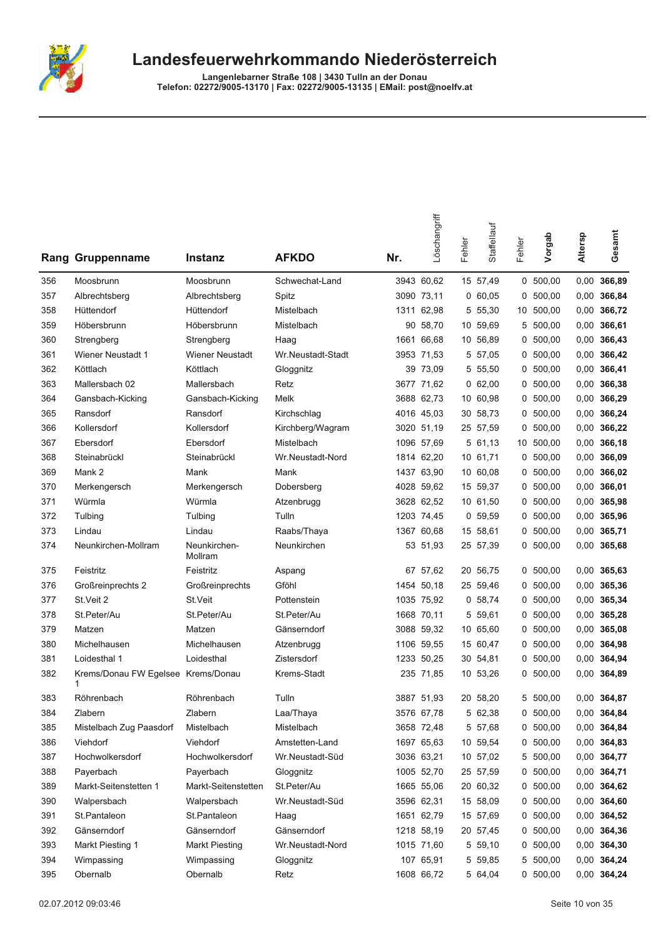

|     | Rang Gruppenname                        | Instanz                 | <b>AFKDO</b>      | Nr. | Löschangriff | Fehler | Staffellauf | Fehler | Vorgab     | Altersp | Gesamt        |
|-----|-----------------------------------------|-------------------------|-------------------|-----|--------------|--------|-------------|--------|------------|---------|---------------|
| 356 | Moosbrunn                               | Moosbrunn               | Schwechat-Land    |     | 3943 60,62   |        | 15 57,49    |        | 0, 500, 00 |         | 0,00 366,89   |
| 357 | Albrechtsberg                           | Albrechtsberg           | Spitz             |     | 3090 73,11   |        | 0,60,05     | 0      | 500,00     |         | 0,00 366,84   |
| 358 | Hüttendorf                              | Hüttendorf              | Mistelbach        |     | 1311 62,98   |        | 5 55,30     |        | 10 500,00  |         | 0,00 366,72   |
| 359 | Höbersbrunn                             | Höbersbrunn             | Mistelbach        |     | 90 58,70     |        | 10 59,69    |        | 5 500,00   | 0,00    | 366,61        |
| 360 | Strengberg                              | Strengberg              | Haag              |     | 1661 66,68   |        | 10 56,89    |        | 0, 500, 00 |         | 0,00 366,43   |
| 361 | <b>Wiener Neustadt 1</b>                | Wiener Neustadt         | Wr.Neustadt-Stadt |     | 3953 71,53   |        | 5 57,05     |        | 0, 500, 00 |         | 0,00 366,42   |
| 362 | Köttlach                                | Köttlach                | Gloggnitz         |     | 39 73,09     |        | 5 55,50     | 0      | 500,00     | 0,00    | 366,41        |
| 363 | Mallersbach 02                          | Mallersbach             | Retz              |     | 3677 71,62   |        | 062,00      | 0      | 500,00     | 0,00    | 366,38        |
| 364 | Gansbach-Kicking                        | Gansbach-Kicking        | Melk              |     | 3688 62,73   |        | 10 60,98    | 0      | 500,00     |         | 0,00 366,29   |
| 365 | Ransdorf                                | Ransdorf                | Kirchschlag       |     | 4016 45,03   |        | 30 58,73    |        | 0, 500, 00 |         | 0,00 366,24   |
| 366 | Kollersdorf                             | Kollersdorf             | Kirchberg/Wagram  |     | 3020 51,19   |        | 25 57,59    |        | 0, 500, 00 |         | 0,00 366,22   |
| 367 | Ebersdorf                               | Ebersdorf               | Mistelbach        |     | 1096 57,69   |        | 5 61,13     | 10     | 500,00     |         | 0,00 366,18   |
| 368 | Steinabrückl                            | Steinabrückl            | Wr.Neustadt-Nord  |     | 1814 62,20   |        | 10 61,71    |        | 0, 500, 00 |         | 0,00 366,09   |
| 369 | Mank 2                                  | Mank                    | Mank              |     | 1437 63,90   |        | 10 60,08    |        | 0, 500, 00 |         | 0,00 366,02   |
| 370 | Merkengersch                            | Merkengersch            | Dobersberg        |     | 4028 59,62   |        | 15 59,37    |        | 0, 500, 00 |         | $0,00$ 366,01 |
| 371 | Würmla                                  | Würmla                  | Atzenbrugg        |     | 3628 62,52   |        | 10 61,50    |        | 0, 500, 00 |         | 0.00 365,98   |
| 372 | Tulbing                                 | Tulbing                 | Tulln             |     | 1203 74,45   |        | 0, 59, 59   | 0      | 500,00     |         | 0,00 365,96   |
| 373 | Lindau                                  | Lindau                  | Raabs/Thaya       |     | 1367 60,68   |        | 15 58,61    | 0      | 500,00     |         | 0,00 365,71   |
| 374 | Neunkirchen-Mollram                     | Neunkirchen-<br>Mollram | Neunkirchen       |     | 53 51,93     |        | 25 57,39    |        | 0, 500, 00 |         | 0,00 365,68   |
| 375 | Feistritz                               | Feistritz               | Aspang            |     | 67 57,62     |        | 20 56,75    |        | 0, 500, 00 |         | 0,00 365,63   |
| 376 | Großreinprechts 2                       | Großreinprechts         | Gföhl             |     | 1454 50,18   |        | 25 59,46    |        | 0, 500, 00 |         | 0,00 365,36   |
| 377 | St.Veit 2                               | St.Veit                 | Pottenstein       |     | 1035 75,92   |        | 0, 58, 74   | 0      | 500,00     |         | 0,00 365,34   |
| 378 | St.Peter/Au                             | St.Peter/Au             | St.Peter/Au       |     | 1668 70,11   |        | 5 59,61     |        | 0, 500, 00 |         | 0,00 365,28   |
| 379 | Matzen                                  | Matzen                  | Gänserndorf       |     | 3088 59,32   |        | 10 65,60    |        | 0, 500, 00 |         | 0,00 365,08   |
| 380 | Michelhausen                            | Michelhausen            | Atzenbrugg        |     | 1106 59,55   |        | 15 60,47    | 0      | 500,00     |         | 0,00 364,98   |
| 381 | Loidesthal 1                            | Loidesthal              | Zistersdorf       |     | 1233 50,25   |        | 30 54,81    |        | 0, 500, 00 |         | 0,00 364,94   |
| 382 | Krems/Donau FW Egelsee Krems/Donau<br>1 |                         | Krems-Stadt       |     | 235 71,85    |        | 10 53,26    |        | 0, 500, 00 |         | 0,00 364,89   |
| 383 | Röhrenbach                              | Röhrenbach              | Tulln             |     | 3887 51,93   |        | 20 58,20    |        | 5 500,00   |         | 0,00 364,87   |
| 384 | Zlabern                                 | Zlabern                 | Laa/Thaya         |     | 3576 67,78   |        | 5 62,38     |        | 0 500,00   |         | 0,00 364,84   |
| 385 | Mistelbach Zug Paasdorf                 | Mistelbach              | Mistelbach        |     | 3658 72,48   |        | 5 57,68     |        | 0, 500, 00 |         | 0,00 364,84   |
| 386 | Viehdorf                                | Viehdorf                | Amstetten-Land    |     | 1697 65,63   |        | 10 59,54    |        | 0, 500, 00 |         | 0,00 364,83   |
| 387 | Hochwolkersdorf                         | Hochwolkersdorf         | Wr.Neustadt-Süd   |     | 3036 63,21   |        | 10 57,02    | 5      | 500,00     |         | 0,00 364,77   |
| 388 | Payerbach                               | Payerbach               | Gloggnitz         |     | 1005 52,70   |        | 25 57,59    |        | 0, 500, 00 |         | 0,00 364,71   |
| 389 | Markt-Seitenstetten 1                   | Markt-Seitenstetten     | St.Peter/Au       |     | 1665 55,06   |        | 20 60,32    |        | 0, 500, 00 |         | 0,00 364,62   |
| 390 | Walpersbach                             | Walpersbach             | Wr.Neustadt-Süd   |     | 3596 62,31   |        | 15 58,09    |        | 0, 500, 00 |         | $0,00$ 364,60 |
| 391 | St.Pantaleon                            | St.Pantaleon            | Haag              |     | 1651 62,79   |        | 15 57,69    |        | 0, 500, 00 |         | 0,00 364,52   |
| 392 | Gänserndorf                             | Gänserndorf             | Gänserndorf       |     | 1218 58,19   |        | 20 57,45    |        | 0, 500, 00 |         | 0,00 364,36   |
| 393 | Markt Piesting 1                        | <b>Markt Piesting</b>   | Wr.Neustadt-Nord  |     | 1015 71,60   |        | 5 59,10     |        | 0 500,00   |         | 0,00 364,30   |
| 394 | Wimpassing                              | Wimpassing              | Gloggnitz         |     | 107 65,91    |        | 5 59,85     | 5      | 500,00     |         | 0,00 364,24   |
| 395 | Obernalb                                | Obernalb                | Retz              |     | 1608 66,72   |        | 5 64,04     |        | 0, 500, 00 |         | 0,00 364,24   |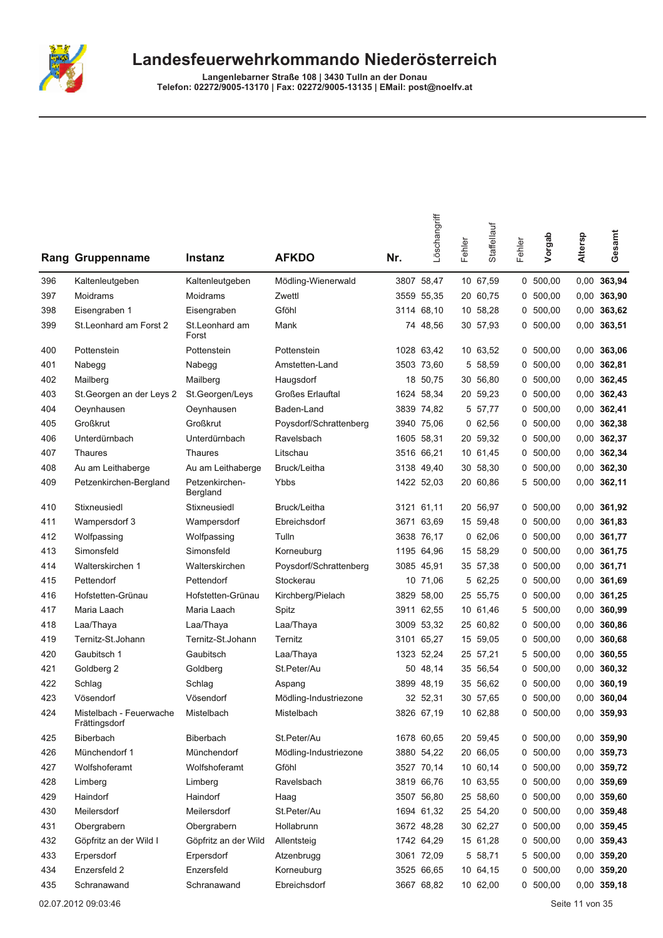

|     | Rang Gruppenname                         | Instanz                    | <b>AFKDO</b>           | Nr. | Löschangriff | Fehler | Staffellauf | Fehler | Vorgab     | Altersp | Gesamt        |
|-----|------------------------------------------|----------------------------|------------------------|-----|--------------|--------|-------------|--------|------------|---------|---------------|
| 396 | Kaltenleutgeben                          | Kaltenleutgeben            | Mödling-Wienerwald     |     | 3807 58,47   |        | 10 67,59    |        | 0, 500, 00 |         | 0,00 363,94   |
| 397 | Moidrams                                 | Moidrams                   | Zwettl                 |     | 3559 55,35   |        | 20 60,75    | 0      | 500,00     |         | $0,00$ 363,90 |
| 398 | Eisengraben 1                            | Eisengraben                | Gföhl                  |     | 3114 68,10   |        | 10 58,28    | 0      | 500,00     |         | 0,00 363,62   |
| 399 | St. Leonhard am Forst 2                  | St.Leonhard am<br>Forst    | Mank                   |     | 74 48,56     |        | 30 57,93    |        | 0, 500, 00 |         | 0,00 363,51   |
| 400 | Pottenstein                              | Pottenstein                | Pottenstein            |     | 1028 63,42   |        | 10 63,52    |        | 0, 500, 00 |         | 0,00 363,06   |
| 401 | Nabegg                                   | Nabegg                     | Amstetten-Land         |     | 3503 73,60   |        | 5 58,59     |        | 0, 500, 00 |         | 0,00 362,81   |
| 402 | Mailberg                                 | Mailberg                   | Haugsdorf              |     | 18 50,75     |        | 30 56,80    |        | 0, 500, 00 |         | 0,00 362,45   |
| 403 | St. Georgen an der Leys 2                | St.Georgen/Leys            | Großes Erlauftal       |     | 1624 58,34   |        | 20 59,23    |        | 0, 500, 00 |         | 0,00 362,43   |
| 404 | Oeynhausen                               | Oeynhausen                 | Baden-Land             |     | 3839 74,82   |        | 5 57,77     |        | 0, 500, 00 |         | 0,00 362,41   |
| 405 | Großkrut                                 | Großkrut                   | Poysdorf/Schrattenberg |     | 3940 75,06   |        | 062,56      | 0      | 500,00     |         | 0,00 362,38   |
| 406 | Unterdürnbach                            | Unterdürnbach              | Ravelsbach             |     | 1605 58,31   |        | 20 59,32    |        | 0, 500, 00 |         | 0,00 362,37   |
| 407 | Thaures                                  | <b>Thaures</b>             | Litschau               |     | 3516 66,21   |        | 10 61,45    |        | 0, 500, 00 |         | 0,00 362,34   |
| 408 | Au am Leithaberge                        | Au am Leithaberge          | Bruck/Leitha           |     | 3138 49,40   |        | 30 58,30    |        | 0, 500, 00 |         | $0,00$ 362,30 |
| 409 | Petzenkirchen-Bergland                   | Petzenkirchen-<br>Bergland | Ybbs                   |     | 1422 52,03   |        | 20 60,86    |        | 5 500,00   |         | $0,00$ 362,11 |
| 410 | Stixneusiedl                             | Stixneusiedl               | Bruck/Leitha           |     | 3121 61,11   |        | 20 56,97    |        | 0, 500, 00 |         | 0,00 361,92   |
| 411 | Wampersdorf 3                            | Wampersdorf                | Ebreichsdorf           |     | 3671 63,69   |        | 15 59,48    |        | 0, 500, 00 |         | $0,00$ 361,83 |
| 412 | Wolfpassing                              | Wolfpassing                | Tulln                  |     | 3638 76,17   |        | 062,06      | 0      | 500,00     |         | 0,00 361,77   |
| 413 | Simonsfeld                               | Simonsfeld                 | Korneuburg             |     | 1195 64,96   |        | 15 58,29    |        | 0, 500, 00 |         | 0,00 361,75   |
| 414 | Walterskirchen 1                         | Walterskirchen             | Poysdorf/Schrattenberg |     | 3085 45,91   |        | 35 57,38    |        | 0, 500, 00 |         | 0,00 361,71   |
| 415 | Pettendorf                               | Pettendorf                 | Stockerau              |     | 10 71,06     |        | 5 62,25     |        | 0, 500, 00 |         | 0,00 361,69   |
| 416 | Hofstetten-Grünau                        | Hofstetten-Grünau          | Kirchberg/Pielach      |     | 3829 58,00   |        | 25 55,75    |        | 0, 500, 00 |         | 0,00 361,25   |
| 417 | Maria Laach                              | Maria Laach                | Spitz                  |     | 3911 62,55   |        | 10 61,46    | 5      | 500,00     |         | 0,00 360,99   |
| 418 | Laa/Thaya                                | Laa/Thaya                  | Laa/Thaya              |     | 3009 53,32   |        | 25 60,82    |        | 0, 500, 00 | 0,00    | 360,86        |
| 419 | Ternitz-St.Johann                        | Ternitz-St.Johann          | Ternitz                |     | 3101 65,27   |        | 15 59,05    | 0      | 500,00     |         | 0,00 360,68   |
| 420 | Gaubitsch 1                              | Gaubitsch                  | Laa/Thaya              |     | 1323 52,24   |        | 25 57,21    |        | 5 500,00   |         | 0,00 360,55   |
| 421 | Goldberg 2                               | Goldberg                   | St.Peter/Au            |     | 50 48,14     |        | 35 56,54    |        | 0, 500, 00 |         | 0,00 360,32   |
| 422 | Schlag                                   | Schlag                     | Aspang                 |     | 3899 48.19   |        | 35 56,62    | 0      | 500,00     |         | $0,00$ 360,19 |
| 423 | Vösendorf                                | Vösendorf                  | Mödling-Industriezone  |     | 32 52,31     |        | 30 57,65    |        | 0, 500, 00 |         | 0,00 360,04   |
| 424 | Mistelbach - Feuerwache<br>Frättingsdorf | Mistelbach                 | Mistelbach             |     | 3826 67,19   |        | 10 62,88    |        | 0 500,00   |         | 0,00 359,93   |
| 425 | Biberbach                                | Biberbach                  | St.Peter/Au            |     | 1678 60,65   |        | 20 59,45    |        | 0, 500, 00 |         | 0,00 359,90   |
| 426 | Münchendorf 1                            | Münchendorf                | Mödling-Industriezone  |     | 3880 54,22   |        | 20 66,05    |        | 0, 500, 00 |         | 0,00 359,73   |
| 427 | Wolfshoferamt                            | Wolfshoferamt              | Gföhl                  |     | 3527 70,14   |        | 10 60,14    |        | 0, 500, 00 |         | 0,00 359,72   |
| 428 | Limberg                                  | Limberg                    | Ravelsbach             |     | 3819 66,76   |        | 10 63,55    |        | 0, 500, 00 |         | 0,00 359,69   |
| 429 | Haindorf                                 | Haindorf                   | Haag                   |     | 3507 56,80   |        | 25 58,60    |        | 0, 500, 00 |         | $0,00$ 359,60 |
| 430 | Meilersdorf                              | Meilersdorf                | St.Peter/Au            |     | 1694 61,32   |        | 25 54,20    |        | 0, 500, 00 |         | 0,00 359,48   |
| 431 | Obergrabern                              | Obergrabern                | Hollabrunn             |     | 3672 48,28   |        | 30 62,27    |        | 0, 500, 00 |         | 0,00 359,45   |
| 432 | Göpfritz an der Wild I                   | Göpfritz an der Wild       | Allentsteig            |     | 1742 64,29   |        | 15 61,28    |        | 0, 500, 00 |         | 0,00 359,43   |
| 433 | Erpersdorf                               | Erpersdorf                 | Atzenbrugg             |     | 3061 72,09   |        | 5 58,71     |        | 5 500,00   |         | $0,00$ 359,20 |
| 434 | Enzersfeld 2                             | Enzersfeld                 | Korneuburg             |     | 3525 66,65   |        | 10 64,15    |        | 0, 500, 00 |         | $0,00$ 359,20 |
| 435 | Schranawand                              | Schranawand                | Ebreichsdorf           |     | 3667 68,82   |        | 10 62,00    |        | 0, 500, 00 |         | $0,00$ 359,18 |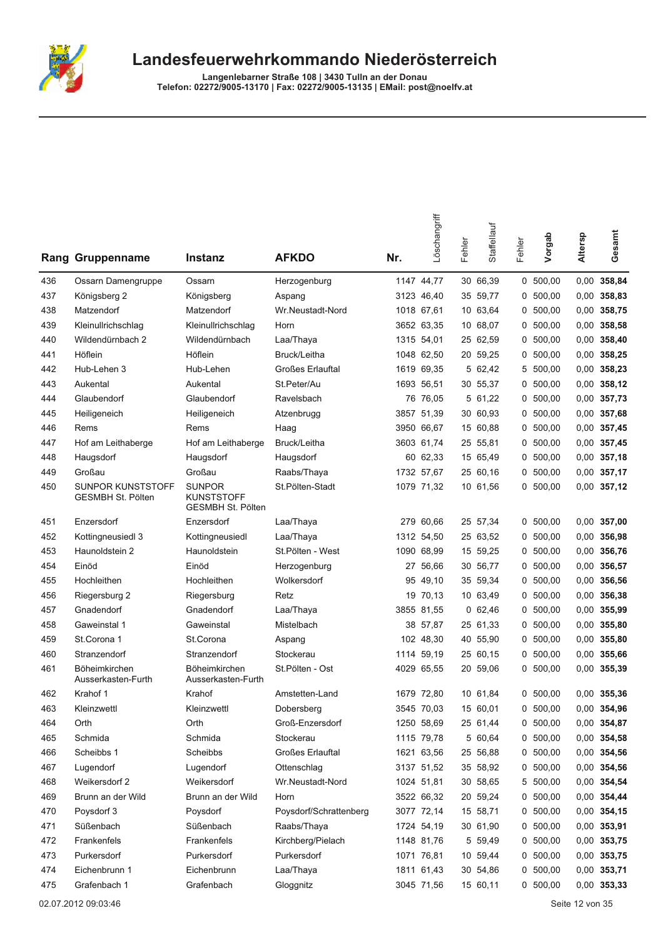

Langenlebarner Straße 108 | 3430 Tulln an der Donau<br>Telefon: 02272/9005-13170 | Fax: 02272/9005-13135 | EMail: post@noelfv.at

| Rang | Gruppenname                                   | Instanz                                                        | <b>AFKDO</b>            | Nr. | Löschangriff | Fehler | Staffellauf | Fehler | Vorgab     | Altersp | Gesamt        |
|------|-----------------------------------------------|----------------------------------------------------------------|-------------------------|-----|--------------|--------|-------------|--------|------------|---------|---------------|
| 436  | Ossarn Damengruppe                            | Ossarn                                                         | Herzogenburg            |     | 1147 44,77   |        | 30 66,39    |        | 0, 500, 00 | 0,00    | 358,84        |
| 437  | Königsberg 2                                  | Königsberg                                                     | Aspang                  |     | 3123 46,40   |        | 35 59,77    | 0      | 500,00     | 0,00    | 358,83        |
| 438  | Matzendorf                                    | Matzendorf                                                     | Wr.Neustadt-Nord        |     | 1018 67,61   |        | 10 63,64    | 0      | 500,00     | 0,00    | 358,75        |
| 439  | Kleinullrichschlag                            | Kleinullrichschlag                                             | Horn                    |     | 3652 63,35   |        | 10 68,07    | 0      | 500,00     | 0,00    | 358,58        |
| 440  | Wildendürnbach 2                              | Wildendürnbach                                                 | Laa/Thaya               |     | 1315 54,01   |        | 25 62,59    | 0      | 500,00     | 0,00    | 358,40        |
| 441  | Höflein                                       | Höflein                                                        | Bruck/Leitha            |     | 1048 62,50   |        | 20 59,25    |        | 0, 500, 00 | 0,00    | 358,25        |
| 442  | Hub-Lehen 3                                   | Hub-Lehen                                                      | <b>Großes Erlauftal</b> |     | 1619 69,35   |        | 5 62,42     | 5      | 500,00     | 0,00    | 358,23        |
| 443  | Aukental                                      | Aukental                                                       | St.Peter/Au             |     | 1693 56,51   |        | 30 55,37    | 0      | 500,00     | 0,00    | 358,12        |
| 444  | Glaubendorf                                   | Glaubendorf                                                    | Ravelsbach              |     | 76 76,05     |        | 5 61,22     | 0      | 500,00     | 0,00    | 357,73        |
| 445  | Heiligeneich                                  | Heiligeneich                                                   | Atzenbrugg              |     | 3857 51,39   |        | 30 60,93    | 0      | 500,00     | 0,00    | 357,68        |
| 446  | Rems                                          | Rems                                                           | Haag                    |     | 3950 66,67   |        | 15 60,88    | 0      | 500,00     | 0,00    | 357,45        |
| 447  | Hof am Leithaberge                            | Hof am Leithaberge                                             | Bruck/Leitha            |     | 3603 61,74   |        | 25 55,81    | 0      | 500,00     | 0,00    | 357,45        |
| 448  | Haugsdorf                                     | Haugsdorf                                                      | Haugsdorf               |     | 60 62,33     |        | 15 65,49    | 0      | 500,00     | 0,00    | 357,18        |
| 449  | Großau                                        | Großau                                                         | Raabs/Thaya             |     | 1732 57,67   |        | 25 60,16    | 0      | 500,00     |         | 0,00 357,17   |
| 450  | SUNPOR KUNSTSTOFF<br><b>GESMBH St. Pölten</b> | <b>SUNPOR</b><br><b>KUNSTSTOFF</b><br><b>GESMBH St. Pölten</b> | St.Pölten-Stadt         |     | 1079 71,32   |        | 10 61,56    |        | 0, 500, 00 |         | $0,00$ 357,12 |
| 451  | Enzersdorf                                    | Enzersdorf                                                     | Laa/Thaya               |     | 279 60,66    |        | 25 57,34    | 0      | 500,00     |         | $0,00$ 357,00 |
| 452  | Kottingneusiedl 3                             | Kottingneusiedl                                                | Laa/Thaya               |     | 1312 54,50   |        | 25 63,52    | 0      | 500,00     | 0,00    | 356,98        |
| 453  | Haunoldstein 2                                | Haunoldstein                                                   | St.Pölten - West        |     | 1090 68,99   |        | 15 59,25    | 0      | 500,00     | 0,00    | 356,76        |
| 454  | Einöd                                         | Einöd                                                          | Herzogenburg            |     | 27 56,66     |        | 30 56,77    | 0      | 500,00     | 0,00    | 356,57        |
| 455  | Hochleithen                                   | Hochleithen                                                    | Wolkersdorf             |     | 95 49,10     |        | 35 59,34    | 0      | 500,00     | 0,00    | 356,56        |
| 456  | Riegersburg 2                                 | Riegersburg                                                    | Retz                    |     | 19 70,13     |        | 10 63,49    | 0      | 500,00     | 0,00    | 356,38        |
| 457  | Gnadendorf                                    | Gnadendorf                                                     | Laa/Thaya               |     | 3855 81,55   |        | 062,46      | 0      | 500,00     | 0,00    | 355,99        |
| 458  | Gaweinstal 1                                  | Gaweinstal                                                     | Mistelbach              |     | 38 57,87     |        | 25 61,33    | 0      | 500,00     | 0,00    | 355,80        |
| 459  | St.Corona 1                                   | St.Corona                                                      | Aspang                  |     | 102 48,30    |        | 40 55,90    | 0      | 500,00     | 0,00    | 355,80        |
| 460  | Stranzendorf                                  | Stranzendorf                                                   | Stockerau               |     | 1114 59,19   |        | 25 60,15    | 0      | 500,00     | 0,00    | 355,66        |
| 461  | Böheimkirchen<br>Ausserkasten-Furth           | Böheimkirchen<br>Ausserkasten-Furth                            | St.Pölten - Ost         |     | 4029 65,55   |        | 20 59,06    |        | 0, 500, 00 | 0,00    | 355,39        |
| 462  | Krahof 1                                      | Krahof                                                         | Amstetten-Land          |     | 1679 72,80   |        | 10 61,84    |        | 0, 500, 00 |         | 0,00 355,36   |
| 463  | Kleinzwettl                                   | Kleinzwettl                                                    | Dobersberg              |     | 3545 70.03   |        | 15 60,01    |        | 0, 500, 00 |         | 0,00 354,96   |
| 464  | Orth                                          | Orth                                                           | Groß-Enzersdorf         |     | 1250 58,69   |        | 25 61,44    |        | 0 500,00   |         | 0,00 354,87   |
| 465  | Schmida                                       | Schmida                                                        | Stockerau               |     | 1115 79,78   |        | 5 60,64     | 0      | 500,00     |         | 0,00 354,58   |
| 466  | Scheibbs 1                                    | Scheibbs                                                       | Großes Erlauftal        |     | 1621 63,56   |        | 25 56,88    | 0      | 500,00     |         | 0,00 354,56   |
| 467  | Lugendorf                                     | Lugendorf                                                      | Ottenschlag             |     | 3137 51,52   |        | 35 58,92    |        | 0, 500, 00 |         | 0,00 354,56   |
| 468  | Weikersdorf 2                                 | Weikersdorf                                                    | Wr.Neustadt-Nord        |     | 1024 51,81   |        | 30 58,65    |        | 5 500,00   |         | 0,00 354,54   |
| 469  | Brunn an der Wild                             | Brunn an der Wild                                              | Horn                    |     | 3522 66,32   |        | 20 59,24    | 0      | 500,00     |         | 0,00 354,44   |
| 470  | Poysdorf 3                                    | Poysdorf                                                       | Poysdorf/Schrattenberg  |     | 3077 72,14   |        | 15 58,71    | 0      | 500,00     |         | 0,00 354,15   |
| 471  | Süßenbach                                     | Süßenbach                                                      | Raabs/Thaya             |     | 1724 54,19   |        | 30 61,90    | 0      | 500,00     |         | 0,00 353,91   |
| 472  | Frankenfels                                   | Frankenfels                                                    | Kirchberg/Pielach       |     | 1148 81,76   |        | 5 59,49     |        | 0 500,00   |         | 0,00 353,75   |
| 473  | Purkersdorf                                   | Purkersdorf                                                    | Purkersdorf             |     | 1071 76,81   |        | 10 59,44    |        | 0, 500, 00 |         | 0,00 353,75   |
| 474  | Eichenbrunn 1                                 | Eichenbrunn                                                    | Laa/Thaya               |     | 1811 61,43   |        | 30 54,86    |        | 0, 500, 00 |         | 0,00 353,71   |
| 475  | Grafenbach 1                                  | Grafenbach                                                     | Gloggnitz               |     | 3045 71,56   |        | 15 60,11    |        | 0, 500, 00 |         | 0,00 353,33   |

02.07.2012 09:03:46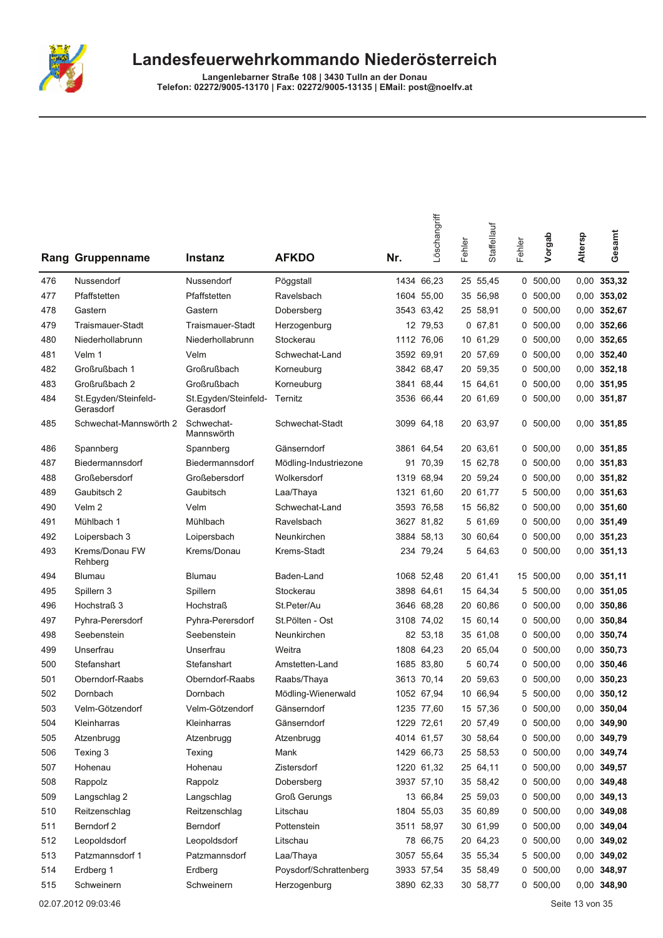

Langenlebarner Straße 108 | 3430 Tulln an der Donau<br>Telefon: 02272/9005-13170 | Fax: 02272/9005-13135 | EMail: post@noelfv.at

|     | <b>Rang Gruppenname</b>           | <b>Instanz</b>                    | <b>AFKDO</b>           | Nr. | Löschangriff | Fehler | Staffellauf | Fehler | Vorgab     | Altersp | Gesamt        |
|-----|-----------------------------------|-----------------------------------|------------------------|-----|--------------|--------|-------------|--------|------------|---------|---------------|
| 476 | Nussendorf                        | Nussendorf                        | Pöggstall              |     | 1434 66,23   |        | 25 55,45    |        | 0, 500, 00 | 0,00    | 353,32        |
| 477 | Pfaffstetten                      | Pfaffstetten                      | Ravelsbach             |     | 1604 55,00   |        | 35 56,98    | 0      | 500,00     |         | $0,00$ 353,02 |
| 478 | Gastern                           | Gastern                           | Dobersberg             |     | 3543 63,42   |        | 25 58,91    | 0      | 500,00     | 0,00    | 352,67        |
| 479 | <b>Traismauer-Stadt</b>           | Traismauer-Stadt                  | Herzogenburg           |     | 12 79,53     |        | 0, 67, 81   | 0      | 500,00     | 0,00    | 352,66        |
| 480 | Niederhollabrunn                  | Niederhollabrunn                  | Stockerau              |     | 1112 76,06   |        | 10 61,29    |        | 0, 500, 00 |         | 0,00 352,65   |
| 481 | Velm 1                            | Velm                              | Schwechat-Land         |     | 3592 69,91   |        | 20 57,69    |        | 0, 500, 00 |         | 0,00 352,40   |
| 482 | Großrußbach 1                     | Großrußbach                       | Korneuburg             |     | 3842 68,47   |        | 20 59,35    | 0      | 500,00     | 0,00    | 352,18        |
| 483 | Großrußbach 2                     | Großrußbach                       | Korneuburg             |     | 3841 68,44   |        | 15 64,61    | 0      | 500,00     | 0,00    | 351,95        |
| 484 | St.Egyden/Steinfeld-<br>Gerasdorf | St.Egyden/Steinfeld-<br>Gerasdorf | Ternitz                |     | 3536 66,44   |        | 20 61,69    | 0      | 500,00     |         | 0,00 351,87   |
| 485 | Schwechat-Mannswörth 2            | Schwechat-<br>Mannswörth          | Schwechat-Stadt        |     | 3099 64,18   |        | 20 63,97    |        | 0, 500, 00 |         | 0,00 351,85   |
| 486 | Spannberg                         | Spannberg                         | Gänserndorf            |     | 3861 64,54   |        | 20 63,61    |        | 0, 500, 00 |         | 0,00 351,85   |
| 487 | Biedermannsdorf                   | Biedermannsdorf                   | Mödling-Industriezone  |     | 91 70,39     |        | 15 62,78    | 0      | 500,00     | 0,00    | 351,83        |
| 488 | Großebersdorf                     | Großebersdorf                     | Wolkersdorf            |     | 1319 68,94   |        | 20 59,24    |        | 0, 500, 00 |         | 0,00 351,82   |
| 489 | Gaubitsch 2                       | Gaubitsch                         | Laa/Thaya              |     | 1321 61,60   |        | 20 61,77    | 5      | 500,00     | 0,00    | 351,63        |
| 490 | Velm <sub>2</sub>                 | Velm                              | Schwechat-Land         |     | 3593 76,58   |        | 15 56,82    | 0      | 500,00     | 0,00    | 351,60        |
| 491 | Mühlbach 1                        | Mühlbach                          | Ravelsbach             |     | 3627 81,82   |        | 5 61,69     |        | 0, 500, 00 |         | 0,00 351,49   |
| 492 | Loipersbach 3                     | Loipersbach                       | Neunkirchen            |     | 3884 58.13   |        | 30 60,64    | 0      | 500,00     | 0,00    | 351,23        |
| 493 | Krems/Donau FW<br>Rehberg         | Krems/Donau                       | Krems-Stadt            |     | 234 79.24    |        | 5 64,63     |        | 0, 500, 00 |         | $0,00$ 351,13 |
| 494 | Blumau                            | Blumau                            | Baden-Land             |     | 1068 52,48   |        | 20 61,41    |        | 15 500,00  |         | $0,00$ 351,11 |
| 495 | Spillern 3                        | Spillern                          | Stockerau              |     | 3898 64,61   |        | 15 64,34    | 5      | 500,00     | 0,00    | 351,05        |
| 496 | Hochstraß 3                       | <b>Hochstraß</b>                  | St.Peter/Au            |     | 3646 68,28   |        | 20 60,86    |        | 0, 500, 00 | 0,00    | 350,86        |
| 497 | Pyhra-Perersdorf                  | Pyhra-Perersdorf                  | St.Pölten - Ost        |     | 3108 74,02   |        | 15 60,14    |        | 0, 500, 00 | 0,00    | 350,84        |
| 498 | Seebenstein                       | Seebenstein                       | Neunkirchen            |     | 82 53,18     |        | 35 61,08    |        | 0, 500, 00 |         | 0,00 350,74   |
| 499 | Unserfrau                         | Unserfrau                         | Weitra                 |     | 1808 64,23   |        | 20 65,04    | 0      | 500,00     | 0,00    | 350,73        |
| 500 | Stefanshart                       | Stefanshart                       | Amstetten-Land         |     | 1685 83,80   |        | 5 60,74     | 0      | 500,00     | 0,00    | 350,46        |
| 501 | Oberndorf-Raabs                   | Oberndorf-Raabs                   | Raabs/Thaya            |     | 3613 70,14   |        | 20 59,63    | 0      | 500,00     | 0,00    | 350,23        |
| 502 | Dornbach                          | Dornbach                          | Mödling-Wienerwald     |     | 1052 67,94   |        | 10 66,94    | 5      | 500,00     | 0,00    | 350,12        |
| 503 | Velm-Götzendorf                   | Velm-Götzendorf                   | Gänserndorf            |     | 1235 77.60   |        | 15 57,36    |        | 0 500,00   |         | 0,00 350,04   |
| 504 | Kleinharras                       | Kleinharras                       | Gänserndorf            |     | 1229 72,61   |        | 20 57,49    |        | 0, 500, 00 |         | 0,00 349,90   |
| 505 | Atzenbrugg                        | Atzenbrugg                        | Atzenbrugg             |     | 4014 61,57   |        | 30 58,64    |        | 0, 500, 00 |         | 0,00 349,79   |
| 506 | Texing 3                          | Texing                            | Mank                   |     | 1429 66,73   |        | 25 58,53    |        | 0, 500, 00 |         | 0,00 349,74   |
| 507 | Hohenau                           | Hohenau                           | Zistersdorf            |     | 1220 61,32   |        | 25 64,11    |        | 0 500,00   |         | 0,00 349,57   |
| 508 | Rappolz                           | Rappolz                           | Dobersberg             |     | 3937 57,10   |        | 35 58,42    |        | 0, 500, 00 |         | 0,00 349,48   |
| 509 | Langschlag 2                      | Langschlag                        | <b>Groß Gerungs</b>    |     | 13 66,84     |        | 25 59,03    | 0      | 500,00     |         | 0,00 349,13   |
| 510 | Reitzenschlag                     | Reitzenschlag                     | Litschau               |     | 1804 55,03   |        | 35 60,89    | 0      | 500,00     |         | 0,00 349,08   |
| 511 | Berndorf 2                        | Berndorf                          | Pottenstein            |     | 3511 58,97   |        | 30 61,99    |        | 0, 500, 00 |         | 0,00 349,04   |
| 512 | Leopoldsdorf                      | Leopoldsdorf                      | Litschau               |     | 78 66,75     |        | 20 64,23    |        | 0 500,00   |         | 0,00 349,02   |
| 513 | Patzmannsdorf 1                   | Patzmannsdorf                     | Laa/Thaya              |     | 3057 55,64   |        | 35 55,34    |        | 5 500,00   |         | 0,00 349,02   |
| 514 | Erdberg 1                         | Erdberg                           | Poysdorf/Schrattenberg |     | 3933 57,54   |        | 35 58,49    |        | 0, 500, 00 |         | 0,00 348,97   |
| 515 | Schweinern                        | Schweinern                        | Herzogenburg           |     | 3890 62,33   |        | 30 58,77    |        | 0, 500, 00 |         | 0,00 348,90   |

02.07.2012 09:03:46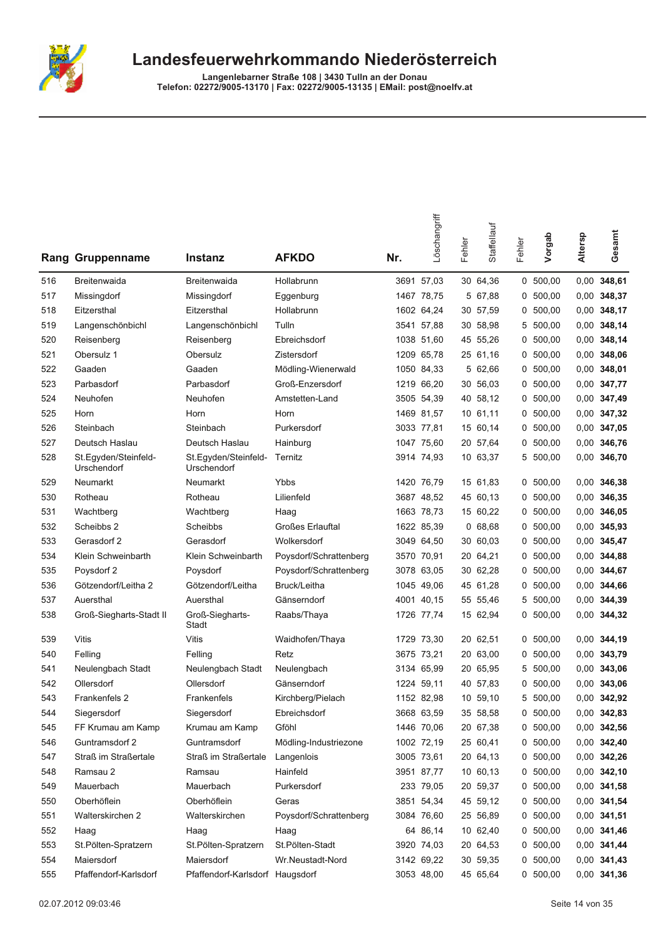

|     | Rang Gruppenname                    | <b>Instanz</b>                      | <b>AFKDO</b>            | Nr. | Löschangriff | Fehler | Staffellauf | Fehler | Vorgab     | Altersp | Gesamt        |
|-----|-------------------------------------|-------------------------------------|-------------------------|-----|--------------|--------|-------------|--------|------------|---------|---------------|
| 516 | <b>Breitenwaida</b>                 | Breitenwaida                        | Hollabrunn              |     | 3691 57.03   |        | 30 64,36    |        | 0, 500, 00 |         | $0,00$ 348,61 |
| 517 | Missingdorf                         | Missingdorf                         | Eggenburg               |     | 1467 78,75   |        | 5 67,88     |        | 0, 500, 00 |         | 0,00 348,37   |
| 518 | Eitzersthal                         | Eitzersthal                         | Hollabrunn              |     | 1602 64,24   |        | 30 57,59    | 0      | 500,00     |         | 0,00 348,17   |
| 519 | Langenschönbichl                    | Langenschönbichl                    | Tulln                   |     | 3541 57,88   |        | 30 58,98    | 5      | 500,00     |         | 0,00 348,14   |
| 520 | Reisenberg                          | Reisenberg                          | Ebreichsdorf            |     | 1038 51,60   |        | 45 55,26    |        | 0, 500, 00 |         | 0,00 348,14   |
| 521 | Obersulz 1                          | Obersulz                            | Zistersdorf             |     | 1209 65,78   |        | 25 61,16    |        | 0, 500, 00 |         | 0,00 348,06   |
| 522 | Gaaden                              | Gaaden                              | Mödling-Wienerwald      |     | 1050 84,33   |        | 5 62.66     |        | 0, 500, 00 |         | $0,00$ 348,01 |
| 523 | Parbasdorf                          | Parbasdorf                          | Groß-Enzersdorf         |     | 1219 66,20   |        | 30 56,03    | 0      | 500,00     |         | 0,00 347,77   |
| 524 | Neuhofen                            | Neuhofen                            | Amstetten-Land          |     | 3505 54,39   |        | 40 58,12    |        | 0, 500, 00 |         | 0,00 347,49   |
| 525 | Horn                                | Horn                                | Horn                    |     | 1469 81,57   |        | 10 61,11    | 0      | 500,00     |         | 0,00 347,32   |
| 526 | Steinbach                           | Steinbach                           | Purkersdorf             |     | 3033 77,81   |        | 15 60,14    |        | 0, 500, 00 |         | 0,00 347,05   |
| 527 | Deutsch Haslau                      | Deutsch Haslau                      | Hainburg                |     | 1047 75,60   |        | 20 57,64    |        | 0, 500, 00 |         | 0,00 346,76   |
| 528 | St.Egyden/Steinfeld-<br>Urschendorf | St.Egyden/Steinfeld-<br>Urschendorf | Ternitz                 |     | 3914 74,93   |        | 10 63,37    |        | 5 500,00   |         | 0,00 346,70   |
| 529 | Neumarkt                            | Neumarkt                            | Ybbs                    |     | 1420 76,79   |        | 15 61,83    |        | 0, 500, 00 |         | 0.00 346,38   |
| 530 | Rotheau                             | Rotheau                             | Lilienfeld              |     | 3687 48,52   |        | 45 60,13    | 0      | 500,00     |         | 0,00 346,35   |
| 531 | Wachtberg                           | Wachtberg                           | Haag                    |     | 1663 78,73   |        | 15 60,22    | 0      | 500,00     |         | 0,00 346,05   |
| 532 | Scheibbs 2                          | Scheibbs                            | <b>Großes Erlauftal</b> |     | 1622 85,39   |        | 068,68      |        | 0, 500, 00 |         | 0,00 345,93   |
| 533 | Gerasdorf 2                         | Gerasdorf                           | Wolkersdorf             |     | 3049 64,50   |        | 30 60,03    |        | 0, 500, 00 |         | 0,00 345,47   |
| 534 | Klein Schweinbarth                  | Klein Schweinbarth                  | Poysdorf/Schrattenberg  |     | 3570 70,91   |        | 20 64,21    |        | 0, 500, 00 |         | 0,00 344,88   |
| 535 | Poysdorf 2                          | Poysdorf                            | Poysdorf/Schrattenberg  |     | 3078 63,05   |        | 30 62,28    | 0      | 500,00     |         | 0,00 344,67   |
| 536 | Götzendorf/Leitha 2                 | Götzendorf/Leitha                   | Bruck/Leitha            |     | 1045 49,06   |        | 45 61,28    | 0      | 500,00     |         | 0,00 344,66   |
| 537 | Auersthal                           | Auersthal                           | Gänserndorf             |     | 4001 40,15   |        | 55 55,46    | 5      | 500,00     |         | 0,00 344,39   |
| 538 | Groß-Siegharts-Stadt II             | Groß-Siegharts-<br>Stadt            | Raabs/Thaya             |     | 1726 77,74   |        | 15 62,94    |        | 0, 500, 00 |         | 0,00 344,32   |
| 539 | Vitis                               | Vitis                               | Waidhofen/Thaya         |     | 1729 73,30   |        | 20 62,51    |        | 0, 500, 00 |         | 0,00 344,19   |
| 540 | Felling                             | Felling                             | Retz                    |     | 3675 73,21   |        | 20 63,00    | 0      | 500,00     |         | 0,00 343,79   |
| 541 | Neulengbach Stadt                   | Neulengbach Stadt                   | Neulengbach             |     | 3134 65,99   |        | 20 65,95    |        | 5 500,00   |         | $0,00$ 343,06 |
| 542 | Ollersdorf                          | Ollersdorf                          | Gänserndorf             |     | 1224 59,11   |        | 40 57,83    |        | 0, 500, 00 |         | $0,00$ 343,06 |
| 543 | Frankenfels 2                       | Frankenfels                         | Kirchberg/Pielach       |     | 1152 82,98   |        | 10 59,10    |        | 5 500,00   |         | 0,00 342,92   |
| 544 | Siegersdorf                         | Siegersdorf                         | Ebreichsdorf            |     | 3668 63,59   |        | 35 58,58    |        | 0 500,00   |         | 0,00 342,83   |
| 545 | FF Krumau am Kamp                   | Krumau am Kamp                      | Gföhl                   |     | 1446 70,06   |        | 20 67,38    |        | 0, 500, 00 |         | 0,00 342,56   |
| 546 | Guntramsdorf 2                      | Guntramsdorf                        | Mödling-Industriezone   |     | 1002 72,19   |        | 25 60,41    |        | 0, 500, 00 |         | 0,00 342,40   |
| 547 | Straß im Straßertale                | Straß im Straßertale                | Langenlois              |     | 3005 73,61   |        | 20 64,13    |        | 0, 500, 00 |         | 0,00 342,26   |
| 548 | Ramsau 2                            | Ramsau                              | Hainfeld                |     | 3951 87,77   |        | 10 60,13    |        | 0, 500, 00 |         | $0,00$ 342,10 |
| 549 | Mauerbach                           | Mauerbach                           | Purkersdorf             |     | 233 79,05    |        | 20 59,37    |        | 0, 500, 00 |         | 0,00 341,58   |
| 550 | Oberhöflein                         | Oberhöflein                         | Geras                   |     | 3851 54,34   |        | 45 59,12    |        | 0, 500, 00 |         | 0,00 341,54   |
| 551 | Walterskirchen 2                    | Walterskirchen                      | Poysdorf/Schrattenberg  |     | 3084 76,60   |        | 25 56,89    |        | 0, 500, 00 |         | $0,00$ 341,51 |
| 552 | Haag                                | Haag                                | Haag                    |     | 64 86,14     |        | 10 62,40    |        | 0, 500, 00 |         | 0,00 341,46   |
| 553 | St.Pölten-Spratzern                 | St.Pölten-Spratzern                 | St.Pölten-Stadt         |     | 3920 74,03   |        | 20 64,53    |        | 0, 500, 00 |         | 0,00 341,44   |
| 554 | Maiersdorf                          | Maiersdorf                          | Wr.Neustadt-Nord        |     | 3142 69,22   |        | 30 59,35    |        | 0, 500, 00 |         | 0,00 341,43   |
| 555 | Pfaffendorf-Karlsdorf               | Pfaffendorf-Karlsdorf Haugsdorf     |                         |     | 3053 48,00   |        | 45 65,64    |        | 0, 500, 00 |         | 0,00 341,36   |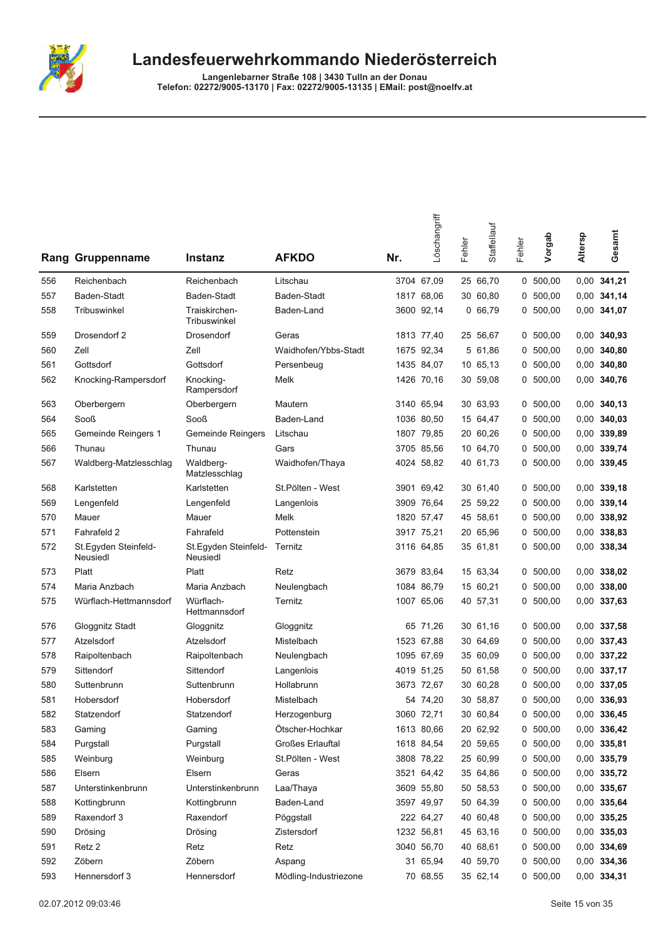

|     | <b>Rang Gruppenname</b>          | Instanz                          | <b>AFKDO</b>          | Nr. | Löschangriff | Fehler | Staffellauf | Fehler | Vorgab     | Altersp | Gesamt        |
|-----|----------------------------------|----------------------------------|-----------------------|-----|--------------|--------|-------------|--------|------------|---------|---------------|
| 556 | Reichenbach                      | Reichenbach                      | Litschau              |     | 3704 67,09   |        | 25 66,70    |        | 0, 500, 00 |         | 0,00 341,21   |
| 557 | Baden-Stadt                      | Baden-Stadt                      | Baden-Stadt           |     | 1817 68,06   |        | 30 60,80    |        | 0, 500, 00 |         | 0,00 341,14   |
| 558 | Tribuswinkel                     | Traiskirchen-<br>Tribuswinkel    | Baden-Land            |     | 3600 92,14   |        | 066,79      |        | 0, 500, 00 |         | 0,00 341,07   |
| 559 | Drosendorf 2                     | Drosendorf                       | Geras                 |     | 1813 77,40   |        | 25 56,67    |        | 0, 500, 00 |         | 0.00 340,93   |
| 560 | Zell                             | Zell                             | Waidhofen/Ybbs-Stadt  |     | 1675 92,34   |        | 5 61,86     | 0      | 500,00     |         | $0,00$ 340,80 |
| 561 | Gottsdorf                        | Gottsdorf                        | Persenbeug            |     | 1435 84,07   |        | 10 65,13    |        | 0, 500, 00 |         | $0,00$ 340,80 |
| 562 | Knocking-Rampersdorf             | Knocking-<br>Rampersdorf         | Melk                  |     | 1426 70,16   |        | 30 59,08    |        | 0, 500, 00 |         | 0,00 340,76   |
| 563 | Oberbergern                      | Oberbergern                      | Mautern               |     | 3140 65,94   |        | 30 63,93    |        | 0, 500, 00 |         | $0,00$ 340,13 |
| 564 | Sooß                             | Sooß                             | Baden-Land            |     | 1036 80,50   |        | 15 64,47    |        | 0, 500, 00 |         | $0,00$ 340,03 |
| 565 | Gemeinde Reingers 1              | Gemeinde Reingers                | Litschau              |     | 1807 79,85   |        | 20 60,26    |        | 0, 500, 00 |         | 0,00 339,89   |
| 566 | Thunau                           | Thunau                           | Gars                  |     | 3705 85,56   |        | 10 64,70    |        | 0, 500, 00 |         | 0,00 339,74   |
| 567 | Waldberg-Matzlesschlag           | Waldberg-<br>Matzlesschlag       | Waidhofen/Thaya       |     | 4024 58,82   |        | 40 61,73    |        | 0, 500.00  |         | 0,00 339,45   |
| 568 | Karlstetten                      | Karlstetten                      | St.Pölten - West      |     | 3901 69,42   |        | 30 61,40    |        | 0, 500, 00 |         | $0,00$ 339,18 |
| 569 | Lengenfeld                       | Lengenfeld                       | Langenlois            |     | 3909 76,64   |        | 25 59,22    |        | 0, 500, 00 |         | 0,00 339,14   |
| 570 | Mauer                            | Mauer                            | Melk                  |     | 1820 57,47   |        | 45 58,61    |        | 0, 500, 00 |         | 0,00 338,92   |
| 571 | Fahrafeld 2                      | Fahrafeld                        | Pottenstein           |     | 3917 75,21   |        | 20 65,96    |        | 0, 500, 00 |         | 0,00 338,83   |
| 572 | St.Egyden Steinfeld-<br>Neusiedl | St.Egyden Steinfeld-<br>Neusiedl | Ternitz               |     | 3116 64,85   |        | 35 61,81    |        | 0, 500, 00 |         | 0,00 338,34   |
| 573 | Platt                            | Platt                            | Retz                  |     | 3679 83,64   |        | 15 63,34    |        | 0 500,00   |         | 0,00 338,02   |
| 574 | Maria Anzbach                    | Maria Anzbach                    | Neulengbach           |     | 1084 86,79   |        | 15 60,21    |        | 0, 500, 00 |         | $0,00$ 338,00 |
| 575 | Würflach-Hettmannsdorf           | Würflach-<br>Hettmannsdorf       | Ternitz               |     | 1007 65,06   |        | 40 57,31    |        | 0, 500, 00 |         | 0,00 337,63   |
| 576 | Gloggnitz Stadt                  | Gloggnitz                        | Gloggnitz             |     | 65 71,26     |        | 30 61,16    |        | 0, 500, 00 |         | 0,00 337,58   |
| 577 | Atzelsdorf                       | Atzelsdorf                       | Mistelbach            |     | 1523 67,88   |        | 30 64,69    |        | 0, 500, 00 |         | 0,00 337,43   |
| 578 | Raipoltenbach                    | Raipoltenbach                    | Neulengbach           |     | 1095 67,69   |        | 35 60,09    |        | 0, 500, 00 |         | 0,00 337,22   |
| 579 | Sittendorf                       | Sittendorf                       | Langenlois            |     | 4019 51,25   |        | 50 61,58    | 0      | 500,00     |         | 0,00 337,17   |
| 580 | Suttenbrunn                      | Suttenbrunn                      | Hollabrunn            |     | 3673 72,67   |        | 30 60,28    |        | 0, 500, 00 |         | 0,00 337,05   |
| 581 | Hobersdorf                       | Hobersdorf                       | Mistelbach            |     | 54 74,20     |        | 30 58,87    |        | 0, 500, 00 |         | 0,00 336,93   |
| 582 | Statzendorf                      | Statzendorf                      | Herzogenburg          |     | 3060 72,71   |        | 30 60,84    |        | 0 500,00   |         | 0,00 336,45   |
| 583 | Gaming                           | Gaming                           | Ötscher-Hochkar       |     | 1613 80,66   |        | 20 62,92    |        | 0, 500, 00 |         | 0,00 336,42   |
| 584 | Purgstall                        | Purgstall                        | Großes Erlauftal      |     | 1618 84,54   |        | 20 59,65    |        | 0 500,00   |         | 0,00 335,81   |
| 585 | Weinburg                         | Weinburg                         | St.Pölten - West      |     | 3808 78,22   |        | 25 60,99    |        | 0, 500, 00 |         | 0,00 335,79   |
| 586 | Elsern                           | Elsern                           | Geras                 |     | 3521 64,42   |        | 35 64,86    |        | 0, 500, 00 |         | 0,00 335,72   |
| 587 | Unterstinkenbrunn                | Unterstinkenbrunn                | Laa/Thaya             |     | 3609 55,80   |        | 50 58,53    |        | 0 500,00   |         | 0,00 335,67   |
| 588 | Kottingbrunn                     | Kottingbrunn                     | Baden-Land            |     | 3597 49,97   |        | 50 64,39    |        | 0, 500, 00 |         | 0,00 335,64   |
| 589 | Raxendorf 3                      | Raxendorf                        | Pöggstall             |     | 222 64,27    |        | 40 60,48    |        | 0, 500, 00 |         | 0,00 335,25   |
| 590 | Drösing                          | Drösing                          | Zistersdorf           |     | 1232 56,81   |        | 45 63,16    |        | 0, 500, 00 |         | $0,00$ 335,03 |
| 591 | Retz 2                           | Retz                             | Retz                  |     | 3040 56,70   |        | 40 68,61    |        | 0, 500, 00 |         | 0,00 334,69   |
| 592 | Zöbern                           | Zöbern                           | Aspang                |     | 31 65,94     |        | 40 59,70    |        | 0 500,00   |         | 0,00 334,36   |
| 593 | Hennersdorf 3                    | Hennersdorf                      | Mödling-Industriezone |     | 70 68,55     |        | 35 62,14    |        | 0, 500, 00 |         | 0,00 334,31   |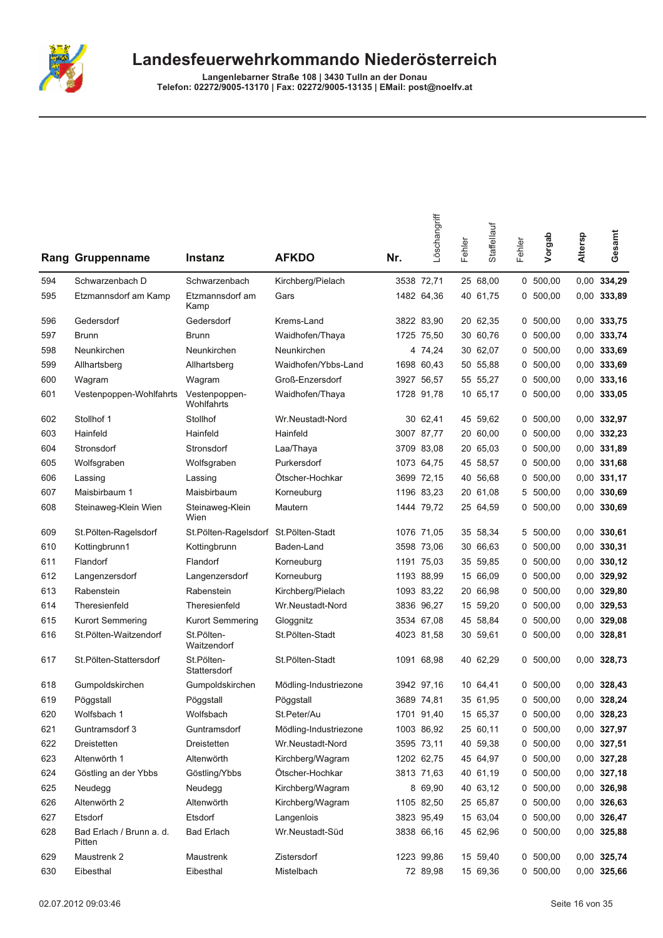

|     | <b>Rang Gruppenname</b>            | Instanz                              | <b>AFKDO</b>          | Nr. | Löschangriff | Fehler | Staffellauf | Fehler | Vorgab     | Altersp | Gesamt        |
|-----|------------------------------------|--------------------------------------|-----------------------|-----|--------------|--------|-------------|--------|------------|---------|---------------|
| 594 | Schwarzenbach D                    | Schwarzenbach                        | Kirchberg/Pielach     |     | 3538 72.71   |        | 25 68,00    |        | 0, 500, 00 |         | 0,00 334,29   |
| 595 | Etzmannsdorf am Kamp               | Etzmannsdorf am<br>Kamp              | Gars                  |     | 1482 64,36   |        | 40 61,75    |        | 0, 500, 00 |         | 0,00 333,89   |
| 596 | Gedersdorf                         | Gedersdorf                           | Krems-Land            |     | 3822 83,90   |        | 20 62,35    |        | 0, 500, 00 |         | 0,00 333,75   |
| 597 | <b>Brunn</b>                       | Brunn                                | Waidhofen/Thaya       |     | 1725 75,50   |        | 30 60,76    |        | 0, 500, 00 |         | 0,00 333,74   |
| 598 | Neunkirchen                        | Neunkirchen                          | Neunkirchen           |     | 4 74,24      |        | 30 62,07    | 0      | 500,00     |         | 0,00 333,69   |
| 599 | Allhartsberg                       | Allhartsberg                         | Waidhofen/Ybbs-Land   |     | 1698 60,43   |        | 50 55,88    | 0      | 500,00     |         | 0,00 333,69   |
| 600 | Wagram                             | Wagram                               | Groß-Enzersdorf       |     | 3927 56,57   |        | 55 55,27    |        | 0, 500, 00 |         | $0,00$ 333,16 |
| 601 | Vestenpoppen-Wohlfahrts            | Vestenpoppen-<br>Wohlfahrts          | Waidhofen/Thaya       |     | 1728 91,78   |        | 10 65,17    |        | 0, 500, 00 |         | 0,00 333,05   |
| 602 | Stollhof 1                         | Stollhof                             | Wr.Neustadt-Nord      |     | 30 62,41     |        | 45 59,62    |        | 0, 500, 00 |         | 0,00 332,97   |
| 603 | Hainfeld                           | Hainfeld                             | Hainfeld              |     | 3007 87,77   |        | 20 60,00    |        | 0, 500, 00 |         | 0,00 332,23   |
| 604 | Stronsdorf                         | Stronsdorf                           | Laa/Thaya             |     | 3709 83,08   |        | 20 65,03    |        | 0, 500, 00 |         | 0,00 331,89   |
| 605 | Wolfsgraben                        | Wolfsgraben                          | Purkersdorf           |     | 1073 64,75   |        | 45 58,57    |        | 0, 500, 00 |         | 0,00 331,68   |
| 606 | Lassing                            | Lassing                              | Ötscher-Hochkar       |     | 3699 72,15   |        | 40 56,68    | 0      | 500,00     |         | $0,00$ 331,17 |
| 607 | Maisbirbaum 1                      | Maisbirbaum                          | Korneuburg            |     | 1196 83,23   |        | 20 61,08    | 5      | 500,00     |         | 0,00 330,69   |
| 608 | Steinaweg-Klein Wien               | Steinaweg-Klein<br>Wien              | Mautern               |     | 1444 79,72   |        | 25 64,59    |        | 0 500,00   |         | 0,00 330,69   |
| 609 | St.Pölten-Ragelsdorf               | St.Pölten-Ragelsdorf St.Pölten-Stadt |                       |     | 1076 71,05   |        | 35 58,34    |        | 5 500,00   |         | $0,00$ 330,61 |
| 610 | Kottingbrunn1                      | Kottingbrunn                         | Baden-Land            |     | 3598 73,06   |        | 30 66,63    |        | 0, 500, 00 |         | 0,00 330,31   |
| 611 | Flandorf                           | Flandorf                             | Korneuburg            |     | 1191 75,03   |        | 35 59,85    |        | 0, 500, 00 |         | $0,00$ 330,12 |
| 612 | Langenzersdorf                     | Langenzersdorf                       | Korneuburg            |     | 1193 88,99   |        | 15 66,09    |        | 0, 500, 00 |         | 0,00 329,92   |
| 613 | Rabenstein                         | Rabenstein                           | Kirchberg/Pielach     |     | 1093 83,22   |        | 20 66,98    | 0      | 500,00     |         | $0,00$ 329,80 |
| 614 | Theresienfeld                      | Theresienfeld                        | Wr.Neustadt-Nord      |     | 3836 96,27   |        | 15 59,20    |        | 0 500,00   |         | 0,00 329,53   |
| 615 | Kurort Semmering                   | Kurort Semmering                     | Gloggnitz             |     | 3534 67,08   |        | 45 58,84    |        | 0, 500, 00 |         | 0,00 329,08   |
| 616 | St.Pölten-Waitzendorf              | St.Pölten-<br>Waitzendorf            | St.Pölten-Stadt       |     | 4023 81,58   |        | 30 59,61    |        | 0, 500, 00 |         | 0,00 328,81   |
| 617 | St.Pölten-Stattersdorf             | St.Pölten-<br>Stattersdorf           | St.Pölten-Stadt       |     | 1091 68,98   |        | 40 62,29    |        | 0, 500, 00 |         | 0,00 328,73   |
| 618 | Gumpoldskirchen                    | Gumpoldskirchen                      | Mödling-Industriezone |     | 3942 97,16   |        | 10 64,41    |        | 0, 500, 00 |         | 0,00 328,43   |
| 619 | Pöggstall                          | Pöggstall                            | Pöggstall             |     | 3689 74,81   |        | 35 61,95    |        | 0, 500, 00 |         | 0,00 328,24   |
| 620 | Wolfsbach 1                        | Wolfsbach                            | St.Peter/Au           |     | 1701 91,40   |        | 15 65,37    |        | 0 500,00   |         | 0,00 328,23   |
| 621 | Guntramsdorf 3                     | Guntramsdorf                         | Mödling-Industriezone |     | 1003 86,92   |        | 25 60,11    |        | 0, 500, 00 |         | 0,00 327,97   |
| 622 | Dreistetten                        | Dreistetten                          | Wr.Neustadt-Nord      |     | 3595 73,11   |        | 40 59,38    |        | 0, 500, 00 |         | 0,00 327,51   |
| 623 | Altenwörth 1                       | Altenwörth                           | Kirchberg/Wagram      |     | 1202 62,75   |        | 45 64,97    |        | 0, 500, 00 |         | 0,00 327,28   |
| 624 | Göstling an der Ybbs               | Göstling/Ybbs                        | Ötscher-Hochkar       |     | 3813 71,63   |        | 40 61,19    |        | 0, 500, 00 |         | $0,00$ 327,18 |
| 625 | Neudegg                            | Neudegg                              | Kirchberg/Wagram      |     | 8 69,90      |        | 40 63,12    |        | 0, 500, 00 |         | 0,00 326,98   |
| 626 | Altenwörth 2                       | Altenwörth                           | Kirchberg/Wagram      |     | 1105 82,50   |        | 25 65,87    |        | 0, 500, 00 |         | 0,00 326,63   |
| 627 | Etsdorf                            | Etsdorf                              | Langenlois            |     | 3823 95,49   |        | 15 63,04    |        | 0, 500, 00 |         | 0,00 326,47   |
| 628 | Bad Erlach / Brunn a. d.<br>Pitten | <b>Bad Erlach</b>                    | Wr.Neustadt-Süd       |     | 3838 66,16   |        | 45 62,96    |        | 0, 500, 00 |         | 0,00 325,88   |
| 629 | Maustrenk 2                        | Maustrenk                            | Zistersdorf           |     | 1223 99,86   |        | 15 59,40    |        | 0, 500, 00 |         | 0,00 325,74   |
| 630 | Eibesthal                          | Eibesthal                            | Mistelbach            |     | 72 89,98     |        | 15 69,36    |        | 0, 500, 00 |         | 0,00 325,66   |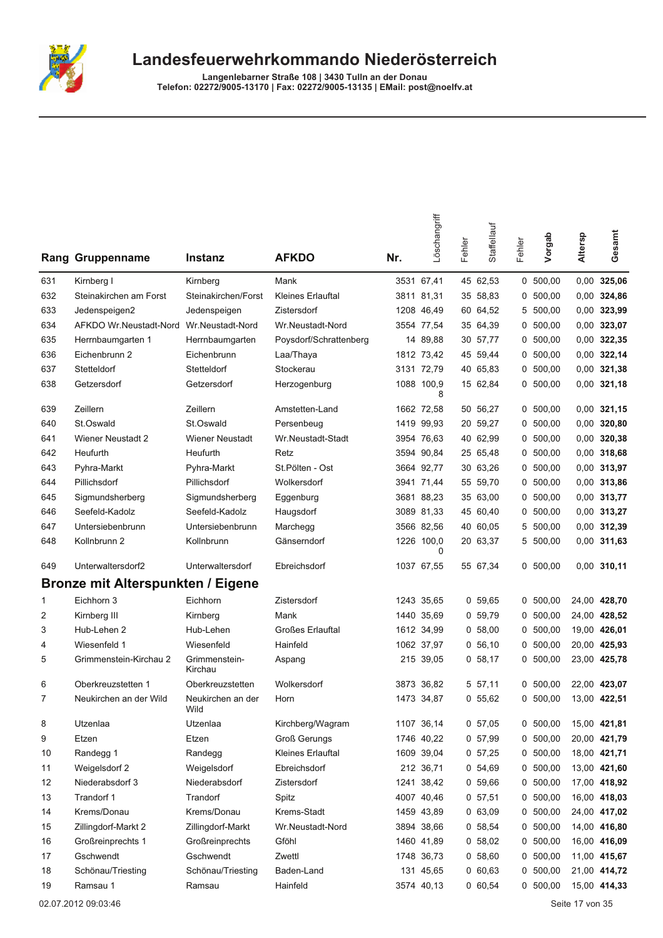

Langenlebarner Straße 108 | 3430 Tulln an der Donau<br>Telefon: 02272/9005-13170 | Fax: 02272/9005-13135 | EMail: post@noelfv.at

|     | <b>Rang Gruppenname</b>                  | <b>Instanz</b>            | <b>AFKDO</b>             | Nr.  | Löschangriff    | Fehler | Staffellauf | Fehler | Vorgab     | Altersp | Gesamt        |
|-----|------------------------------------------|---------------------------|--------------------------|------|-----------------|--------|-------------|--------|------------|---------|---------------|
| 631 | Kirnberg I                               | Kirnberg                  | Mank                     |      | 3531 67,41      |        | 45 62,53    |        | 0, 500, 00 |         | $0,00$ 325,06 |
| 632 | Steinakirchen am Forst                   | Steinakirchen/Forst       | <b>Kleines Erlauftal</b> |      | 3811 81,31      |        | 35 58,83    | 0      | 500,00     |         | 0,00 324,86   |
| 633 | Jedenspeigen2                            | Jedenspeigen              | Zistersdorf              |      | 1208 46,49      |        | 60 64,52    | 5      | 500,00     |         | 0,00 323,99   |
| 634 | AFKDO Wr.Neustadt-Nord                   | Wr.Neustadt-Nord          | Wr.Neustadt-Nord         |      | 3554 77,54      |        | 35 64,39    | 0      | 500,00     |         | 0,00 323,07   |
| 635 | Herrnbaumgarten 1                        | Herrnbaumgarten           | Poysdorf/Schrattenberg   |      | 14 89,88        |        | 30 57,77    |        | 0, 500, 00 |         | 0,00 322,35   |
| 636 | Eichenbrunn 2                            | Eichenbrunn               | Laa/Thaya                |      | 1812 73.42      |        | 45 59,44    |        | 0, 500, 00 |         | 0,00 322,14   |
| 637 | Stetteldorf                              | Stetteldorf               | Stockerau                |      | 3131 72,79      |        | 40 65,83    | 0      | 500,00     |         | 0,00 321,38   |
| 638 | Getzersdorf                              | Getzersdorf               | Herzogenburg             |      | 1088 100,9<br>8 |        | 15 62,84    | 0      | 500,00     |         | $0,00$ 321,18 |
| 639 | Zeillern                                 | Zeillern                  | Amstetten-Land           |      | 1662 72,58      |        | 50 56,27    |        | 0, 500, 00 |         | $0,00$ 321,15 |
| 640 | St.Oswald                                | St.Oswald                 | Persenbeug               |      | 1419 99,93      |        | 20 59,27    | 0      | 500,00     |         | $0,00$ 320,80 |
| 641 | <b>Wiener Neustadt 2</b>                 | <b>Wiener Neustadt</b>    | Wr.Neustadt-Stadt        |      | 3954 76,63      |        | 40 62,99    | 0      | 500,00     |         | 0.00 320,38   |
| 642 | Heufurth                                 | Heufurth                  | Retz                     |      | 3594 90,84      |        | 25 65,48    | 0      | 500,00     |         | 0,00 318,68   |
| 643 | Pyhra-Markt                              | Pyhra-Markt               | St.Pölten - Ost          |      | 3664 92,77      |        | 30 63,26    |        | 0, 500, 00 |         | 0,00 313,97   |
| 644 | Pillichsdorf                             | Pillichsdorf              | Wolkersdorf              |      | 3941 71.44      |        | 55 59,70    | 0      | 500,00     |         | 0,00 313,86   |
| 645 | Sigmundsherberg                          | Sigmundsherberg           | Eggenburg                |      | 3681 88,23      |        | 35 63,00    | 0      | 500,00     |         | 0,00 313,77   |
| 646 | Seefeld-Kadolz                           | Seefeld-Kadolz            | Haugsdorf                |      | 3089 81,33      |        | 45 60,40    | 0      | 500,00     |         | 0,00 313,27   |
| 647 | Untersiebenbrunn                         | Untersiebenbrunn          | Marchegg                 |      | 3566 82,56      |        | 40 60,05    |        | 5 500,00   |         | 0,00 312,39   |
| 648 | Kollnbrunn 2                             | Kollnbrunn                | Gänserndorf              |      | 1226 100,0<br>0 |        | 20 63,37    |        | 5 500,00   |         | 0,00 311,63   |
| 649 | Unterwaltersdorf2                        | Unterwaltersdorf          | Ebreichsdorf             |      | 1037 67,55      |        | 55 67,34    |        | 0, 500, 00 |         | $0,00$ 310,11 |
|     | <b>Bronze mit Alterspunkten / Eigene</b> |                           |                          |      |                 |        |             |        |            |         |               |
| 1   | Eichhorn 3                               | Eichhorn                  | Zistersdorf              |      | 1243 35,65      |        | 0, 59, 65   |        | 0, 500, 00 |         | 24,00 428,70  |
| 2   | Kirnberg III                             | Kirnberg                  | Mank                     |      | 1440 35,69      |        | 0, 59, 79   |        | 0, 500, 00 |         | 24,00 428,52  |
| 3   | Hub-Lehen 2                              | Hub-Lehen                 | <b>Großes Erlauftal</b>  |      | 1612 34,99      |        | 0, 58, 00   | 0      | 500,00     |         | 19,00 426,01  |
| 4   | Wiesenfeld 1                             | Wiesenfeld                | Hainfeld                 |      | 1062 37,97      |        | 0, 56, 10   | 0      | 500,00     |         | 20,00 425,93  |
| 5   | Grimmenstein-Kirchau 2                   | Grimmenstein-<br>Kirchau  | Aspang                   |      | 215 39,05       |        | 0, 58, 17   |        | 0, 500, 00 |         | 23,00 425,78  |
| 6   | Oberkreuzstetten 1                       | Oberkreuzstetten          | Wolkersdorf              | 3873 | 36.82           |        | 5 57,11     | 0      | 500,00     |         | 22,00 423,07  |
| 7   | Neukirchen an der Wild                   | Neukirchen an der<br>Wild | Horn                     |      | 1473 34,87      |        | 0, 55, 62   |        | 0, 500, 00 |         | 13,00 422,51  |
| 8   | Utzenlaa                                 | Utzenlaa                  | Kirchberg/Wagram         |      | 1107 36,14      |        | 0, 57, 05   |        | 0, 500, 00 |         | 15,00 421,81  |
| 9   | Etzen                                    | Etzen                     | <b>Groß Gerungs</b>      |      | 1746 40,22      |        | 0, 57, 99   |        | 0, 500, 00 |         | 20,00 421,79  |
| 10  | Randegg 1                                | Randegg                   | Kleines Erlauftal        |      | 1609 39,04      |        | 0, 57, 25   |        | 0, 500, 00 |         | 18,00 421,71  |
| 11  | Weigelsdorf 2                            | Weigelsdorf               | Ebreichsdorf             |      | 212 36,71       |        | 0 54,69     |        | 0 500,00   |         | 13,00 421,60  |
| 12  | Niederabsdorf 3                          | Niederabsdorf             | Zistersdorf              |      | 1241 38,42      |        | 0, 59, 66   |        | 0, 500, 00 |         | 17,00 418,92  |
| 13  | Trandorf 1                               | Trandorf                  | Spitz                    |      | 4007 40,46      |        | 0, 57, 51   |        | 0, 500, 00 |         | 16,00 418,03  |
| 14  | Krems/Donau                              | Krems/Donau               | Krems-Stadt              |      | 1459 43,89      |        | 063,09      |        | 0, 500, 00 |         | 24,00 417,02  |
| 15  | Zillingdorf-Markt 2                      | Zillingdorf-Markt         | Wr.Neustadt-Nord         |      | 3894 38,66      |        | 0 58,54     |        | 0, 500, 00 |         | 14,00 416,80  |
| 16  | Großreinprechts 1                        | Großreinprechts           | Gföhl                    |      | 1460 41,89      |        | 0, 58, 02   |        | 0, 500, 00 |         | 16,00 416,09  |
| 17  | Gschwendt                                | Gschwendt                 | Zwettl                   |      | 1748 36,73      |        | 0, 58, 60   |        | 0, 500, 00 |         | 11,00 415,67  |
| 18  | Schönau/Triesting                        | Schönau/Triesting         | Baden-Land               |      | 131 45,65       |        | 060,63      |        | 0, 500, 00 |         | 21,00 414,72  |
| 19  | Ramsau 1                                 | Ramsau                    | Hainfeld                 |      | 3574 40,13      |        | 060,54      |        | 0, 500, 00 |         | 15,00 414,33  |

02.07.2012 09:03:46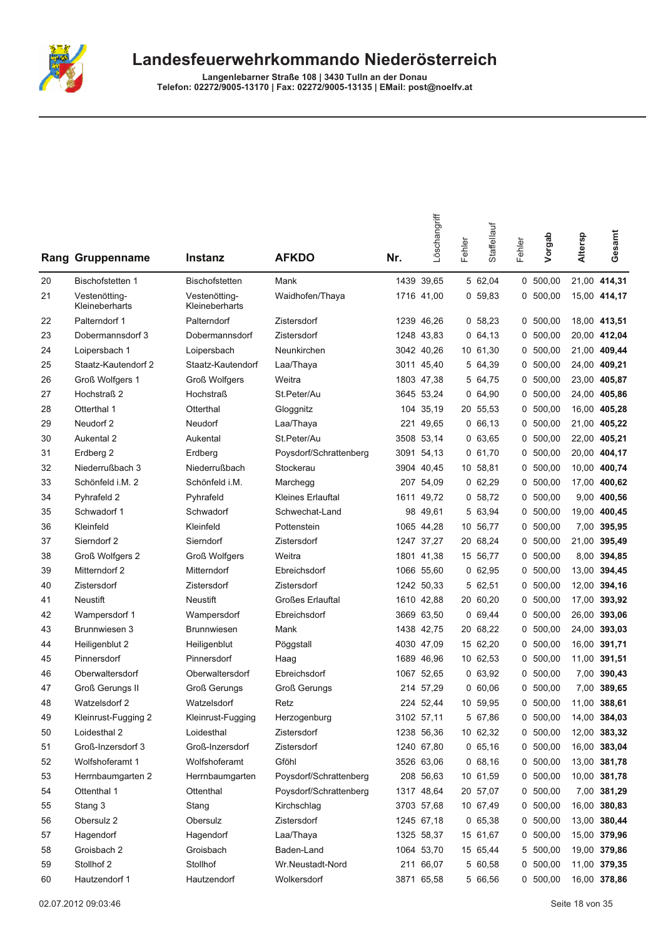

|    | Rang Gruppenname                | <b>Instanz</b>                  | <b>AFKDO</b>             | Nr.  | Löschangriff | Fehler | Staffellauf | Fehler | Vorgab     | Altersp | Gesamt       |
|----|---------------------------------|---------------------------------|--------------------------|------|--------------|--------|-------------|--------|------------|---------|--------------|
| 20 | <b>Bischofstetten 1</b>         | <b>Bischofstetten</b>           | Mank                     |      | 1439 39,65   |        | 5 62.04     |        | 0, 500, 00 |         | 21,00 414,31 |
| 21 | Vestenötting-<br>Kleineberharts | Vestenötting-<br>Kleineberharts | Waidhofen/Thaya          |      | 1716 41,00   |        | 0, 59, 83   |        | 0, 500, 00 |         | 15,00 414,17 |
| 22 | Palterndorf 1                   | Palterndorf                     | Zistersdorf              |      | 1239 46,26   |        | 0, 58, 23   |        | 0, 500, 00 |         | 18,00 413,51 |
| 23 | Dobermannsdorf 3                | Dobermannsdorf                  | Zistersdorf              |      | 1248 43.83   |        | 0, 64, 13   |        | 0, 500, 00 |         | 20,00 412,04 |
| 24 | Loipersbach 1                   | Loipersbach                     | Neunkirchen              |      | 3042 40.26   |        | 10 61,30    | 0      | 500,00     | 21,00   | 409,44       |
| 25 | Staatz-Kautendorf 2             | Staatz-Kautendorf               | Laa/Thaya                | 3011 | 45,40        |        | 5 64,39     | 0      | 500,00     | 24,00   | 409,21       |
| 26 | Groß Wolfgers 1                 | <b>Groß Wolfgers</b>            | Weitra                   |      | 1803 47,38   |        | 5 64,75     | 0      | 500,00     | 23,00   | 405,87       |
| 27 | Hochstraß 2                     | <b>Hochstraß</b>                | St.Peter/Au              |      | 3645 53,24   |        | 0, 64, 90   | 0      | 500,00     |         | 24,00 405,86 |
| 28 | Otterthal 1                     | Otterthal                       | Gloggnitz                |      | 104 35,19    |        | 20 55,53    |        | 0, 500, 00 |         | 16,00 405,28 |
| 29 | Neudorf 2                       | Neudorf                         | Laa/Thaya                | 221  | 49,65        |        | 0, 66, 13   | 0      | 500,00     | 21,00   | 405,22       |
| 30 | Aukental 2                      | Aukental                        | St.Peter/Au              | 3508 | 53,14        |        | 063,65      | 0      | 500,00     | 22,00   | 405,21       |
| 31 | Erdberg 2                       | Erdberg                         | Poysdorf/Schrattenberg   | 3091 | 54,13        |        | 0, 61, 70   | 0      | 500,00     | 20,00   | 404,17       |
| 32 | Niederrußbach 3                 | Niederrußbach                   | Stockerau                |      | 3904 40,45   |        | 10 58,81    | 0      | 500,00     | 10,00   | 400,74       |
| 33 | Schönfeld i.M. 2                | Schönfeld i.M.                  | Marchegg                 |      | 207 54,09    |        | 062,29      | 0      | 500,00     | 17,00   | 400,62       |
| 34 | Pyhrafeld 2                     | Pyhrafeld                       | <b>Kleines Erlauftal</b> | 1611 | 49,72        |        | 0, 58, 72   | 0      | 500,00     | 9,00    | 400,56       |
| 35 | Schwadorf 1                     | Schwadorf                       | Schwechat-Land           | 98   | 49,61        |        | 5 63,94     | 0      | 500,00     | 19,00   | 400,45       |
| 36 | Kleinfeld                       | Kleinfeld                       | Pottenstein              |      | 1065 44,28   |        | 10 56,77    | 0      | 500,00     | 7,00    | 395,95       |
| 37 | Sierndorf 2                     | Sierndorf                       | Zistersdorf              |      | 1247 37,27   |        | 20 68,24    | 0      | 500,00     | 21,00   | 395,49       |
| 38 | Groß Wolfgers 2                 | <b>Groß Wolfgers</b>            | Weitra                   |      | 1801 41,38   |        | 15 56,77    |        | 0, 500, 00 | 8,00    | 394,85       |
| 39 | Mitterndorf 2                   | Mitterndorf                     | Ebreichsdorf             |      | 1066 55,60   |        | 062,95      | 0      | 500,00     | 13,00   | 394,45       |
| 40 | Zistersdorf                     | Zistersdorf                     | Zistersdorf              |      | 1242 50,33   |        | 5 62,51     | 0      | 500,00     | 12,00   | 394,16       |
| 41 | <b>Neustift</b>                 | <b>Neustift</b>                 | <b>Großes Erlauftal</b>  |      | 1610 42,88   |        | 20 60,20    | 0      | 500,00     | 17,00   | 393,92       |
| 42 | Wampersdorf 1                   | Wampersdorf                     | Ebreichsdorf             |      | 3669 63,50   |        | 069,44      | 0      | 500,00     | 26,00   | 393,06       |
| 43 | Brunnwiesen 3                   | <b>Brunnwiesen</b>              | Mank                     |      | 1438 42,75   |        | 20 68,22    | 0      | 500,00     | 24,00   | 393,03       |
| 44 | Heiligenblut 2                  | Heiligenblut                    | Pöggstall                |      | 4030 47,09   |        | 15 62,20    | 0      | 500,00     | 16,00   | 391,71       |
| 45 | Pinnersdorf                     | Pinnersdorf                     | Haag                     | 1689 | 46,96        |        | 10 62,53    | 0      | 500,00     | 11,00   | 391,51       |
| 46 | Oberwaltersdorf                 | Oberwaltersdorf                 | Ebreichsdorf             |      | 1067 52,65   |        | 063,92      | 0      | 500,00     | 7,00    | 390,43       |
| 47 | <b>Groß Gerungs II</b>          | <b>Groß Gerungs</b>             | <b>Groß Gerungs</b>      |      | 214 57,29    |        | 0,60,06     | 0      | 500,00     | 7.00    | 389,65       |
| 48 | Watzelsdorf 2                   | Watzelsdorf                     | Retz                     |      | 224 52,44    |        | 10 59,95    |        | 0, 500, 00 | 11,00   | 388,61       |
| 49 | Kleinrust-Fugging 2             | Kleinrust-Fugging               | Herzogenburg             |      | 3102 57,11   |        | 5 67,86     |        | 0, 500, 00 |         | 14,00 384,03 |
| 50 | Loidesthal 2                    | Loidesthal                      | Zistersdorf              |      | 1238 56,36   |        | 10 62,32    | 0      | 500,00     |         | 12,00 383,32 |
| 51 | Groß-Inzersdorf 3               | Groß-Inzersdorf                 | Zistersdorf              |      | 1240 67,80   |        | 0, 65, 16   |        | 0, 500, 00 |         | 16,00 383,04 |
| 52 | Wolfshoferamt 1                 | Wolfshoferamt                   | Gföhl                    |      | 3526 63,06   |        | 068,16      |        | 0, 500, 00 |         | 13,00 381,78 |
| 53 | Herrnbaumgarten 2               | Herrnbaumgarten                 | Poysdorf/Schrattenberg   |      | 208 56,63    |        | 10 61,59    |        | 0, 500, 00 |         | 10,00 381,78 |
| 54 | Ottenthal 1                     | Ottenthal                       | Poysdorf/Schrattenberg   |      | 1317 48,64   |        | 20 57,07    | 0      | 500,00     |         | 7,00 381,29  |
| 55 | Stang 3                         | Stang                           | Kirchschlag              |      | 3703 57,68   |        | 10 67,49    | 0      | 500,00     |         | 16,00 380,83 |
| 56 | Obersulz 2                      | Obersulz                        | Zistersdorf              |      | 1245 67,18   |        | 065,38      |        | 0, 500, 00 |         | 13,00 380,44 |
| 57 | Hagendorf                       | Hagendorf                       | Laa/Thaya                |      | 1325 58,37   |        | 15 61,67    |        | 0, 500, 00 |         | 15,00 379,96 |
| 58 | Groisbach 2                     | Groisbach                       | Baden-Land               |      | 1064 53,70   |        | 15 65,44    |        | 5 500,00   |         | 19,00 379,86 |
| 59 | Stollhof 2                      | Stollhof                        | Wr.Neustadt-Nord         |      | 211 66,07    |        | 5 60,58     | 0      | 500,00     |         | 11,00 379,35 |
| 60 | Hautzendorf 1                   | Hautzendorf                     | Wolkersdorf              |      | 3871 65,58   |        | 5 66,56     |        | 0, 500, 00 |         | 16,00 378,86 |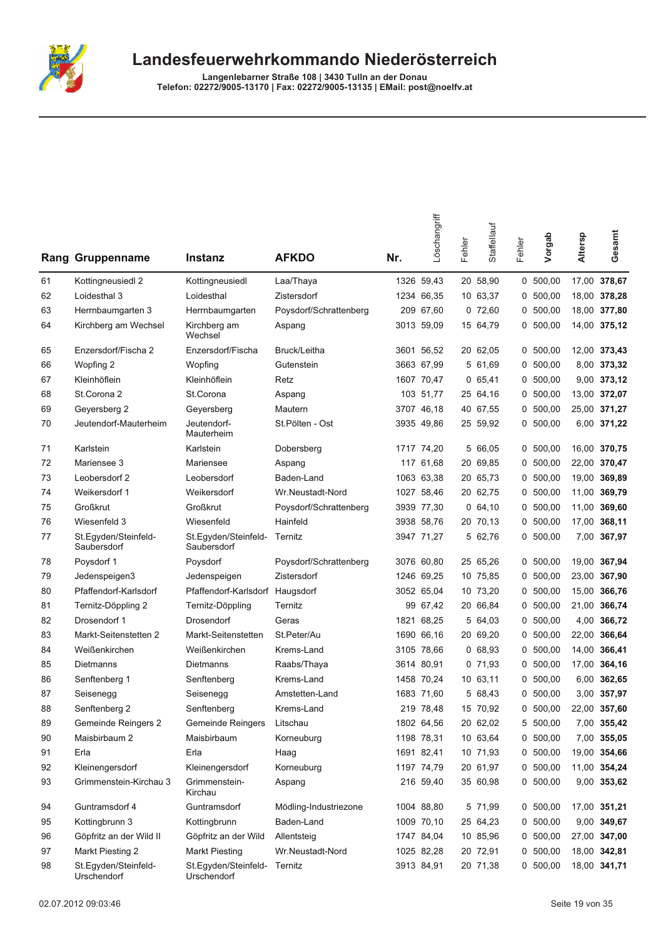

| Rang | Gruppenname                         | <b>Instanz</b>                              | <b>AFKDO</b>           | Nr. | Löschangriff | Fehler | Staffellauf | Fehler | Vorgab     | Altersp | Gesamt       |
|------|-------------------------------------|---------------------------------------------|------------------------|-----|--------------|--------|-------------|--------|------------|---------|--------------|
| 61   | Kottingneusiedl 2                   | Kottingneusiedl                             | Laa/Thaya              |     | 1326 59,43   |        | 20 58,90    |        | 0, 500, 00 | 17,00   | 378,67       |
| 62   | Loidesthal 3                        | Loidesthal                                  | Zistersdorf            |     | 1234 66,35   |        | 10 63,37    | 0      | 500,00     |         | 18,00 378,28 |
| 63   | Herrnbaumgarten 3                   | Herrnbaumgarten                             | Poysdorf/Schrattenberg |     | 209 67,60    |        | 072,60      | 0      | 500,00     |         | 18,00 377,80 |
| 64   | Kirchberg am Wechsel                | Kirchberg am<br>Wechsel                     | Aspang                 |     | 3013 59,09   |        | 15 64,79    | 0      | 500,00     |         | 14,00 375,12 |
| 65   | Enzersdorf/Fischa 2                 | Enzersdorf/Fischa                           | Bruck/Leitha           |     | 3601 56,52   |        | 20 62,05    | 0      | 500,00     |         | 12,00 373,43 |
| 66   | Wopfing 2                           | Wopfing                                     | Gutenstein             |     | 3663 67,99   |        | 5 61,69     | 0      | 500,00     |         | 8,00 373,32  |
| 67   | Kleinhöflein                        | Kleinhöflein                                | Retz                   |     | 1607 70,47   |        | 065,41      | 0      | 500,00     |         | 9,00 373,12  |
| 68   | St.Corona 2                         | St.Corona                                   | Aspang                 |     | 103 51,77    |        | 25 64,16    |        | 0, 500, 00 |         | 13,00 372,07 |
| 69   | Geyersberg 2                        | Geyersberg                                  | Mautern                |     | 3707 46,18   |        | 40 67,55    | 0      | 500,00     | 25,00   | 371,27       |
| 70   | Jeutendorf-Mauterheim               | Jeutendorf-<br>Mauterheim                   | St.Pölten - Ost        |     | 3935 49,86   |        | 25 59,92    | 0      | 500,00     |         | 6,00 371,22  |
| 71   | Karlstein                           | Karlstein                                   | Dobersberg             |     | 1717 74,20   |        | 5 66,05     |        | 0, 500, 00 |         | 16,00 370,75 |
| 72   | Mariensee 3                         | Mariensee                                   | Aspang                 |     | 117 61,68    |        | 20 69,85    | 0      | 500,00     | 22,00   | 370,47       |
| 73   | Leobersdorf 2                       | Leobersdorf                                 | Baden-Land             |     | 1063 63,38   |        | 20 65,73    | 0      | 500,00     | 19,00   | 369,89       |
| 74   | Weikersdorf 1                       | Weikersdorf                                 | Wr.Neustadt-Nord       |     | 1027 58,46   |        | 20 62,75    | 0      | 500,00     | 11,00   | 369,79       |
| 75   | <b>Großkrut</b>                     | <b>Großkrut</b>                             | Poysdorf/Schrattenberg |     | 3939 77,30   |        | 0, 64, 10   | 0      | 500,00     | 11,00   | 369,60       |
| 76   | Wiesenfeld 3                        | Wiesenfeld                                  | Hainfeld               |     | 3938 58,76   |        | 20 70,13    | 0      | 500,00     | 17,00   | 368,11       |
| 77   | St.Egyden/Steinfeld-<br>Saubersdorf | St.Egyden/Steinfeld-<br>Saubersdorf         | Ternitz                |     | 3947 71,27   |        | 5 62,76     | 0      | 500,00     | 7,00    | 367,97       |
| 78   | Poysdorf 1                          | Poysdorf                                    | Poysdorf/Schrattenberg |     | 3076 60,80   |        | 25 65,26    |        | 0, 500, 00 | 19,00   | 367,94       |
| 79   | Jedenspeigen3                       | Jedenspeigen                                | Zistersdorf            |     | 1246 69.25   |        | 10 75,85    | 0      | 500,00     | 23,00   | 367,90       |
| 80   | Pfaffendorf-Karlsdorf               | Pfaffendorf-Karlsdorf                       | Haugsdorf              |     | 3052 65,04   |        | 10 73,20    | 0      | 500,00     | 15,00   | 366,76       |
| 81   | Ternitz-Döppling 2                  | Ternitz-Döppling                            | Ternitz                |     | 99 67,42     |        | 20 66,84    | 0      | 500,00     | 21,00   | 366,74       |
| 82   | Drosendorf 1                        | Drosendorf                                  | Geras                  |     | 1821 68,25   |        | 5 64,03     | 0      | 500,00     | 4,00    | 366,72       |
| 83   | Markt-Seitenstetten 2               | Markt-Seitenstetten                         | St.Peter/Au            |     | 1690 66,16   |        | 20 69,20    |        | 0, 500, 00 | 22,00   | 366,64       |
| 84   | Weißenkirchen                       | Weißenkirchen                               | Krems-Land             |     | 3105 78.66   |        | 068,93      | 0      | 500,00     | 14,00   | 366,41       |
| 85   | Dietmanns                           | Dietmanns                                   | Raabs/Thaya            |     | 3614 80,91   |        | 071,93      | 0      | 500,00     | 17,00   | 364,16       |
| 86   | Senftenberg 1                       | Senftenberg                                 | Krems-Land             |     | 1458 70,24   |        | 10 63,11    | 0      | 500,00     | 6,00    | 362,65       |
| 87   | Seisenegg                           | Seisenegg                                   | Amstetten-Land         |     | 1683 71,60   |        | 5 68,43     | 0      | 500,00     | 3,00    | 357,97       |
| 88   | Senftenberg 2                       | Senftenberg                                 | Krems-Land             |     | 219 78,48    |        | 15 70,92    | 0      | 500,00     |         | 22,00 357,60 |
| 89   | Gemeinde Reingers 2                 | Gemeinde Reingers                           | Litschau               |     | 1802 64,56   |        | 20 62,02    |        | 5 500,00   |         | 7,00 355,42  |
| 90   | Maisbirbaum 2                       | Maisbirbaum                                 | Korneuburg             |     | 1198 78,31   |        | 10 63,64    |        | 0, 500, 00 |         | 7,00 355,05  |
| 91   | Erla                                | Erla                                        | Haag                   |     | 1691 82,41   |        | 10 71,93    |        | 0, 500, 00 |         | 19,00 354,66 |
| 92   | Kleinengersdorf                     | Kleinengersdorf                             | Korneuburg             |     | 1197 74,79   |        | 20 61,97    |        | 0 500,00   |         | 11,00 354,24 |
| 93   | Grimmenstein-Kirchau 3              | Grimmenstein-<br>Kirchau                    | Aspang                 |     | 216 59,40    |        | 35 60,98    |        | 0, 500, 00 |         | 9,00 353,62  |
| 94   | Guntramsdorf 4                      | Guntramsdorf                                | Mödling-Industriezone  |     | 1004 88,80   |        | 5 71,99     |        | 0, 500, 00 |         | 17,00 351,21 |
| 95   | Kottingbrunn 3                      | Kottingbrunn                                | Baden-Land             |     | 1009 70,10   |        | 25 64,23    |        | 0, 500, 00 |         | 9,00 349,67  |
| 96   | Göpfritz an der Wild II             | Göpfritz an der Wild                        | Allentsteig            |     | 1747 84,04   |        | 10 85,96    |        | 0, 500, 00 |         | 27,00 347,00 |
| 97   | Markt Piesting 2                    | <b>Markt Piesting</b>                       | Wr.Neustadt-Nord       |     | 1025 82,28   |        | 20 72,91    |        | 0, 500, 00 |         | 18,00 342,81 |
| 98   | St.Egyden/Steinfeld-<br>Urschendorf | St.Egyden/Steinfeld- Ternitz<br>Urschendorf |                        |     | 3913 84,91   |        | 20 71,38    |        | 0, 500, 00 |         | 18,00 341,71 |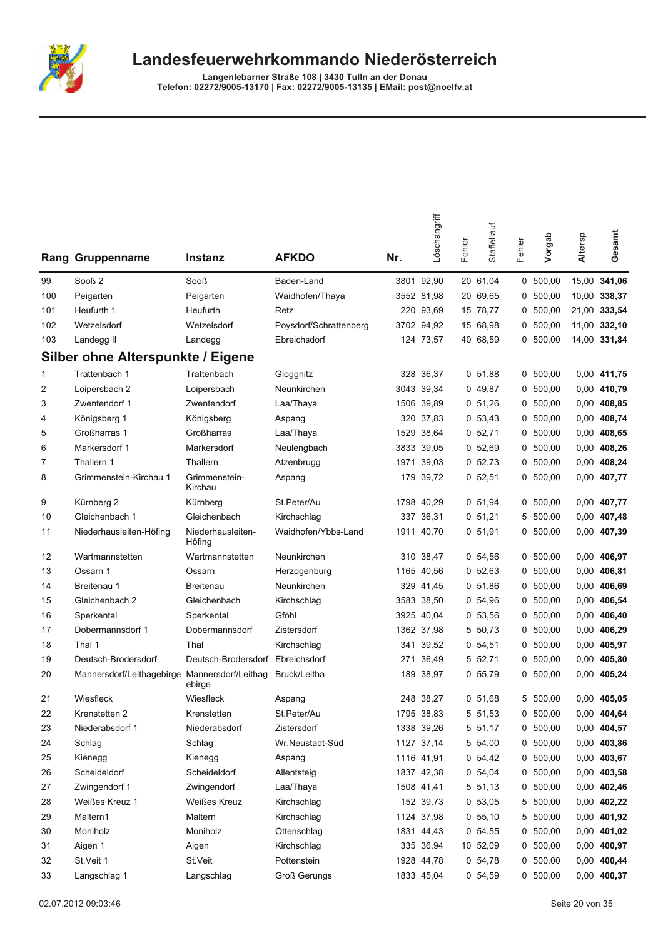

|     | <b>Rang Gruppenname</b>                  | <b>Instanz</b>                | <b>AFKDO</b>           | Nr.  | Löschangriff | Fehler | Staffellauf | Fehler | Vorgab     | Altersp | Gesamt       |
|-----|------------------------------------------|-------------------------------|------------------------|------|--------------|--------|-------------|--------|------------|---------|--------------|
| 99  | Sooß <sub>2</sub>                        | Sooß                          | Baden-Land             |      | 3801 92,90   |        | 20 61,04    |        | 0, 500, 00 | 15,00   | 341,06       |
| 100 | Peigarten                                | Peigarten                     | Waidhofen/Thaya        |      | 3552 81,98   |        | 20 69,65    | 0      | 500,00     |         | 10,00 338,37 |
| 101 | Heufurth 1                               | Heufurth                      | Retz                   |      | 220 93,69    |        | 15 78,77    | 0      | 500,00     |         | 21,00 333,54 |
| 102 | Wetzelsdorf                              | Wetzelsdorf                   | Poysdorf/Schrattenberg |      | 3702 94,92   |        | 15 68,98    | 0      | 500,00     |         | 11,00 332,10 |
| 103 | Landegg II                               | Landegg                       | Ebreichsdorf           |      | 124 73,57    |        | 40 68.59    |        | 0, 500, 00 |         | 14,00 331,84 |
|     | <b>Silber ohne Alterspunkte / Eigene</b> |                               |                        |      |              |        |             |        |            |         |              |
| 1   | Trattenbach 1                            | Trattenbach                   | Gloggnitz              |      | 328 36,37    |        | 0, 51, 88   |        | 0, 500, 00 |         | 0,00 411,75  |
| 2   | Loipersbach 2                            | Loipersbach                   | Neunkirchen            | 3043 | 39,34        |        | 049,87      | 0      | 500,00     |         | 0,00 410,79  |
| 3   | Zwentendorf 1                            | Zwentendorf                   | Laa/Thaya              | 1506 | 39,89        |        | 0, 51, 26   | 0      | 500,00     |         | 0,00 408,85  |
| 4   | Königsberg 1                             | Königsberg                    | Aspang                 | 320  | 37,83        |        | 0, 53, 43   | 0      | 500,00     |         | 0,00 408,74  |
| 5   | Großharras 1                             | Großharras                    | Laa/Thaya              | 1529 | 38,64        |        | 0, 52, 71   |        | 0, 500, 00 |         | 0,00 408,65  |
| 6   | Markersdorf 1                            | Markersdorf                   | Neulengbach            |      | 3833 39,05   |        | 0, 52, 69   |        | 0, 500, 00 |         | 0,00 408,26  |
| 7   | Thallern 1                               | Thallern                      | Atzenbrugg             | 1971 | 39,03        |        | 0, 52.73    | 0      | 500,00     |         | 0,00 408,24  |
| 8   | Grimmenstein-Kirchau 1                   | Grimmenstein-<br>Kirchau      | Aspang                 | 179  | 39,72        |        | 0, 52, 51   | 0      | 500,00     |         | 0,00 407,77  |
| 9   | Kürnberg 2                               | Kürnberg                      | St.Peter/Au            |      | 1798 40.29   |        | 0, 51, 94   |        | 0, 500, 00 |         | 0,00 407,77  |
| 10  | Gleichenbach 1                           | Gleichenbach                  | Kirchschlag            | 337  | 36,31        |        | 0, 51, 21   | 5      | 500,00     |         | 0,00 407,48  |
| 11  | Niederhausleiten-Höfing                  | Niederhausleiten-<br>Höfing   | Waidhofen/Ybbs-Land    |      | 1911 40,70   |        | 0, 51, 91   | 0      | 500,00     |         | 0,00 407,39  |
| 12  | Wartmannstetten                          | Wartmannstetten               | Neunkirchen            |      | 310 38,47    |        | 0, 54, 56   | 0      | 500,00     |         | 0,00 406,97  |
| 13  | Ossarn 1                                 | Ossarn                        | Herzogenburg           |      | 1165 40,56   |        | 0, 52, 63   | 0      | 500,00     |         | 0,00 406,81  |
| 14  | Breitenau 1                              | <b>Breitenau</b>              | Neunkirchen            |      | 329 41,45    |        | 0, 51, 86   | 0      | 500,00     |         | 0,00 406,69  |
| 15  | Gleichenbach 2                           | Gleichenbach                  | Kirchschlag            | 3583 | 38,50        |        | 0, 54, 96   | 0      | 500,00     |         | 0,00 406,54  |
| 16  | Sperkental                               | Sperkental                    | Gföhl                  | 3925 | 40,04        |        | 0, 53, 56   |        | 0, 500, 00 |         | 0,00 406,40  |
| 17  | Dobermannsdorf 1                         | Dobermannsdorf                | Zistersdorf            |      | 1362 37,98   |        | 5 50,73     | 0      | 500,00     |         | 0,00 406,29  |
| 18  | Thal 1                                   | Thal                          | Kirchschlag            | 341  | 39,52        |        | 0, 54, 51   | 0      | 500,00     |         | 0,00 405,97  |
| 19  | Deutsch-Brodersdorf                      | Deutsch-Brodersdorf           | Ebreichsdorf           | 271  | 36,49        |        | 5 52,71     | 0      | 500.00     |         | 0,00 405,80  |
| 20  | Mannersdorf/Leithagebirge                | Mannersdorf/Leithag<br>ebirge | Bruck/Leitha           |      | 189 38,97    |        | 0, 55, 79   |        | 0, 500, 00 |         | 0,00 405,24  |
| 21  | Wiesfleck                                | Wiesfleck                     | Aspang                 |      | 248 38,27    |        | 0, 51, 68   | 5      | 500,00     |         | 0.00 405.05  |
| 22  | Krenstetten 2                            | Krenstetten                   | St.Peter/Au            |      | 1795 38,83   |        | 5 51,53     |        | 0, 500, 00 |         | 0,00 404,64  |
| 23  | Niederabsdorf 1                          | Niederabsdorf                 | Zistersdorf            |      | 1338 39,26   |        | 5 51,17     |        | 0, 500, 00 |         | 0,00 404,57  |
| 24  | Schlag                                   | Schlag                        | Wr.Neustadt-Süd        |      | 1127 37,14   |        | 5 54,00     |        | 0, 500, 00 |         | 0,00 403,86  |
| 25  | Kienegg                                  | Kienegg                       | Aspang                 |      | 1116 41,91   |        | 0, 54, 42   |        | 0, 500, 00 |         | 0,00 403,67  |
| 26  | Scheideldorf                             | Scheideldorf                  | Allentsteig            |      | 1837 42,38   |        | 0, 54, 04   |        | 0, 500, 00 |         | 0,00 403,58  |
| 27  | Zwingendorf 1                            | Zwingendorf                   | Laa/Thaya              |      | 1508 41,41   |        | 5 51,13     |        | 0, 500, 00 |         | 0,00 402,46  |
| 28  | Weißes Kreuz 1                           | Weißes Kreuz                  | Kirchschlag            |      | 152 39,73    |        | 0, 53, 05   |        | 5 500,00   |         | 0,00 402,22  |
| 29  | Maltern1                                 | Maltern                       | Kirchschlag            |      | 1124 37,98   |        | 0, 55, 10   |        | 5 500,00   |         | 0,00 401,92  |
| 30  | Moniholz                                 | Moniholz                      | Ottenschlag            |      | 1831 44,43   |        | 0, 54, 55   | 0      | 500,00     |         | 0,00 401,02  |
| 31  | Aigen 1                                  | Aigen                         | Kirchschlag            |      | 335 36,94    |        | 10 52,09    |        | 0, 500, 00 |         | 0,00 400,97  |
| 32  | St.Veit 1                                | St.Veit                       | Pottenstein            |      | 1928 44,78   |        | 0, 54, 78   | 0      | 500,00     |         | 0,00 400,44  |
| 33  | Langschlag 1                             | Langschlag                    | <b>Groß Gerungs</b>    |      | 1833 45,04   |        | 0 54,59     |        | 0, 500, 00 |         | 0,00 400,37  |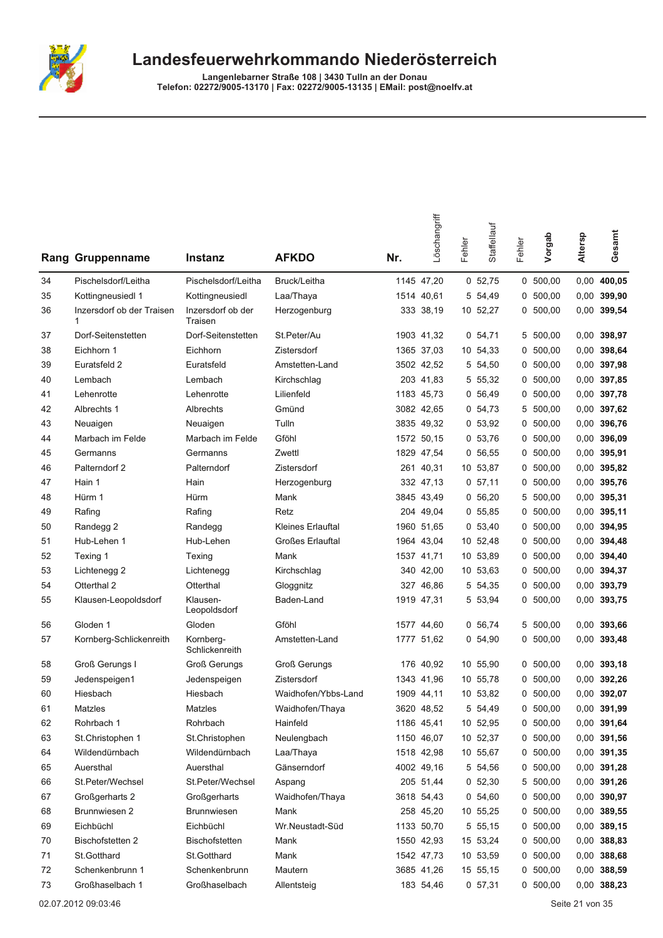

|    | <b>Rang Gruppenname</b>        | Instanz                      | <b>AFKDO</b>            | Nr. | Löschangriff | Fehler | Staffellauf | Fehler | Vorgab     | Altersp | Gesamt        |
|----|--------------------------------|------------------------------|-------------------------|-----|--------------|--------|-------------|--------|------------|---------|---------------|
| 34 | Pischelsdorf/Leitha            | Pischelsdorf/Leitha          | Bruck/Leitha            |     | 1145 47,20   |        | 0, 52, 75   |        | 0, 500, 00 | 0,00    | 400,05        |
| 35 | Kottingneusiedl 1              | Kottingneusiedl              | Laa/Thaya               |     | 1514 40,61   |        | 5 54,49     | 0      | 500,00     | 0,00    | 399,90        |
| 36 | Inzersdorf ob der Traisen<br>1 | Inzersdorf ob der<br>Traisen | Herzogenburg            |     | 333 38,19    |        | 10 52,27    |        | 0, 500, 00 | 0,00    | 399,54        |
| 37 | Dorf-Seitenstetten             | Dorf-Seitenstetten           | St.Peter/Au             |     | 1903 41,32   |        | 0, 54, 71   | 5      | 500,00     | 0,00    | 398,97        |
| 38 | Eichhorn 1                     | Eichhorn                     | Zistersdorf             |     | 1365 37,03   |        | 10 54,33    | 0      | 500,00     | 0,00    | 398,64        |
| 39 | Euratsfeld 2                   | Euratsfeld                   | Amstetten-Land          |     | 3502 42,52   |        | 5 54,50     | 0      | 500,00     | 0,00    | 397,98        |
| 40 | Lembach                        | Lembach                      | Kirchschlag             |     | 203 41,83    |        | 5 55,32     |        | 0, 500, 00 | 0,00    | 397,85        |
| 41 | Lehenrotte                     | Lehenrotte                   | Lilienfeld              |     | 1183 45,73   |        | 0 56,49     |        | 0, 500, 00 | 0,00    | 397,78        |
| 42 | Albrechts 1                    | Albrechts                    | Gmünd                   |     | 3082 42,65   |        | 0, 54, 73   | 5      | 500,00     | 0,00    | 397,62        |
| 43 | Neuaigen                       | Neuaigen                     | Tulln                   |     | 3835 49,32   |        | 0, 53, 92   | 0      | 500,00     | 0,00    | 396,76        |
| 44 | Marbach im Felde               | Marbach im Felde             | Gföhl                   |     | 1572 50,15   |        | 0, 53, 76   | 0      | 500,00     | 0,00    | 396,09        |
| 45 | Germanns                       | Germanns                     | Zwettl                  |     | 1829 47,54   |        | 0, 56, 55   | 0      | 500,00     | 0,00    | 395,91        |
| 46 | Palterndorf 2                  | Palterndorf                  | Zistersdorf             |     | 261 40,31    |        | 10 53,87    | 0      | 500,00     | 0,00    | 395,82        |
| 47 | Hain 1                         | Hain                         | Herzogenburg            |     | 332 47,13    |        | 0, 57, 11   | 0      | 500,00     | 0,00    | 395,76        |
| 48 | Hürm 1                         | Hürm                         | Mank                    |     | 3845 43,49   |        | 0, 56, 20   | 5      | 500,00     | 0,00    | 395,31        |
| 49 | Rafing                         | Rafing                       | Retz                    |     | 204 49,04    |        | 0, 55, 85   | 0      | 500,00     | 0,00    | 395,11        |
| 50 | Randegg 2                      | Randegg                      | Kleines Erlauftal       |     | 1960 51,65   |        | 0, 53, 40   |        | 0, 500, 00 | 0,00    | 394,95        |
| 51 | Hub-Lehen 1                    | Hub-Lehen                    | <b>Großes Erlauftal</b> |     | 1964 43,04   |        | 10 52,48    |        | 0, 500, 00 | 0,00    | 394,48        |
| 52 | Texing 1                       | Texing                       | Mank                    |     | 1537 41,71   |        | 10 53,89    | 0      | 500,00     | 0,00    | 394,40        |
| 53 | Lichtenegg 2                   | Lichtenegg                   | Kirchschlag             |     | 340 42,00    |        | 10 53,63    | 0      | 500,00     | 0,00    | 394,37        |
| 54 | Otterthal 2                    | Otterthal                    | Gloggnitz               |     | 327 46,86    |        | 5 54,35     | 0      | 500,00     | 0,00    | 393,79        |
| 55 | Klausen-Leopoldsdorf           | Klausen-<br>Leopoldsdorf     | Baden-Land              |     | 1919 47,31   |        | 5 53,94     |        | 0, 500, 00 | 0,00    | 393,75        |
| 56 | Gloden 1                       | Gloden                       | Gföhl                   |     | 1577 44,60   |        | 0, 56, 74   | 5      | 500,00     | 0,00    | 393,66        |
| 57 | Kornberg-Schlickenreith        | Kornberg-<br>Schlickenreith  | Amstetten-Land          |     | 1777 51,62   |        | 0 54,90     |        | 0, 500, 00 | 0,00    | 393,48        |
| 58 | Groß Gerungs I                 | <b>Groß Gerungs</b>          | <b>Groß Gerungs</b>     |     | 176 40,92    |        | 10 55,90    | 0      | 500,00     | 0,00    | 393,18        |
| 59 | Jedenspeigen1                  | Jedenspeigen                 | Zistersdorf             |     | 1343 41,96   |        | 10 55,78    | 0      | 500,00     | 0,00    | 392,26        |
| 60 | Hiesbach                       | Hiesbach                     | Waidhofen/Ybbs-Land     |     | 1909 44,11   |        | 10 53,82    |        | 0, 500, 00 | 0,00    | 392,07        |
| 61 | Matzles                        | Matzles                      | Waidhofen/Thaya         |     | 3620 48,52   |        | 5 54,49     |        | 0 500,00   |         | 0,00 391,99   |
| 62 | Rohrbach 1                     | Rohrbach                     | Hainfeld                |     | 1186 45,41   |        | 10 52,95    |        | 0, 500, 00 |         | 0,00 391,64   |
| 63 | St.Christophen 1               | St.Christophen               | Neulengbach             |     | 1150 46,07   |        | 10 52,37    |        | 0, 500, 00 |         | 0,00 391,56   |
| 64 | Wildendürnbach                 | Wildendürnbach               | Laa/Thaya               |     | 1518 42,98   |        | 10 55,67    |        | 0, 500, 00 |         | 0,00 391,35   |
| 65 | Auersthal                      | Auersthal                    | Gänserndorf             |     | 4002 49,16   |        | 5 54,56     |        | 0, 500, 00 |         | 0,00 391,28   |
| 66 | St.Peter/Wechsel               | St.Peter/Wechsel             | Aspang                  |     | 205 51,44    |        | 0, 52, 30   |        | 5 500,00   |         | 0,00 391,26   |
| 67 | Großgerharts 2                 | Großgerharts                 | Waidhofen/Thaya         |     | 3618 54,43   |        | 0, 54, 60   | 0      | 500,00     |         | 0,00 390,97   |
| 68 | Brunnwiesen 2                  | Brunnwiesen                  | Mank                    |     | 258 45,20    |        | 10 55,25    |        | 0, 500, 00 |         | 0,00 389,55   |
| 69 | Eichbüchl                      | Eichbüchl                    | Wr.Neustadt-Süd         |     | 1133 50,70   |        | 5 55,15     |        | 0 500,00   |         | $0,00$ 389,15 |
| 70 | Bischofstetten 2               | <b>Bischofstetten</b>        | Mank                    |     | 1550 42,93   |        | 15 53,24    |        | 0, 500, 00 |         | 0,00 388,83   |
| 71 | St.Gotthard                    | St.Gotthard                  | Mank                    |     | 1542 47,73   |        | 10 53,59    |        | 0, 500, 00 |         | 0,00 388,68   |
| 72 | Schenkenbrunn 1                | Schenkenbrunn                | Mautern                 |     | 3685 41,26   |        | 15 55,15    | 0      | 500,00     |         | 0,00 388,59   |
| 73 | Großhaselbach 1                | Großhaselbach                | Allentsteig             |     | 183 54,46    |        | 0, 57, 31   |        | 0, 500, 00 |         | 0,00 388,23   |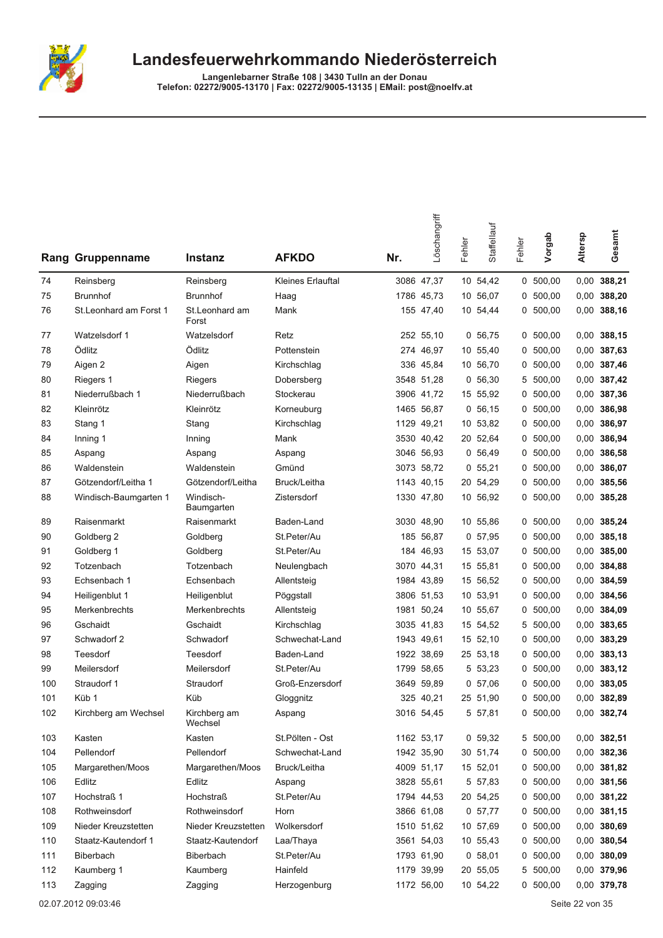

| Rang | Gruppenname            | <b>Instanz</b>          | <b>AFKDO</b>      | Nr. | Löschangriff | Fehler | Staffellauf | Fehler | Vorgab     | Altersp | Gesamt        |
|------|------------------------|-------------------------|-------------------|-----|--------------|--------|-------------|--------|------------|---------|---------------|
| 74   | Reinsberg              | Reinsberg               | Kleines Erlauftal |     | 3086 47,37   |        | 10 54,42    |        | 0, 500, 00 | 0,00    | 388,21        |
| 75   | <b>Brunnhof</b>        | <b>Brunnhof</b>         | Haag              |     | 1786 45,73   |        | 10 56,07    | 0      | 500,00     | 0,00    | 388,20        |
| 76   | St.Leonhard am Forst 1 | St.Leonhard am<br>Forst | Mank              |     | 155 47,40    |        | 10 54,44    | 0      | 500,00     | 0,00    | 388,16        |
| 77   | Watzelsdorf 1          | Watzelsdorf             | Retz              |     | 252 55,10    |        | 0, 56, 75   | 0      | 500,00     | 0,00    | 388,15        |
| 78   | Ödlitz                 | Ödlitz                  | Pottenstein       |     | 274 46,97    |        | 10 55,40    | 0      | 500,00     | 0,00    | 387,63        |
| 79   | Aigen 2                | Aigen                   | Kirchschlag       |     | 336 45,84    |        | 10 56,70    | 0      | 500,00     | 0,00    | 387,46        |
| 80   | Riegers 1              | Riegers                 | Dobersberg        |     | 3548 51,28   |        | 0 56,30     |        | 5 500,00   | 0,00    | 387,42        |
| 81   | Niederrußbach 1        | Niederrußbach           | Stockerau         |     | 3906 41,72   |        | 15 55,92    |        | 0, 500, 00 | 0,00    | 387,36        |
| 82   | Kleinrötz              | Kleinrötz               | Korneuburg        |     | 1465 56,87   |        | 0, 56, 15   | 0      | 500,00     | 0,00    | 386,98        |
| 83   | Stang 1                | Stang                   | Kirchschlag       |     | 1129 49,21   |        | 10 53,82    | 0      | 500,00     | 0,00    | 386,97        |
| 84   | Inning 1               | Inning                  | Mank              |     | 3530 40,42   |        | 20 52,64    | 0      | 500,00     | 0,00    | 386,94        |
| 85   | Aspang                 | Aspang                  | Aspang            |     | 3046 56,93   |        | 0, 56, 49   | 0      | 500,00     | 0,00    | 386,58        |
| 86   | Waldenstein            | Waldenstein             | Gmünd             |     | 3073 58,72   |        | 0, 55, 21   |        | 0, 500, 00 | 0,00    | 386,07        |
| 87   | Götzendorf/Leitha 1    | Götzendorf/Leitha       | Bruck/Leitha      |     | 1143 40,15   |        | 20 54,29    | 0      | 500,00     | 0,00    | 385,56        |
| 88   | Windisch-Baumgarten 1  | Windisch-<br>Baumgarten | Zistersdorf       |     | 1330 47,80   |        | 10 56,92    | 0      | 500,00     | 0,00    | 385,28        |
| 89   | Raisenmarkt            | Raisenmarkt             | Baden-Land        |     | 3030 48,90   |        | 10 55,86    | 0      | 500,00     |         | 0,00 385,24   |
| 90   | Goldberg 2             | Goldberg                | St.Peter/Au       |     | 185 56,87    |        | 0, 57, 95   | 0      | 500,00     | 0,00    | 385,18        |
| 91   | Goldberg 1             | Goldberg                | St.Peter/Au       |     | 184 46,93    |        | 15 53,07    | 0      | 500,00     | 0,00    | 385,00        |
| 92   | Totzenbach             | Totzenbach              | Neulengbach       |     | 3070 44,31   |        | 15 55,81    | 0      | 500,00     | 0,00    | 384,88        |
| 93   | Echsenbach 1           | Echsenbach              | Allentsteig       |     | 1984 43,89   |        | 15 56,52    |        | 0, 500, 00 | 0,00    | 384,59        |
| 94   | Heiligenblut 1         | Heiligenblut            | Pöggstall         |     | 3806 51,53   |        | 10 53,91    |        | 0, 500, 00 | 0,00    | 384,56        |
| 95   | Merkenbrechts          | Merkenbrechts           | Allentsteig       |     | 1981 50,24   |        | 10 55,67    | 0      | 500,00     | 0,00    | 384,09        |
| 96   | Gschaidt               | Gschaidt                | Kirchschlag       |     | 3035 41,83   |        | 15 54,52    | 5      | 500,00     | 0,00    | 383,65        |
| 97   | Schwadorf 2            | Schwadorf               | Schwechat-Land    |     | 1943 49,61   |        | 15 52,10    | 0      | 500,00     | 0,00    | 383,29        |
| 98   | Teesdorf               | Teesdorf                | Baden-Land        |     | 1922 38,69   |        | 25 53,18    | 0      | 500,00     | 0,00    | 383,13        |
| 99   | Meilersdorf            | Meilersdorf             | St.Peter/Au       |     | 1799 58,65   |        | 5 53,23     | 0      | 500,00     | 0,00    | 383,12        |
| 100  | Straudorf 1            | Straudorf               | Groß-Enzersdorf   |     | 3649 59,89   |        | 0, 57, 06   | 0      | 500,00     | 0,00    | 383,05        |
| 101  | Küb 1                  | Küb                     | Gloggnitz         |     | 325 40,21    |        | 25 51,90    |        | 0, 500, 00 |         | 0,00 382,89   |
| 102  | Kirchberg am Wechsel   | Kirchberg am<br>Wechsel | Aspang            |     | 3016 54,45   |        | 5 57,81     |        | 0 500,00   |         | 0,00 382,74   |
| 103  | Kasten                 | Kasten                  | St.Pölten - Ost   |     | 1162 53,17   |        | 0 59,32     |        | 5 500,00   |         | 0,00 382,51   |
| 104  | Pellendorf             | Pellendorf              | Schwechat-Land    |     | 1942 35,90   |        | 30 51,74    |        | 0, 500, 00 |         | 0,00 382,36   |
| 105  | Margarethen/Moos       | Margarethen/Moos        | Bruck/Leitha      |     | 4009 51,17   |        | 15 52,01    |        | 0, 500, 00 |         | 0,00 381,82   |
| 106  | Edlitz                 | Edlitz                  | Aspang            |     | 3828 55,61   |        | 5 57,83     |        | 0, 500, 00 |         | 0,00 381,56   |
| 107  | Hochstraß 1            | <b>Hochstraß</b>        | St.Peter/Au       |     | 1794 44,53   |        | 20 54,25    |        | 0, 500, 00 |         | 0,00 381,22   |
| 108  | Rothweinsdorf          | Rothweinsdorf           | Horn              |     | 3866 61,08   |        | 0, 57, 77   |        | 0, 500, 00 |         | 0,00 381,15   |
| 109  | Nieder Kreuzstetten    | Nieder Kreuzstetten     | Wolkersdorf       |     | 1510 51,62   |        | 10 57,69    |        | 0, 500, 00 |         | 0,00 380,69   |
| 110  | Staatz-Kautendorf 1    | Staatz-Kautendorf       | Laa/Thaya         |     | 3561 54,03   |        | 10 55,43    |        | 0, 500, 00 |         | 0,00 380,54   |
| 111  | Biberbach              | Biberbach               | St.Peter/Au       |     | 1793 61,90   |        | 0, 58, 01   |        | 0, 500, 00 |         | $0,00$ 380,09 |
| 112  | Kaumberg 1             | Kaumberg                | Hainfeld          |     | 1179 39,99   |        | 20 55,05    |        | 5 500,00   |         | 0,00 379,96   |
| 113  | Zagging                | Zagging                 | Herzogenburg      |     | 1172 56,00   |        | 10 54,22    |        | 0, 500, 00 |         | 0,00 379,78   |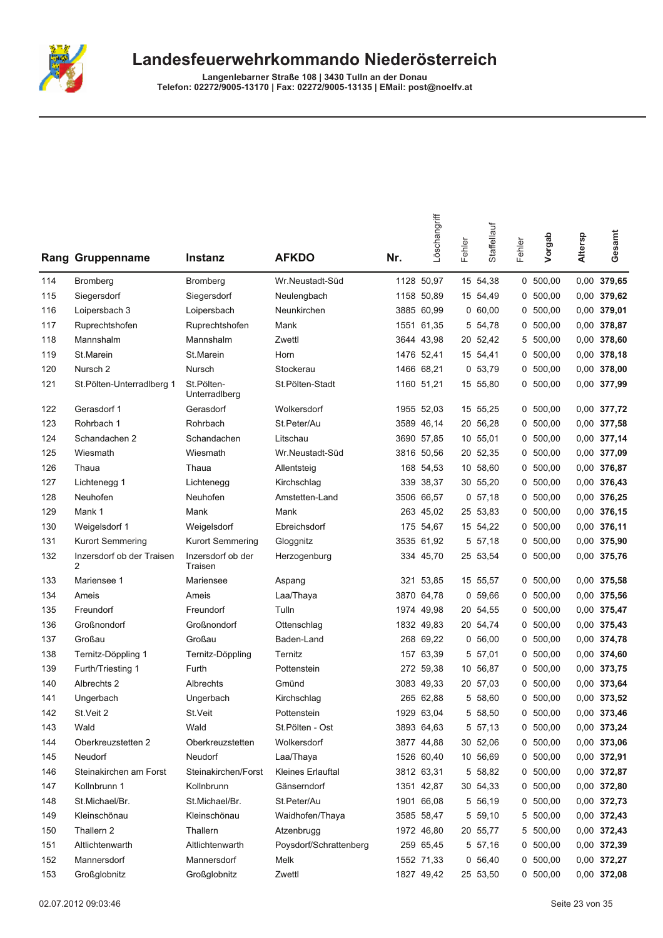

|     | Rang Gruppenname               | Instanz                      | <b>AFKDO</b>           | Nr. | Löschangriff | Fehler | Staffellauf | Fehler | Vorgab     | Altersp | Gesamt        |
|-----|--------------------------------|------------------------------|------------------------|-----|--------------|--------|-------------|--------|------------|---------|---------------|
| 114 | <b>Bromberg</b>                | Bromberg                     | Wr.Neustadt-Süd        |     | 1128 50,97   |        | 15 54,38    |        | 0, 500, 00 |         | 0,00 379,65   |
| 115 | Siegersdorf                    | Siegersdorf                  | Neulengbach            |     | 1158 50,89   |        | 15 54,49    |        | 0 500,00   |         | 0,00 379,62   |
| 116 | Loipersbach 3                  | Loipersbach                  | Neunkirchen            |     | 3885 60,99   |        | 0,60,00     | 0      | 500,00     |         | 0,00 379,01   |
| 117 | Ruprechtshofen                 | Ruprechtshofen               | Mank                   |     | 1551 61,35   |        | 5 54,78     |        | 0, 500, 00 |         | 0,00 378,87   |
| 118 | Mannshalm                      | Mannshalm                    | Zwettl                 |     | 3644 43,98   |        | 20 52,42    |        | 5 500,00   |         | 0,00 378,60   |
| 119 | St.Marein                      | St.Marein                    | Horn                   |     | 1476 52,41   |        | 15 54,41    |        | 0, 500, 00 |         | 0,00 378,18   |
| 120 | Nursch <sub>2</sub>            | Nursch                       | Stockerau              |     | 1466 68.21   |        | 0, 53, 79   |        | 0, 500, 00 |         | $0,00$ 378,00 |
| 121 | St. Pölten-Unterradiberg 1     | St.Pölten-<br>Unterradlberg  | St.Pölten-Stadt        |     | 1160 51,21   |        | 15 55,80    |        | 0, 500, 00 |         | 0,00 377,99   |
| 122 | Gerasdorf 1                    | Gerasdorf                    | Wolkersdorf            |     | 1955 52,03   |        | 15 55,25    |        | 0, 500, 00 |         | 0,00 377,72   |
| 123 | Rohrbach 1                     | Rohrbach                     | St.Peter/Au            |     | 3589 46,14   |        | 20 56,28    | 0      | 500,00     |         | 0,00 377,58   |
| 124 | Schandachen 2                  | Schandachen                  | Litschau               |     | 3690 57,85   |        | 10 55,01    |        | 0, 500, 00 |         | 0,00 377,14   |
| 125 | Wiesmath                       | Wiesmath                     | Wr.Neustadt-Süd        |     | 3816 50,56   |        | 20 52,35    |        | 0, 500, 00 |         | 0,00 377,09   |
| 126 | Thaua                          | Thaua                        | Allentsteig            |     | 168 54,53    |        | 10 58,60    |        | 0, 500, 00 |         | 0,00 376,87   |
| 127 | Lichtenegg 1                   | Lichtenegg                   | Kirchschlag            |     | 339 38,37    |        | 30 55,20    |        | 0, 500, 00 |         | 0,00 376,43   |
| 128 | Neuhofen                       | Neuhofen                     | Amstetten-Land         |     | 3506 66,57   |        | 0, 57, 18   | 0      | 500,00     |         | 0,00 376,25   |
| 129 | Mank 1                         | Mank                         | Mank                   |     | 263 45,02    |        | 25 53,83    | 0      | 500,00     |         | 0,00 376,15   |
| 130 | Weigelsdorf 1                  | Weigelsdorf                  | Ebreichsdorf           |     | 175 54,67    |        | 15 54,22    |        | 0, 500, 00 |         | 0,00 376,11   |
| 131 | <b>Kurort Semmering</b>        | <b>Kurort Semmering</b>      | Gloggnitz              |     | 3535 61,92   |        | 5 57,18     |        | 0, 500, 00 |         | 0,00 375,90   |
| 132 | Inzersdorf ob der Traisen<br>2 | Inzersdorf ob der<br>Traisen | Herzogenburg           |     | 334 45,70    |        | 25 53,54    |        | 0 500,00   |         | 0,00 375,76   |
| 133 | Mariensee 1                    | Mariensee                    | Aspang                 |     | 321 53,85    |        | 15 55,57    |        | 0, 500, 00 |         | 0,00 375,58   |
| 134 | Ameis                          | Ameis                        | Laa/Thaya              |     | 3870 64,78   |        | 0, 59, 66   |        | 0, 500, 00 |         | 0,00 375,56   |
| 135 | Freundorf                      | Freundorf                    | Tulln                  |     | 1974 49,98   |        | 20 54,55    |        | 0, 500, 00 |         | 0,00 375,47   |
| 136 | Großnondorf                    | Großnondorf                  | Ottenschlag            |     | 1832 49,83   |        | 20 54,74    |        | 0, 500, 00 |         | 0,00 375,43   |
| 137 | Großau                         | Großau                       | Baden-Land             |     | 268 69,22    |        | 0, 56, 00   |        | 0, 500, 00 |         | 0,00 374,78   |
| 138 | Ternitz-Döppling 1             | Ternitz-Döppling             | Ternitz                |     | 157 63,39    |        | 5 57,01     | 0      | 500,00     |         | $0,00$ 374,60 |
| 139 | Furth/Triesting 1              | Furth                        | Pottenstein            |     | 272 59,38    |        | 10 56,87    |        | 0, 500, 00 |         | 0,00 373,75   |
| 140 | Albrechts 2                    | Albrechts                    | Gmünd                  |     | 3083 49,33   |        | 20 57,03    |        | 0, 500, 00 |         | 0,00 373,64   |
| 141 | Ungerbach                      | Ungerbach                    | Kirchschlag            |     | 265 62,88    |        | 5 58,60     |        | 0, 500, 00 |         | 0,00 373,52   |
| 142 | St.Veit 2                      | St.Veit                      | Pottenstein            |     | 1929 63,04   |        | 5 58,50     |        | 0 500,00   |         | 0,00 373,46   |
| 143 | Wald                           | Wald                         | St.Pölten - Ost        |     | 3893 64,63   |        | 5 57,13     |        | 0, 500, 00 |         | 0,00 373,24   |
| 144 | Oberkreuzstetten 2             | Oberkreuzstetten             | Wolkersdorf            |     | 3877 44,88   |        | 30 52,06    |        | 0, 500, 00 |         | 0,00 373,06   |
| 145 | Neudorf                        | Neudorf                      | Laa/Thaya              |     | 1526 60,40   |        | 10 56,69    |        | 0, 500, 00 |         | 0,00 372,91   |
| 146 | Steinakirchen am Forst         | Steinakirchen/Forst          | Kleines Erlauftal      |     | 3812 63,31   |        | 5 58,82     |        | 0, 500, 00 |         | 0,00 372,87   |
| 147 | Kollnbrunn 1                   | Kollnbrunn                   | Gänserndorf            |     | 1351 42,87   |        | 30 54,33    |        | 0, 500, 00 |         | 0,00 372,80   |
| 148 | St.Michael/Br.                 | St.Michael/Br.               | St.Peter/Au            |     | 1901 66,08   |        | 5 56,19     |        | 0, 500, 00 |         | 0,00 372,73   |
| 149 | Kleinschönau                   | Kleinschönau                 | Waidhofen/Thaya        |     | 3585 58,47   |        | 5 59,10     |        | 5 500,00   |         | 0,00 372,43   |
| 150 | Thallern 2                     | Thallern                     | Atzenbrugg             |     | 1972 46,80   |        | 20 55,77    |        | 5 500,00   |         | 0,00 372,43   |
| 151 | Altlichtenwarth                | Altlichtenwarth              | Poysdorf/Schrattenberg |     | 259 65,45    |        | 5 57,16     |        | 0, 500, 00 |         | 0,00 372,39   |
| 152 | Mannersdorf                    | Mannersdorf                  | Melk                   |     | 1552 71,33   |        | 0, 56, 40   |        | 0, 500, 00 |         | 0,00 372,27   |
| 153 | Großglobnitz                   | Großglobnitz                 | Zwettl                 |     | 1827 49,42   |        | 25 53,50    |        | 0, 500, 00 |         | 0,00 372,08   |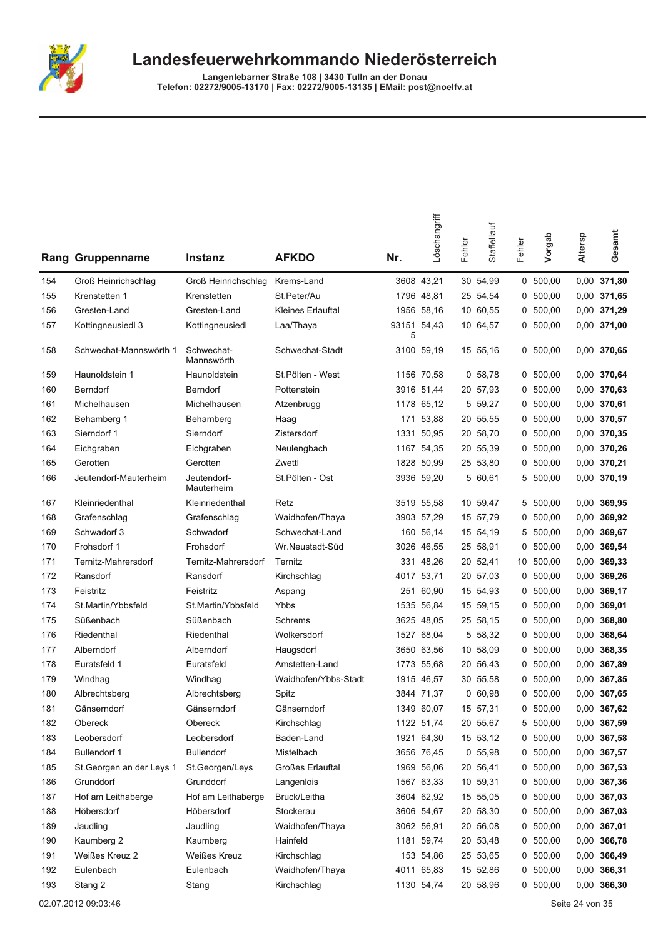

|     | Rang Gruppenname          | <b>Instanz</b>            | <b>AFKDO</b>         | Nr.              | Löschangriff | Fehler | Staffellauf | Fehler | Vorgab     | Altersp | Gesamt        |
|-----|---------------------------|---------------------------|----------------------|------------------|--------------|--------|-------------|--------|------------|---------|---------------|
| 154 | Groß Heinrichschlag       | Groß Heinrichschlag       | Krems-Land           |                  | 3608 43.21   |        | 30 54,99    |        | 0, 500, 00 |         | 0,00 371,80   |
| 155 | Krenstetten 1             | Krenstetten               | St.Peter/Au          |                  | 1796 48,81   |        | 25 54,54    | 0      | 500,00     |         | 0,00 371,65   |
| 156 | Gresten-Land              | Gresten-Land              | Kleines Erlauftal    |                  | 1956 58,16   |        | 10 60,55    |        | 0, 500, 00 |         | 0,00 371,29   |
| 157 | Kottingneusiedl 3         | Kottingneusiedl           | Laa/Thaya            | 93151 54,43<br>5 |              |        | 10 64,57    |        | 0, 500, 00 |         | 0,00 371,00   |
| 158 | Schwechat-Mannswörth 1    | Schwechat-<br>Mannswörth  | Schwechat-Stadt      |                  | 3100 59.19   |        | 15 55,16    |        | 0, 500, 00 |         | 0,00 370,65   |
| 159 | Haunoldstein 1            | Haunoldstein              | St.Pölten - West     |                  | 1156 70,58   |        | 0, 58, 78   |        | 0, 500, 00 |         | 0,00 370,64   |
| 160 | Berndorf                  | Berndorf                  | Pottenstein          |                  | 3916 51,44   |        | 20 57,93    | 0      | 500,00     |         | 0,00 370,63   |
| 161 | Michelhausen              | Michelhausen              | Atzenbrugg           |                  | 1178 65,12   |        | 5 59,27     |        | 0, 500, 00 |         | 0,00 370,61   |
| 162 | Behamberg 1               | Behamberg                 | Haag                 | 171              | 53,88        |        | 20 55,55    |        | 0, 500, 00 |         | 0,00 370,57   |
| 163 | Sierndorf 1               | Sierndorf                 | Zistersdorf          |                  | 1331 50.95   |        | 20 58,70    |        | 0, 500, 00 |         | 0,00 370,35   |
| 164 | Eichgraben                | Eichgraben                | Neulengbach          |                  | 1167 54.35   |        | 20 55,39    |        | 0, 500, 00 |         | 0,00 370,26   |
| 165 | Gerotten                  | Gerotten                  | Zwettl               |                  | 1828 50,99   |        | 25 53,80    | 0      | 500,00     |         | 0,00 370,21   |
| 166 | Jeutendorf-Mauterheim     | Jeutendorf-<br>Mauterheim | St.Pölten - Ost      |                  | 3936 59,20   |        | 5 60,61     | 5      | 500,00     |         | 0,00 370,19   |
| 167 | Kleinriedenthal           | Kleinriedenthal           | Retz                 |                  | 3519 55,58   |        | 10 59,47    |        | 5 500,00   |         | 0,00 369,95   |
| 168 | Grafenschlag              | Grafenschlag              | Waidhofen/Thaya      |                  | 3903 57,29   |        | 15 57,79    | 0      | 500,00     |         | 0,00 369,92   |
| 169 | Schwadorf 3               | Schwadorf                 | Schwechat-Land       |                  | 160 56,14    |        | 15 54,19    | 5      | 500,00     |         | 0,00 369,67   |
| 170 | Frohsdorf 1               | Frohsdorf                 | Wr.Neustadt-Süd      |                  | 3026 46,55   |        | 25 58,91    |        | 0, 500, 00 |         | 0,00 369,54   |
| 171 | Ternitz-Mahrersdorf       | Ternitz-Mahrersdorf       | Ternitz              |                  | 331 48,26    |        | 20 52,41    |        | 10 500,00  |         | 0,00 369,33   |
| 172 | Ransdorf                  | Ransdorf                  | Kirchschlag          |                  | 4017 53,71   |        | 20 57,03    | 0      | 500,00     |         | 0,00 369,26   |
| 173 | Feistritz                 | Feistritz                 | Aspang               | 251              | 60,90        |        | 15 54,93    | 0      | 500,00     |         | 0,00 369,17   |
| 174 | St.Martin/Ybbsfeld        | St.Martin/Ybbsfeld        | Ybbs                 |                  | 1535 56,84   |        | 15 59,15    |        | 0, 500, 00 |         | $0,00$ 369,01 |
| 175 | Süßenbach                 | Süßenbach                 | Schrems              |                  | 3625 48,05   |        | 25 58,15    |        | 0, 500, 00 |         | 0,00 368,80   |
| 176 | Riedenthal                | Riedenthal                | Wolkersdorf          |                  | 1527 68,04   |        | 5 58,32     |        | 0, 500, 00 |         | 0,00 368,64   |
| 177 | Alberndorf                | Alberndorf                | Haugsdorf            |                  | 3650 63,56   |        | 10 58,09    | 0      | 500,00     |         | 0,00 368,35   |
| 178 | Euratsfeld 1              | Euratsfeld                | Amstetten-Land       |                  | 1773 55,68   |        | 20 56,43    | 0      | 500,00     |         | 0,00 367,89   |
| 179 | Windhag                   | Windhag                   | Waidhofen/Ybbs-Stadt |                  | 1915 46,57   |        | 30 55,58    |        | 0, 500, 00 |         | 0,00 367,85   |
| 180 | Albrechtsberg             | Albrechtsberg             | Spitz                |                  | 3844 71,37   |        | 060,98      |        | 0, 500, 00 |         | 0,00 367,65   |
| 181 | Gänserndorf               | Gänserndorf               | Gänserndorf          |                  | 1349 60.07   |        | 15 57,31    |        | 0 500,00   |         | 0,00 367,62   |
| 182 | Obereck                   | Obereck                   | Kirchschlag          |                  | 1122 51,74   |        | 20 55,67    |        | 5 500,00   |         | 0,00 367,59   |
| 183 | Leobersdorf               | Leobersdorf               | Baden-Land           |                  | 1921 64,30   |        | 15 53,12    |        | 0, 500, 00 |         | 0,00 367,58   |
| 184 | Bullendorf 1              | <b>Bullendorf</b>         | Mistelbach           |                  | 3656 76,45   |        | 0, 55, 98   |        | 0, 500, 00 |         | 0,00 367,57   |
| 185 | St. Georgen an der Leys 1 | St.Georgen/Leys           | Großes Erlauftal     |                  | 1969 56,06   |        | 20 56,41    |        | 0, 500, 00 |         | 0,00 367,53   |
| 186 | Grunddorf                 | Grunddorf                 | Langenlois           |                  | 1567 63,33   |        | 10 59,31    |        | 0, 500, 00 |         | 0,00 367,36   |
| 187 | Hof am Leithaberge        | Hof am Leithaberge        | Bruck/Leitha         |                  | 3604 62,92   |        | 15 55,05    |        | 0, 500, 00 |         | $0,00$ 367,03 |
| 188 | Höbersdorf                | Höbersdorf                | Stockerau            |                  | 3606 54,67   |        | 20 58,30    |        | 0, 500, 00 |         | 0,00 367,03   |
| 189 | Jaudling                  | Jaudling                  | Waidhofen/Thaya      |                  | 3062 56,91   |        | 20 56,08    |        | 0, 500, 00 |         | 0,00 367,01   |
| 190 | Kaumberg 2                | Kaumberg                  | Hainfeld             |                  | 1181 59,74   |        | 20 53,48    |        | 0, 500, 00 |         | 0,00 366,78   |
| 191 | Weißes Kreuz 2            | <b>Weißes Kreuz</b>       | Kirchschlag          |                  | 153 54,86    |        | 25 53,65    |        | 0, 500, 00 |         | 0,00 366,49   |
| 192 | Eulenbach                 | Eulenbach                 | Waidhofen/Thaya      |                  | 4011 65,83   |        | 15 52,86    |        | 0, 500, 00 |         | 0,00 366,31   |
| 193 | Stang 2                   | Stang                     | Kirchschlag          |                  | 1130 54,74   |        | 20 58,96    |        | 0, 500, 00 |         | 0,00 366,30   |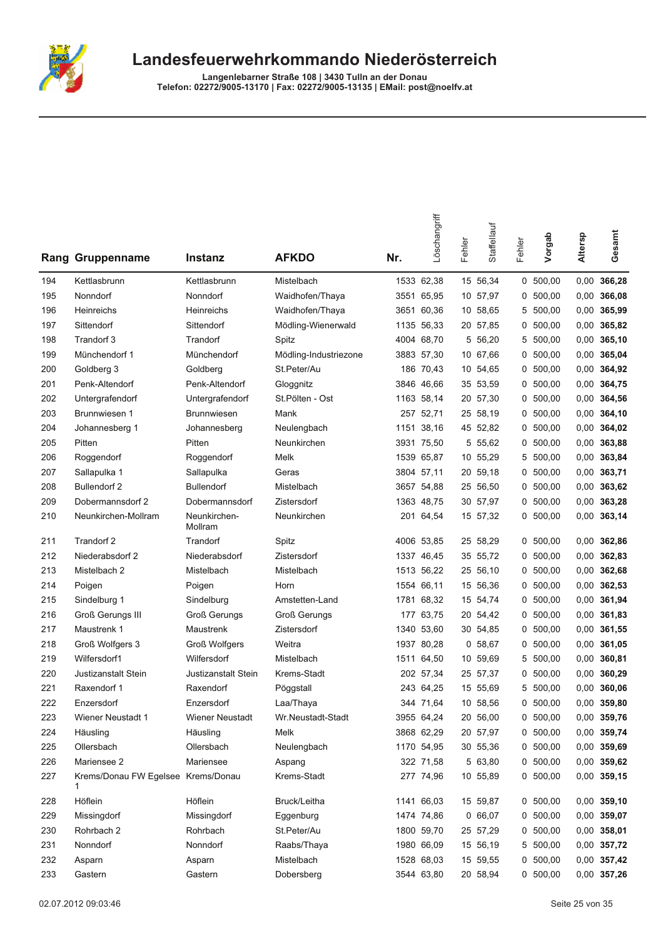

Langenlebarner Straße 108 | 3430 Tulln an der Donau<br>Telefon: 02272/9005-13170 | Fax: 02272/9005-13135 | EMail: post@noelfv.at

モ

|     | Rang Gruppenname                        | Instanz                 | <b>AFKDO</b>          | Nr.  | Löschangriff | Fehler | Staffellauf | Fehler | Vorgab     | Altersp | Gesamt        |
|-----|-----------------------------------------|-------------------------|-----------------------|------|--------------|--------|-------------|--------|------------|---------|---------------|
| 194 | Kettlasbrunn                            | Kettlasbrunn            | Mistelbach            |      | 1533 62,38   |        | 15 56,34    |        | 0, 500, 00 |         | 0,00 366,28   |
| 195 | Nonndorf                                | Nonndorf                | Waidhofen/Thaya       |      | 3551 65,95   |        | 10 57,97    | 0      | 500,00     | 0,00    | 366,08        |
| 196 | Heinreichs                              | Heinreichs              | Waidhofen/Thaya       |      | 3651 60,36   |        | 10 58,65    | 5      | 500,00     |         | 0,00 365,99   |
| 197 | Sittendorf                              | Sittendorf              | Mödling-Wienerwald    | 1135 | 56,33        |        | 20 57,85    | 0      | 500,00     | 0,00    | 365,82        |
| 198 | Trandorf 3                              | Trandorf                | Spitz                 |      | 4004 68,70   | 5      | 56,20       | 5      | 500,00     | 0,00    | 365,10        |
| 199 | Münchendorf 1                           | Münchendorf             | Mödling-Industriezone |      | 3883 57,30   |        | 10 67,66    |        | 0, 500, 00 |         | 0,00 365,04   |
| 200 | Goldberg 3                              | Goldberg                | St.Peter/Au           |      | 186 70,43    |        | 10 54,65    | 0      | 500,00     |         | 0,00 364,92   |
| 201 | Penk-Altendorf                          | Penk-Altendorf          | Gloggnitz             |      | 3846 46,66   |        | 35 53,59    |        | 0, 500, 00 |         | 0,00 364,75   |
| 202 | Untergrafendorf                         | Untergrafendorf         | St.Pölten - Ost       |      | 1163 58,14   |        | 20 57,30    |        | 0, 500, 00 | 0,00    | 364,56        |
| 203 | Brunnwiesen 1                           | <b>Brunnwiesen</b>      | Mank                  | 257  | 52,71        |        | 25 58,19    | 0      | 500,00     | 0,00    | 364,10        |
| 204 | Johannesberg 1                          | Johannesberg            | Neulengbach           | 1151 | 38,16        |        | 45 52,82    | 0      | 500,00     | 0,00    | 364,02        |
| 205 | Pitten                                  | Pitten                  | Neunkirchen           |      | 3931 75,50   |        | 5 55,62     | 0      | 500,00     | 0,00    | 363,88        |
| 206 | Roggendorf                              | Roggendorf              | Melk                  |      | 1539 65,87   |        | 10 55,29    | 5      | 500,00     | 0,00    | 363,84        |
| 207 | Sallapulka 1                            | Sallapulka              | Geras                 |      | 3804 57,11   |        | 20 59,18    | 0      | 500,00     | 0,00    | 363,71        |
| 208 | <b>Bullendorf 2</b>                     | <b>Bullendorf</b>       | Mistelbach            |      | 3657 54,88   |        | 25 56,50    | 0      | 500,00     | 0,00    | 363,62        |
| 209 | Dobermannsdorf 2                        | Dobermannsdorf          | Zistersdorf           |      | 1363 48,75   |        | 30 57,97    |        | 0, 500, 00 |         | 0,00 363,28   |
| 210 | Neunkirchen-Mollram                     | Neunkirchen-<br>Mollram | Neunkirchen           |      | 201 64,54    |        | 15 57,32    |        | 0, 500, 00 |         | 0,00 363,14   |
| 211 | Trandorf 2                              | Trandorf                | Spitz                 |      | 4006 53,85   |        | 25 58,29    | 0      | 500,00     |         | 0,00 362,86   |
| 212 | Niederabsdorf 2                         | Niederabsdorf           | Zistersdorf           |      | 1337 46,45   |        | 35 55,72    | 0      | 500,00     |         | 0,00 362,83   |
| 213 | Mistelbach 2                            | Mistelbach              | Mistelbach            |      | 1513 56,22   |        | 25 56,10    |        | 0, 500, 00 |         | 0,00 362,68   |
| 214 | Poigen                                  | Poigen                  | Horn                  |      | 1554 66,11   |        | 15 56,36    |        | 0, 500, 00 |         | 0,00 362,53   |
| 215 | Sindelburg 1                            | Sindelburg              | Amstetten-Land        | 1781 | 68,32        |        | 15 54,74    | 0      | 500,00     | 0,00    | 361,94        |
| 216 | Groß Gerungs III                        | <b>Groß Gerungs</b>     | <b>Groß Gerungs</b>   | 177  | 63,75        |        | 20 54,42    | 0      | 500,00     | 0,00    | 361,83        |
| 217 | Maustrenk 1                             | Maustrenk               | Zistersdorf           | 1340 | 53,60        |        | 30 54,85    | 0      | 500,00     | 0,00    | 361,55        |
| 218 | Groß Wolfgers 3                         | <b>Groß Wolfgers</b>    | Weitra                | 1937 | 80,28        |        | 0, 58, 67   | 0      | 500,00     | 0,00    | 361,05        |
| 219 | Wilfersdorf1                            | Wilfersdorf             | Mistelbach            | 1511 | 64,50        |        | 10 59,69    | 5      | 500,00     | 0,00    | 360,81        |
| 220 | Justizanstalt Stein                     | Justizanstalt Stein     | Krems-Stadt           |      | 202 57,34    |        | 25 57,37    | 0      | 500,00     | 0,00    | 360,29        |
| 221 | Raxendorf 1                             | Raxendorf               | Pöggstall             |      | 243 64,25    |        | 15 55.69    | 5      | 500,00     | 0,00    | 360,06        |
| 222 | Enzersdorf                              | Enzersdorf              | Laa/Thaya             |      | 344 71,64    |        | 10 58,56    |        | 0, 500, 00 |         | $0,00$ 359,80 |
| 223 | Wiener Neustadt 1                       | Wiener Neustadt         | Wr.Neustadt-Stadt     |      | 3955 64,24   |        | 20 56,00    |        | 0, 500, 00 |         | 0,00 359,76   |
| 224 | Häusling                                | Häusling                | Melk                  |      | 3868 62,29   |        | 20 57,97    |        | 0, 500, 00 |         | 0,00 359,74   |
| 225 | Ollersbach                              | Ollersbach              | Neulengbach           |      | 1170 54,95   |        | 30 55,36    |        | 0, 500, 00 |         | 0,00 359,69   |
| 226 | Mariensee 2                             | Mariensee               | Aspang                |      | 322 71,58    |        | 5 63,80     |        | 0, 500, 00 |         | 0,00 359,62   |
| 227 | Krems/Donau FW Egelsee Krems/Donau<br>1 |                         | Krems-Stadt           |      | 277 74,96    |        | 10 55,89    |        | 0, 500, 00 |         | $0,00$ 359,15 |
| 228 | Höflein                                 | Höflein                 | Bruck/Leitha          |      | 1141 66,03   |        | 15 59,87    |        | 0, 500, 00 |         | $0,00$ 359,10 |
| 229 | Missingdorf                             | Missingdorf             | Eggenburg             |      | 1474 74,86   |        | 0,66,07     |        | 0, 500, 00 |         | 0,00 359,07   |
| 230 | Rohrbach 2                              | Rohrbach                | St.Peter/Au           |      | 1800 59,70   |        | 25 57,29    |        | 0, 500, 00 |         | $0,00$ 358,01 |
| 231 | Nonndorf                                | Nonndorf                | Raabs/Thaya           |      | 1980 66,09   |        | 15 56,19    |        | 5 500,00   |         | 0,00 357,72   |
| 232 | Asparn                                  | Asparn                  | Mistelbach            |      | 1528 68,03   |        | 15 59,55    |        | 0, 500, 00 |         | 0,00 357,42   |
| 233 | Gastern                                 | Gastern                 | Dobersberg            |      | 3544 63,80   |        | 20 58,94    |        | 0, 500, 00 |         | 0,00 357,26   |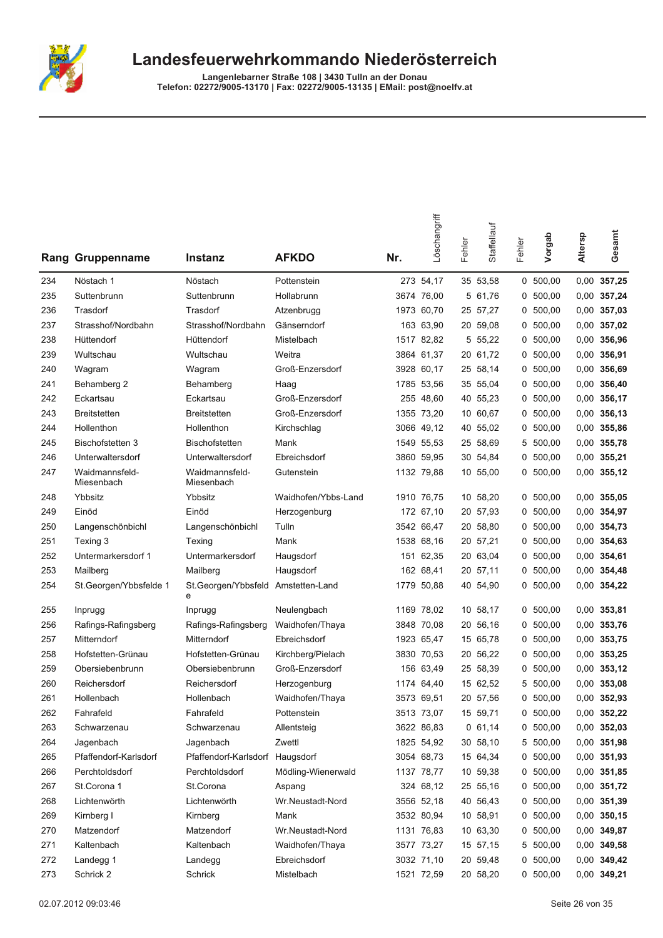

|     | <b>Rang Gruppenname</b>      | Instanz                                 | <b>AFKDO</b>        | Nr. | Löschangriff | Fehler | Staffellauf | Fehler | Vorgab     | Altersp | Gesamt        |
|-----|------------------------------|-----------------------------------------|---------------------|-----|--------------|--------|-------------|--------|------------|---------|---------------|
| 234 | Nöstach 1                    | Nöstach                                 | Pottenstein         |     | 273 54,17    |        | 35 53,58    |        | 0, 500, 00 |         | 0,00 357,25   |
| 235 | Suttenbrunn                  | Suttenbrunn                             | Hollabrunn          |     | 3674 76,00   |        | 5 61,76     |        | 0, 500, 00 |         | 0,00 357,24   |
| 236 | Trasdorf                     | Trasdorf                                | Atzenbrugg          |     | 1973 60,70   |        | 25 57,27    | 0      | 500,00     |         | 0,00 357,03   |
| 237 | Strasshof/Nordbahn           | Strasshof/Nordbahn                      | Gänserndorf         |     | 163 63,90    |        | 20 59,08    |        | 0, 500, 00 |         | $0,00$ 357,02 |
| 238 | Hüttendorf                   | Hüttendorf                              | Mistelbach          |     | 1517 82,82   |        | 5 55,22     |        | 0, 500, 00 |         | 0,00 356,96   |
| 239 | Wultschau                    | Wultschau                               | Weitra              |     | 3864 61,37   |        | 20 61,72    |        | 0, 500, 00 |         | 0,00 356,91   |
| 240 | Wagram                       | Wagram                                  | Groß-Enzersdorf     |     | 3928 60.17   |        | 25 58,14    |        | 0, 500, 00 |         | 0,00 356,69   |
| 241 | Behamberg 2                  | Behamberg                               | Haag                |     | 1785 53,56   |        | 35 55,04    |        | 0 500,00   |         | 0,00 356,40   |
| 242 | Eckartsau                    | Eckartsau                               | Groß-Enzersdorf     |     | 255 48,60    |        | 40 55,23    |        | 0, 500, 00 |         | 0,00 356,17   |
| 243 | <b>Breitstetten</b>          | <b>Breitstetten</b>                     | Groß-Enzersdorf     |     | 1355 73,20   |        | 10 60,67    |        | 0, 500, 00 |         | 0,00 356,13   |
| 244 | Hollenthon                   | Hollenthon                              | Kirchschlag         |     | 3066 49,12   |        | 40 55,02    |        | 0, 500, 00 |         | 0,00 355,86   |
| 245 | Bischofstetten 3             | <b>Bischofstetten</b>                   | Mank                |     | 1549 55,53   |        | 25 58,69    |        | 5 500,00   |         | 0,00 355,78   |
| 246 | Unterwaltersdorf             | Unterwaltersdorf                        | Ebreichsdorf        |     | 3860 59,95   |        | 30 54,84    | 0      | 500,00     |         | $0,00$ 355,21 |
| 247 | Waidmannsfeld-<br>Miesenbach | Waidmannsfeld-<br>Miesenbach            | Gutenstein          |     | 1132 79,88   |        | 10 55,00    |        | 0, 500, 00 |         | $0,00$ 355,12 |
| 248 | Ybbsitz                      | Ybbsitz                                 | Waidhofen/Ybbs-Land |     | 1910 76,75   |        | 10 58,20    |        | 0 500,00   |         | $0,00$ 355,05 |
| 249 | Einöd                        | Einöd                                   | Herzogenburg        |     | 172 67,10    |        | 20 57,93    | 0      | 500,00     |         | 0,00 354,97   |
| 250 | Langenschönbichl             | Langenschönbichl                        | Tulln               |     | 3542 66,47   |        | 20 58,80    |        | 0, 500, 00 |         | 0,00 354,73   |
| 251 | Texing 3                     | Texing                                  | Mank                |     | 1538 68,16   |        | 20 57,21    |        | 0, 500, 00 |         | 0,00 354,63   |
| 252 | Untermarkersdorf 1           | Untermarkersdorf                        | Haugsdorf           |     | 151 62,35    |        | 20 63,04    |        | 0, 500, 00 |         | 0,00 354,61   |
| 253 | Mailberg                     | Mailberg                                | Haugsdorf           |     | 162 68,41    |        | 20 57,11    | 0      | 500,00     |         | 0,00 354,48   |
| 254 | St.Georgen/Ybbsfelde 1       | St.Georgen/Ybbsfeld Amstetten-Land<br>e |                     |     | 1779 50,88   |        | 40 54,90    |        | 0, 500, 00 |         | 0,00 354,22   |
| 255 | Inprugg                      | Inprugg                                 | Neulengbach         |     | 1169 78,02   |        | 10 58,17    |        | 0, 500, 00 |         | $0,00$ 353,81 |
| 256 | Rafings-Rafingsberg          | Rafings-Rafingsberg                     | Waidhofen/Thaya     |     | 3848 70,08   |        | 20 56,16    |        | 0, 500, 00 |         | 0,00 353,76   |
| 257 | Mitterndorf                  | Mitterndorf                             | Ebreichsdorf        |     | 1923 65,47   |        | 15 65,78    |        | 0, 500, 00 |         | 0,00 353,75   |
| 258 | Hofstetten-Grünau            | Hofstetten-Grünau                       | Kirchberg/Pielach   |     | 3830 70,53   |        | 20 56,22    |        | 0, 500, 00 |         | 0,00 353,25   |
| 259 | Obersiebenbrunn              | Obersiebenbrunn                         | Groß-Enzersdorf     |     | 156 63,49    |        | 25 58,39    |        | 0, 500, 00 |         | $0,00$ 353,12 |
| 260 | Reichersdorf                 | Reichersdorf                            | Herzogenburg        |     | 1174 64,40   |        | 15 62,52    | 5      | 500,00     |         | $0,00$ 353,08 |
| 261 | Hollenbach                   | Hollenbach                              | Waidhofen/Thaya     |     | 3573 69,51   |        | 20 57,56    |        | 0, 500, 00 |         | 0,00 352,93   |
| 262 | Fahrafeld                    | Fahrafeld                               | Pottenstein         |     | 3513 73,07   |        | 15 59,71    |        | 0 500,00   |         | $0,00$ 352,22 |
| 263 | Schwarzenau                  | Schwarzenau                             | Allentsteig         |     | 3622 86,83   |        | 0, 61, 14   |        | 0, 500, 00 |         | $0,00$ 352,03 |
| 264 | Jagenbach                    | Jagenbach                               | Zwettl              |     | 1825 54,92   |        | 30 58,10    |        | 5 500,00   |         | 0,00 351,98   |
| 265 | Pfaffendorf-Karlsdorf        | Pfaffendorf-Karlsdorf Haugsdorf         |                     |     | 3054 68,73   |        | 15 64,34    |        | 0, 500, 00 |         | $0,00$ 351,93 |
| 266 | Perchtoldsdorf               | Perchtoldsdorf                          | Mödling-Wienerwald  |     | 1137 78,77   |        | 10 59,38    |        | 0, 500, 00 |         | 0,00 351,85   |
| 267 | St.Corona 1                  | St.Corona                               | Aspang              |     | 324 68,12    |        | 25 55,16    |        | 0, 500, 00 |         | 0,00 351,72   |
| 268 | Lichtenwörth                 | Lichtenwörth                            | Wr.Neustadt-Nord    |     | 3556 52,18   |        | 40 56,43    |        | 0, 500, 00 |         | 0,00 351,39   |
| 269 | Kirnberg I                   | Kirnberg                                | Mank                |     | 3532 80,94   |        | 10 58,91    |        | 0, 500, 00 |         | $0,00$ 350,15 |
| 270 | Matzendorf                   | Matzendorf                              | Wr.Neustadt-Nord    |     | 1131 76,83   |        | 10 63,30    |        | 0, 500, 00 |         | 0,00 349,87   |
| 271 | Kaltenbach                   | Kaltenbach                              | Waidhofen/Thaya     |     | 3577 73,27   |        | 15 57,15    |        | 5 500,00   |         | 0,00 349,58   |
| 272 | Landegg 1                    | Landegg                                 | Ebreichsdorf        |     | 3032 71,10   |        | 20 59,48    |        | 0, 500, 00 |         | 0,00 349,42   |
| 273 | Schrick 2                    | Schrick                                 | Mistelbach          |     | 1521 72,59   |        | 20 58,20    |        | 0 500,00   |         | $0,00$ 349,21 |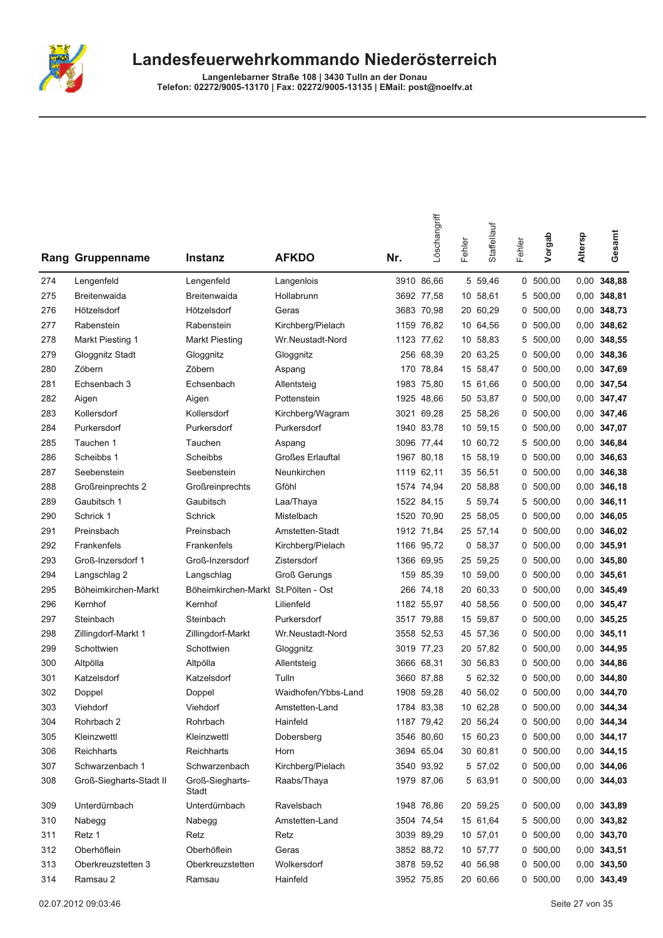

|     | Rang Gruppenname        | <b>Instanz</b>                      | <b>AFKDO</b>            | Nr.  | Löschangriff | Fehler | Staffellauf | Fehler | Vorgab     | Altersp | Gesamt        |
|-----|-------------------------|-------------------------------------|-------------------------|------|--------------|--------|-------------|--------|------------|---------|---------------|
| 274 | Lengenfeld              | Lengenfeld                          | Langenlois              |      | 3910 86.66   |        | 5 59,46     |        | 0, 500, 00 | 0,00    | 348,88        |
| 275 | Breitenwaida            | Breitenwaida                        | Hollabrunn              |      | 3692 77,58   |        | 10 58,61    | 5      | 500,00     | 0,00    | 348,81        |
| 276 | Hötzelsdorf             | Hötzelsdorf                         | Geras                   |      | 3683 70,98   |        | 20 60,29    | 0      | 500,00     |         | 0,00 348,73   |
| 277 | Rabenstein              | Rabenstein                          | Kirchberg/Pielach       | 1159 | 76,82        |        | 10 64,56    | 0      | 500,00     | 0,00    | 348,62        |
| 278 | Markt Piesting 1        | <b>Markt Piesting</b>               | Wr.Neustadt-Nord        |      | 1123 77,62   |        | 10 58,83    | 5      | 500,00     |         | 0,00 348,55   |
| 279 | Gloggnitz Stadt         | Gloggnitz                           | Gloggnitz               |      | 256 68,39    |        | 20 63,25    |        | 0, 500, 00 |         | 0,00 348,36   |
| 280 | Zöbern                  | Zöbern                              | Aspang                  |      | 170 78,84    |        | 15 58,47    |        | 0, 500, 00 |         | 0,00 347,69   |
| 281 | Echsenbach 3            | Echsenbach                          | Allentsteig             | 1983 | 75,80        |        | 15 61,66    | 0      | 500,00     |         | 0,00 347,54   |
| 282 | Aigen                   | Aigen                               | Pottenstein             |      | 1925 48,66   |        | 50 53,87    | 0      | 500,00     | 0,00    | 347,47        |
| 283 | Kollersdorf             | Kollersdorf                         | Kirchberg/Wagram        |      | 3021 69,28   |        | 25 58,26    | 0      | 500,00     | 0,00    | 347,46        |
| 284 | Purkersdorf             | Purkersdorf                         | Purkersdorf             |      | 1940 83,78   |        | 10 59,15    |        | 0, 500, 00 |         | 0,00 347,07   |
| 285 | Tauchen 1               | Tauchen                             | Aspang                  |      | 3096 77,44   |        | 10 60,72    | 5      | 500,00     | 0,00    | 346,84        |
| 286 | Scheibbs 1              | Scheibbs                            | <b>Großes Erlauftal</b> |      | 1967 80,18   |        | 15 58,19    | 0      | 500,00     |         | 0,00 346,63   |
| 287 | Seebenstein             | Seebenstein                         | Neunkirchen             |      | 1119 62,11   |        | 35 56,51    | 0      | 500,00     | 0,00    | 346,38        |
| 288 | Großreinprechts 2       | Großreinprechts                     | Gföhl                   |      | 1574 74,94   |        | 20 58,88    | 0      | 500,00     |         | 0,00 346,18   |
| 289 | Gaubitsch 1             | Gaubitsch                           | Laa/Thaya               |      | 1522 84,15   |        | 5 59,74     | 5      | 500,00     |         | 0,00 346,11   |
| 290 | Schrick 1               | Schrick                             | Mistelbach              |      | 1520 70,90   |        | 25 58,05    |        | 0, 500, 00 |         | 0,00 346,05   |
| 291 | Preinsbach              | Preinsbach                          | Amstetten-Stadt         |      | 1912 71,84   |        | 25 57,14    | 0      | 500,00     | 0,00    | 346,02        |
| 292 | Frankenfels             | Frankenfels                         | Kirchberg/Pielach       |      | 1166 95,72   |        | 0, 58, 37   | 0      | 500,00     | 0,00    | 345,91        |
| 293 | Groß-Inzersdorf 1       | Groß-Inzersdorf                     | Zistersdorf             |      | 1366 69,95   |        | 25 59,25    | 0      | 500,00     | 0,00    | 345,80        |
| 294 | Langschlag 2            | Langschlag                          | <b>Groß Gerungs</b>     |      | 159 85,39    |        | 10 59,00    |        | 0, 500, 00 | 0,00    | 345,61        |
| 295 | Böheimkirchen-Markt     | Böheimkirchen-Markt St.Pölten - Ost |                         |      | 266 74,18    |        | 20 60,33    | 0      | 500,00     | 0.00    | 345,49        |
| 296 | Kernhof                 | Kernhof                             | Lilienfeld              |      | 1182 55,97   |        | 40 58,56    | 0      | 500,00     |         | 0,00 345,47   |
| 297 | Steinbach               | Steinbach                           | Purkersdorf             |      | 3517 79,88   |        | 15 59,87    | 0      | 500,00     | 0,00    | 345,25        |
| 298 | Zillingdorf-Markt 1     | Zillingdorf-Markt                   | Wr.Neustadt-Nord        |      | 3558 52,53   |        | 45 57,36    | 0      | 500,00     |         | 0,00 345,11   |
| 299 | Schottwien              | Schottwien                          | Gloggnitz               |      | 3019 77,23   |        | 20 57,82    |        | 0, 500, 00 | 0.00    | 344,95        |
| 300 | Altpölla                | Altpölla                            | Allentsteig             |      | 3666 68.31   |        | 30 56,83    | 0      | 500,00     | 0,00    | 344,86        |
| 301 | Katzelsdorf             | Katzelsdorf                         | Tulln                   |      | 3660 87,88   |        | 5 62,32     | 0      | 500,00     | 0,00    | 344,80        |
| 302 | Doppel                  | Doppel                              | Waidhofen/Ybbs-Land     |      | 1908 59,28   |        | 40 56,02    | 0      | 500,00     | 0,00    | 344,70        |
| 303 | Viehdorf                | Viehdorf                            | Amstetten-Land          |      | 1784 83,38   |        | 10 62,28    |        | 0, 500, 00 |         | 0,00 344,34   |
| 304 | Rohrbach 2              | Rohrbach                            | Hainfeld                |      | 1187 79,42   |        | 20 56,24    |        | 0, 500, 00 |         | 0,00 344,34   |
| 305 | Kleinzwettl             | Kleinzwettl                         | Dobersberg              |      | 3546 80,60   |        | 15 60,23    |        | 0 500,00   |         | 0,00 344,17   |
| 306 | Reichharts              | Reichharts                          | Horn                    |      | 3694 65,04   |        | 30 60,81    |        | 0, 500, 00 |         | 0,00 344,15   |
| 307 | Schwarzenbach 1         | Schwarzenbach                       | Kirchberg/Pielach       |      | 3540 93,92   |        | 5 57,02     |        | 0, 500, 00 |         | 0,00 344,06   |
| 308 | Groß-Siegharts-Stadt II | Groß-Siegharts-<br>Stadt            | Raabs/Thaya             |      | 1979 87,06   |        | 5 63,91     |        | 0, 500, 00 |         | 0,00 344,03   |
| 309 | Unterdürnbach           | Unterdürnbach                       | Ravelsbach              |      | 1948 76,86   |        | 20 59,25    |        | 0, 500, 00 |         | 0,00 343,89   |
| 310 | Nabegg                  | Nabegg                              | Amstetten-Land          |      | 3504 74,54   |        | 15 61,64    |        | 5 500,00   |         | 0,00 343,82   |
| 311 | Retz 1                  | Retz                                | Retz                    |      | 3039 89,29   |        | 10 57,01    |        | 0, 500, 00 |         | 0,00 343,70   |
| 312 | Oberhöflein             | Oberhöflein                         | Geras                   |      | 3852 88,72   |        | 10 57,77    |        | 0, 500, 00 |         | $0,00$ 343,51 |
| 313 | Oberkreuzstetten 3      | Oberkreuzstetten                    | Wolkersdorf             |      | 3878 59,52   |        | 40 56,98    |        | 0 500,00   |         | 0,00 343,50   |
| 314 | Ramsau 2                | Ramsau                              | Hainfeld                |      | 3952 75,85   |        | 20 60,66    |        | 0, 500, 00 |         | 0,00 343,49   |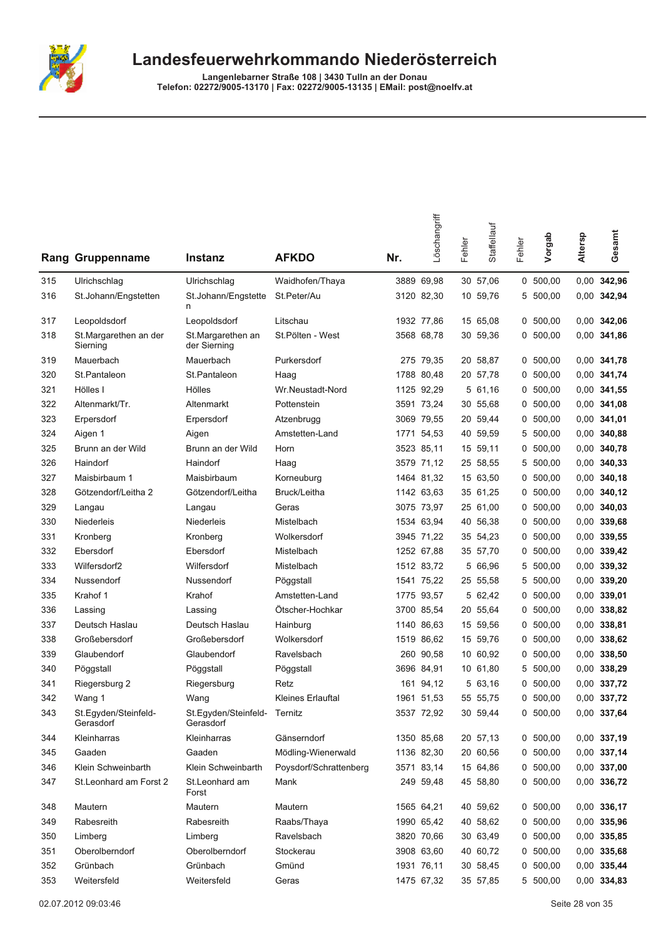

|     |                                   |                                           |                        |     | Löschangriff | Fehler | Staffellauf | Fehler | Vorgab     | Altersp | Gesamt        |
|-----|-----------------------------------|-------------------------------------------|------------------------|-----|--------------|--------|-------------|--------|------------|---------|---------------|
|     | Rang Gruppenname                  | <b>Instanz</b>                            | <b>AFKDO</b>           | Nr. |              |        |             |        |            |         |               |
| 315 | Ulrichschlag                      | Ulrichschlag                              | Waidhofen/Thaya        |     | 3889 69,98   |        | 30 57,06    |        | 0, 500, 00 |         | 0,00 342,96   |
| 316 | St.Johann/Engstetten              | St.Johann/Engstette<br>n                  | St.Peter/Au            |     | 3120 82,30   |        | 10 59,76    |        | 5 500,00   |         | 0,00 342,94   |
| 317 | Leopoldsdorf                      | Leopoldsdorf                              | Litschau               |     | 1932 77,86   |        | 15 65,08    |        | 0, 500, 00 |         | $0,00$ 342,06 |
| 318 | St.Margarethen an der<br>Sierning | St.Margarethen an<br>der Sierning         | St.Pölten - West       |     | 3568 68,78   |        | 30 59,36    |        | 0, 500, 00 |         | 0,00 341,86   |
| 319 | Mauerbach                         | Mauerbach                                 | Purkersdorf            |     | 275 79,35    |        | 20 58,87    |        | 0, 500, 00 |         | 0,00 341,78   |
| 320 | St.Pantaleon                      | St.Pantaleon                              | Haag                   |     | 1788 80,48   |        | 20 57,78    |        | 0, 500, 00 |         | 0,00 341,74   |
| 321 | Hölles I                          | Hölles                                    | Wr.Neustadt-Nord       |     | 1125 92,29   |        | 5 61,16     |        | 0, 500, 00 |         | 0,00 341,55   |
| 322 | Altenmarkt/Tr.                    | Altenmarkt                                | Pottenstein            |     | 3591 73,24   |        | 30 55,68    | 0      | 500,00     |         | $0,00$ 341,08 |
| 323 | Erpersdorf                        | Erpersdorf                                | Atzenbrugg             |     | 3069 79,55   |        | 20 59,44    | 0      | 500,00     |         | $0,00$ 341,01 |
| 324 | Aigen 1                           | Aigen                                     | Amstetten-Land         |     | 1771 54,53   |        | 40 59,59    | 5      | 500,00     | 0,00    | 340,88        |
| 325 | Brunn an der Wild                 | Brunn an der Wild                         | Horn                   |     | 3523 85,11   |        | 15 59,11    |        | 0, 500, 00 |         | 0,00 340,78   |
| 326 | Haindorf                          | Haindorf                                  | Haag                   |     | 3579 71,12   |        | 25 58,55    |        | 5 500,00   |         | $0,00$ 340,33 |
| 327 | Maisbirbaum 1                     | Maisbirbaum                               | Korneuburg             |     | 1464 81,32   |        | 15 63,50    | 0      | 500,00     | 0,00    | 340,18        |
| 328 | Götzendorf/Leitha 2               | Götzendorf/Leitha                         | Bruck/Leitha           |     | 1142 63,63   |        | 35 61,25    | 0      | 500,00     | 0.00    | 340,12        |
| 329 | Langau                            | Langau                                    | Geras                  |     | 3075 73,97   |        | 25 61,00    | 0      | 500,00     | 0,00    | 340,03        |
| 330 | Niederleis                        | Niederleis                                | Mistelbach             |     | 1534 63,94   |        | 40 56,38    |        | 0, 500, 00 | 0,00    | 339,68        |
| 331 | Kronberg                          | Kronberg                                  | Wolkersdorf            |     | 3945 71,22   |        | 35 54,23    |        | 0, 500, 00 |         | 0,00 339,55   |
| 332 | Ebersdorf                         | Ebersdorf                                 | Mistelbach             |     | 1252 67,88   |        | 35 57,70    | 0      | 500,00     |         | 0,00 339,42   |
| 333 | Wilfersdorf2                      | Wilfersdorf                               | Mistelbach             |     | 1512 83,72   |        | 5 66,96     | 5      | 500,00     |         | 0,00 339,32   |
| 334 | Nussendorf                        | Nussendorf                                | Pöggstall              |     | 1541 75,22   |        | 25 55,58    | 5      | 500,00     |         | $0,00$ 339,20 |
| 335 | Krahof 1                          | Krahof                                    | Amstetten-Land         |     | 1775 93,57   |        | 5 62,42     |        | 0, 500, 00 |         | $0,00$ 339,01 |
| 336 | Lassing                           | Lassing                                   | Ötscher-Hochkar        |     | 3700 85,54   |        | 20 55,64    |        | 0, 500, 00 |         | 0,00 338,82   |
| 337 | Deutsch Haslau                    | Deutsch Haslau                            | Hainburg               |     | 1140 86,63   |        | 15 59,56    | 0      | 500,00     |         | 0,00 338,81   |
| 338 | Großebersdorf                     | Großebersdorf                             | Wolkersdorf            |     | 1519 86,62   |        | 15 59,76    | 0      | 500,00     | 0,00    | 338,62        |
| 339 | Glaubendorf                       | Glaubendorf                               | Ravelsbach             |     | 260 90,58    |        | 10 60,92    | 0      | 500,00     | 0,00    | 338,50        |
| 340 | Pöggstall                         | Pöggstall                                 | Pöggstall              |     | 3696 84,91   |        | 10 61,80    | 5      | 500,00     |         | 0,00 338,29   |
| 341 | Riegersburg 2                     | Riegersburg                               | Retz                   |     | 161 94,12    |        | 5 63,16     |        | 0, 500, 00 |         | 0,00 337,72   |
| 342 | Wang 1                            | Wang                                      | Kleines Erlauftal      |     | 1961 51,53   |        | 55 55,75    |        | 0, 500, 00 |         | 0,00 337,72   |
| 343 | St.Egyden/Steinfeld-<br>Gerasdorf | St.Egyden/Steinfeld- Ternitz<br>Gerasdorf |                        |     | 3537 72,92   |        | 30 59,44    |        | 0 500,00   |         | 0,00 337,64   |
| 344 | Kleinharras                       | Kleinharras                               | Gänserndorf            |     | 1350 85,68   |        | 20 57,13    |        | 0 500,00   |         | 0,00 337,19   |
| 345 | Gaaden                            | Gaaden                                    | Mödling-Wienerwald     |     | 1136 82,30   |        | 20 60,56    |        | 0, 500, 00 |         | 0,00 337,14   |
| 346 | Klein Schweinbarth                | Klein Schweinbarth                        | Poysdorf/Schrattenberg |     | 3571 83,14   |        | 15 64,86    |        | 0, 500, 00 |         | $0,00$ 337,00 |
| 347 | St.Leonhard am Forst 2            | St.Leonhard am<br>Forst                   | Mank                   |     | 249 59,48    |        | 45 58,80    |        | 0, 500, 00 |         | 0,00 336,72   |
| 348 | Mautern                           | Mautern                                   | Mautern                |     | 1565 64,21   |        | 40 59,62    |        | 0, 500, 00 |         | 0,00 336,17   |
| 349 | Rabesreith                        | Rabesreith                                | Raabs/Thaya            |     | 1990 65,42   |        | 40 58,62    |        | 0, 500, 00 |         | 0,00 335,96   |
| 350 | Limberg                           | Limberg                                   | Ravelsbach             |     | 3820 70,66   |        | 30 63,49    |        | 0, 500, 00 |         | 0,00 335,85   |
| 351 | Oberolberndorf                    | Oberolberndorf                            | Stockerau              |     | 3908 63,60   |        | 40 60,72    |        | 0 500,00   |         | 0,00 335,68   |
| 352 | Grünbach                          | Grünbach                                  | Gmünd                  |     | 1931 76,11   |        | 30 58,45    |        | 0 500,00   |         | 0,00 335,44   |
| 353 | Weitersfeld                       | Weitersfeld                               | Geras                  |     | 1475 67,32   |        | 35 57,85    |        | 5 500,00   |         | 0,00 334,83   |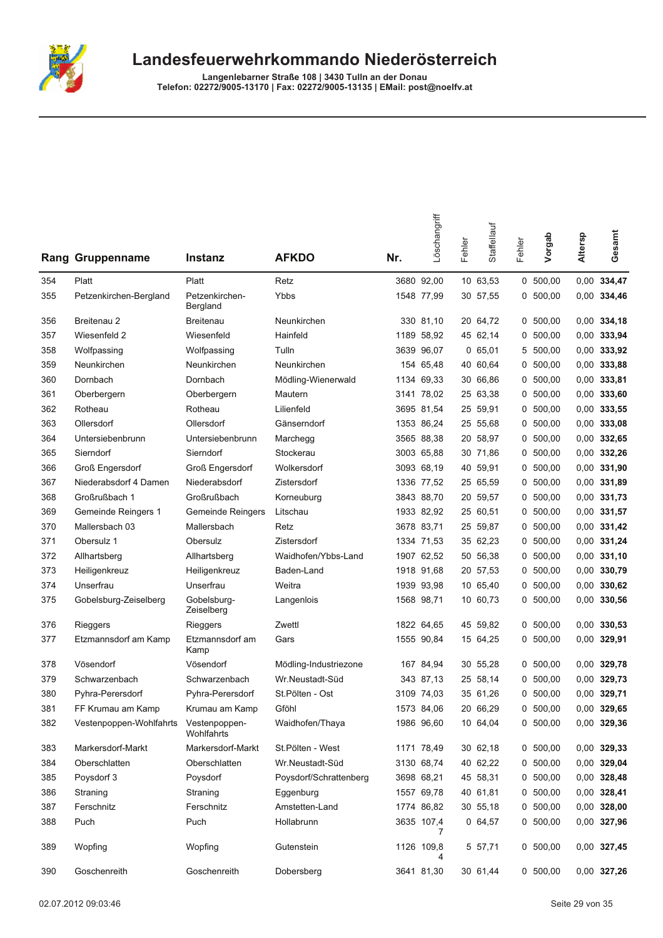

|     | Rang Gruppenname                      | Instanz                    | <b>AFKDO</b>           | Nr. | Löschangriff    | Fehler | Staffellauf | Fehler | Vorgab     | Altersp | Gesamt        |
|-----|---------------------------------------|----------------------------|------------------------|-----|-----------------|--------|-------------|--------|------------|---------|---------------|
| 354 | Platt                                 | Platt                      | Retz                   |     | 3680 92,00      |        | 10 63,53    |        | 0, 500, 00 |         | 0,00 334,47   |
| 355 | Petzenkirchen-Bergland                | Petzenkirchen-<br>Bergland | Ybbs                   |     | 1548 77,99      |        | 30 57,55    |        | 0, 500, 00 |         | 0,00 334,46   |
| 356 | Breitenau 2                           | Breitenau                  | Neunkirchen            |     | 330 81,10       |        | 20 64,72    |        | 0, 500, 00 |         | 0,00 334,18   |
| 357 | Wiesenfeld 2                          | Wiesenfeld                 | Hainfeld               |     | 1189 58,92      |        | 45 62,14    |        | 0, 500, 00 |         | 0,00 333,94   |
| 358 | Wolfpassing                           | Wolfpassing                | Tulln                  |     | 3639 96,07      |        | 065,01      | 5      | 500,00     |         | 0,00 333,92   |
| 359 | Neunkirchen                           | Neunkirchen                | Neunkirchen            |     | 154 65,48       |        | 40 60,64    |        | 0, 500, 00 |         | 0,00 333,88   |
| 360 | Dornbach                              | Dornbach                   | Mödling-Wienerwald     |     | 1134 69,33      |        | 30 66,86    |        | 0, 500, 00 |         | $0,00$ 333,81 |
| 361 | Oberbergern                           | Oberbergern                | Mautern                |     | 3141 78,02      |        | 25 63,38    |        | 0, 500, 00 |         | $0,00$ 333,60 |
| 362 | Rotheau                               | Rotheau                    | Lilienfeld             |     | 3695 81,54      |        | 25 59,91    |        | 0, 500, 00 |         | 0,00 333,55   |
| 363 | Ollersdorf                            | Ollersdorf                 | Gänserndorf            |     | 1353 86,24      |        | 25 55,68    |        | 0, 500, 00 |         | $0,00$ 333,08 |
| 364 | Untersiebenbrunn                      | Untersiebenbrunn           | Marchegg               |     | 3565 88,38      |        | 20 58,97    |        | 0, 500, 00 |         | 0,00 332,65   |
| 365 | Sierndorf                             | Sierndorf                  | Stockerau              |     | 3003 65,88      |        | 30 71,86    |        | 0, 500, 00 |         | 0,00 332,26   |
| 366 | <b>Groß Engersdorf</b>                | <b>Groß Engersdorf</b>     | Wolkersdorf            |     | 3093 68,19      |        | 40 59,91    |        | 0, 500, 00 |         | $0,00$ 331,90 |
| 367 | Niederabsdorf 4 Damen                 | Niederabsdorf              | Zistersdorf            |     | 1336 77,52      |        | 25 65,59    |        | 0, 500, 00 |         | 0,00 331,89   |
| 368 | Großrußbach 1                         | Großrußbach                | Korneuburg             |     | 3843 88,70      |        | 20 59,57    |        | 0, 500, 00 |         | $0,00$ 331,73 |
| 369 | Gemeinde Reingers 1                   | <b>Gemeinde Reingers</b>   | Litschau               |     | 1933 82,92      |        | 25 60,51    |        | 0, 500, 00 |         | 0,00 331,57   |
| 370 | Mallersbach 03                        | Mallersbach                | Retz                   |     | 3678 83,71      |        | 25 59,87    |        | 0, 500, 00 |         | 0,00 331,42   |
| 371 | Obersulz 1                            | Obersulz                   | Zistersdorf            |     | 1334 71,53      |        | 35 62,23    |        | 0, 500, 00 |         | 0,00 331,24   |
| 372 | Allhartsberg                          | Allhartsberg               | Waidhofen/Ybbs-Land    |     | 1907 62,52      |        | 50 56,38    |        | 0, 500, 00 |         | $0,00$ 331,10 |
| 373 | Heiligenkreuz                         | Heiligenkreuz              | Baden-Land             |     | 1918 91,68      |        | 20 57,53    |        | 0, 500, 00 |         | 0,00 330,79   |
| 374 | Unserfrau                             | Unserfrau                  | Weitra                 |     | 1939 93,98      |        | 10 65,40    |        | 0 500,00   |         | $0,00$ 330,62 |
| 375 | Gobelsburg-Zeiselberg                 | Gobelsburg-<br>Zeiselberg  | Langenlois             |     | 1568 98,71      |        | 10 60,73    |        | 0, 500, 00 |         | 0,00 330,56   |
| 376 | Rieggers                              | Rieggers                   | Zwettl                 |     | 1822 64,65      |        | 45 59,82    |        | 0, 500, 00 |         | 0,00 330,53   |
| 377 | Etzmannsdorf am Kamp                  | Etzmannsdorf am<br>Kamp    | Gars                   |     | 1555 90,84      |        | 15 64,25    |        | 0, 500, 00 |         | 0,00 329,91   |
| 378 | Vösendorf                             | Vösendorf                  | Mödling-Industriezone  |     | 167 84,94       |        | 30 55,28    |        | 0, 500, 00 |         | 0,00 329,78   |
| 379 | Schwarzenbach                         | Schwarzenbach              | Wr.Neustadt-Süd        |     | 343 87,13       |        | 25 58,14    |        | 0, 500, 00 |         | 0,00 329,73   |
| 380 | Pyhra-Perersdorf                      | Pyhra-Perersdorf           | St.Pölten - Ost        |     | 3109 74,03      |        | 35 61,26    |        | 0, 500, 00 |         | 0,00 329,71   |
| 381 | FF Krumau am Kamp                     | Krumau am Kamp             | Gföhl                  |     | 1573 84.06      |        | 20 66,29    |        | 0, 500, 00 |         | 0.00 329,65   |
| 382 | Vestenpoppen-Wohlfahrts Vestenpoppen- | Wohlfahrts                 | Waidhofen/Thaya        |     | 1986 96,60      |        | 10 64,04    |        | 0, 500, 00 |         | 0,00 329,36   |
| 383 | Markersdorf-Markt                     | Markersdorf-Markt          | St.Pölten - West       |     | 1171 78,49      |        | 30 62,18    |        | 0, 500, 00 |         | 0,00 329,33   |
| 384 | Oberschlatten                         | Oberschlatten              | Wr.Neustadt-Süd        |     | 3130 68,74      |        | 40 62,22    |        | 0, 500, 00 |         | 0,00 329,04   |
| 385 | Poysdorf 3                            | Poysdorf                   | Poysdorf/Schrattenberg |     | 3698 68,21      |        | 45 58,31    |        | 0, 500, 00 |         | 0,00 328,48   |
| 386 | Straning                              | Straning                   | Eggenburg              |     | 1557 69,78      |        | 40 61,81    |        | 0, 500, 00 |         | 0,00 328,41   |
| 387 | Ferschnitz                            | Ferschnitz                 | Amstetten-Land         |     | 1774 86,82      |        | 30 55,18    |        | 0, 500, 00 |         | $0,00$ 328,00 |
| 388 | Puch                                  | Puch                       | Hollabrunn             |     | 3635 107,4<br>7 |        | 0, 64, 57   |        | 0, 500, 00 |         | 0,00 327,96   |
| 389 | Wopfing                               | Wopfing                    | Gutenstein             |     | 1126 109,8<br>4 |        | 5 57,71     |        | 0, 500, 00 |         | 0,00 327,45   |
| 390 | Goschenreith                          | Goschenreith               | Dobersherg             |     | 3641 81 30      |        | 30.6144     |        | 0.500.00   |         | 0.00 327.26   |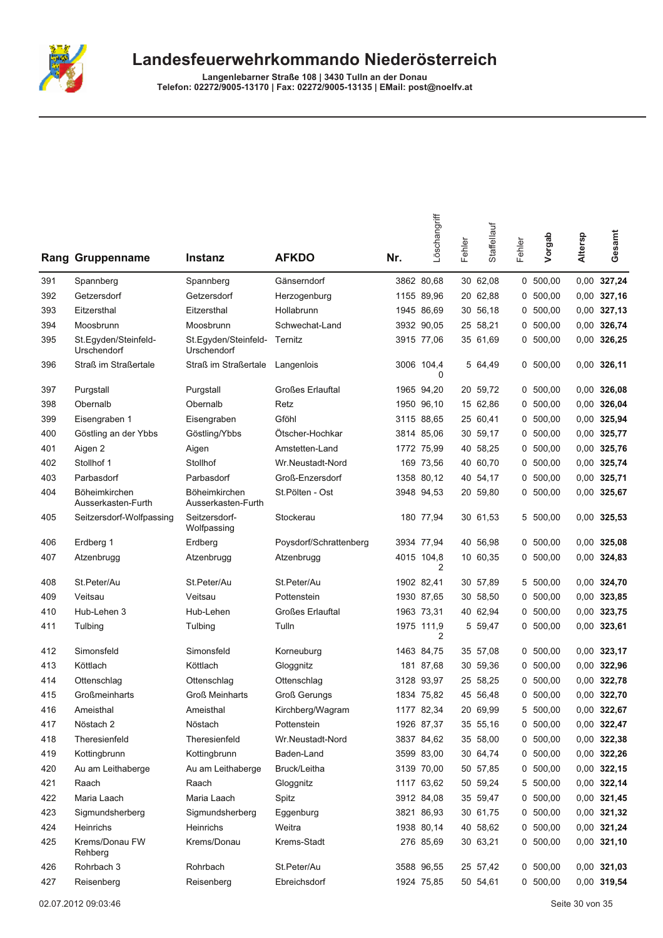

|     | Rang Gruppenname                    | <b>Instanz</b>                      | <b>AFKDO</b>            | Nr. | Löschangriff    | Fehler | Staffellauf | Fehler | Vorgab     | Altersp | Gesamt        |
|-----|-------------------------------------|-------------------------------------|-------------------------|-----|-----------------|--------|-------------|--------|------------|---------|---------------|
| 391 | Spannberg                           | Spannberg                           | Gänserndorf             |     | 3862 80.68      |        | 30 62,08    |        | 0, 500, 00 |         | 0,00 327,24   |
| 392 | Getzersdorf                         | Getzersdorf                         | Herzogenburg            |     | 1155 89,96      |        | 20 62,88    |        | 0, 500, 00 |         | $0,00$ 327,16 |
| 393 | Eitzersthal                         | Eitzersthal                         | Hollabrunn              |     | 1945 86,69      |        | 30 56,18    | 0      | 500,00     |         | $0,00$ 327,13 |
| 394 | Moosbrunn                           | Moosbrunn                           | Schwechat-Land          |     | 3932 90,05      |        | 25 58,21    |        | 0, 500, 00 |         | 0,00 326,74   |
| 395 | St.Eqyden/Steinfeld-<br>Urschendorf | St.Egyden/Steinfeld-<br>Urschendorf | Ternitz                 |     | 3915 77,06      |        | 35 61,69    |        | 0, 500, 00 |         | 0,00 326,25   |
| 396 | Straß im Straßertale                | Straß im Straßertale                | Langenlois              |     | 3006 104,4<br>0 |        | 5 64,49     |        | 0, 500, 00 |         | $0,00$ 326,11 |
| 397 | Purgstall                           | Purgstall                           | <b>Großes Erlauftal</b> |     | 1965 94,20      |        | 20 59,72    | 0      | 500,00     |         | $0,00$ 326,08 |
| 398 | Obernalb                            | Obernalb                            | Retz                    |     | 1950 96,10      |        | 15 62,86    | 0      | 500,00     |         | 0,00 326,04   |
| 399 | Eisengraben 1                       | Eisengraben                         | Gföhl                   |     | 3115 88,65      |        | 25 60,41    |        | 0, 500, 00 |         | 0,00 325,94   |
| 400 | Göstling an der Ybbs                | Göstling/Ybbs                       | Ötscher-Hochkar         |     | 3814 85,06      |        | 30 59,17    |        | 0, 500, 00 |         | 0,00 325,77   |
| 401 | Aigen 2                             | Aigen                               | Amstetten-Land          |     | 1772 75,99      |        | 40 58,25    |        | 0, 500, 00 |         | 0,00 325,76   |
| 402 | Stollhof 1                          | Stollhof                            | Wr.Neustadt-Nord        |     | 169 73.56       |        | 40 60,70    |        | 0, 500, 00 |         | 0,00 325,74   |
| 403 | Parbasdorf                          | Parbasdorf                          | Groß-Enzersdorf         |     | 1358 80,12      |        | 40 54,17    | 0      | 500,00     |         | 0,00 325,71   |
| 404 | Böheimkirchen<br>Ausserkasten-Furth | Böheimkirchen<br>Ausserkasten-Furth | St.Pölten - Ost         |     | 3948 94,53      |        | 20 59,80    |        | 0, 500, 00 |         | 0,00 325,67   |
| 405 | Seitzersdorf-Wolfpassing            | Seitzersdorf-<br>Wolfpassing        | Stockerau               |     | 180 77,94       |        | 30 61,53    | 5      | 500,00     |         | 0,00 325,53   |
| 406 | Erdberg 1                           | Erdberg                             | Poysdorf/Schrattenberg  |     | 3934 77,94      |        | 40 56,98    |        | 0, 500, 00 |         | $0,00$ 325,08 |
| 407 | Atzenbrugg                          | Atzenbrugg                          | Atzenbrugg              |     | 4015 104,8<br>2 |        | 10 60,35    | 0      | 500,00     |         | 0,00 324,83   |
| 408 | St.Peter/Au                         | St.Peter/Au                         | St.Peter/Au             |     | 1902 82,41      |        | 30 57,89    |        | 5 500,00   |         | 0,00 324,70   |
| 409 | Veitsau                             | Veitsau                             | Pottenstein             |     | 1930 87,65      |        | 30 58,50    |        | 0, 500, 00 |         | 0,00 323,85   |
| 410 | Hub-Lehen 3                         | Hub-Lehen                           | <b>Großes Erlauftal</b> |     | 1963 73,31      |        | 40 62,94    | 0      | 500,00     |         | 0,00 323,75   |
| 411 | Tulbing                             | Tulbing                             | Tulln                   |     | 1975 111,9<br>2 |        | 5 59,47     |        | 0, 500, 00 |         | 0,00 323,61   |
| 412 | Simonsfeld                          | Simonsfeld                          | Korneuburg              |     | 1463 84,75      |        | 35 57,08    | 0      | 500,00     |         | 0,00 323,17   |
| 413 | Köttlach                            | Köttlach                            | Gloggnitz               |     | 181 87,68       |        | 30 59,36    | 0      | 500,00     |         | 0,00 322,96   |
| 414 | Ottenschlag                         | Ottenschlag                         | Ottenschlag             |     | 3128 93,97      |        | 25 58,25    | 0      | 500,00     |         | 0,00 322,78   |
| 415 | Großmeinharts                       | <b>Groß Meinharts</b>               | <b>Groß Gerungs</b>     |     | 1834 75.82      |        | 45 56,48    |        | 0, 500, 00 |         | 0,00 322,70   |
| 416 | Ameisthal                           | Ameisthal                           | Kirchberg/Wagram        |     | 1177 82,34      |        | 20 69,99    |        | 5 500,00   |         | 0,00 322,67   |
| 417 | Nöstach 2                           | Nöstach                             | Pottenstein             |     | 1926 87,37      |        | 35 55,16    |        | 0, 500, 00 |         | 0,00 322,47   |
| 418 | Theresienfeld                       | Theresienfeld                       | Wr.Neustadt-Nord        |     | 3837 84,62      |        | 35 58,00    |        | 0, 500, 00 |         | 0,00 322,38   |
| 419 | Kottingbrunn                        | Kottingbrunn                        | Baden-Land              |     | 3599 83,00      |        | 30 64,74    |        | 0, 500, 00 |         | 0,00 322,26   |
| 420 | Au am Leithaberge                   | Au am Leithaberge                   | Bruck/Leitha            |     | 3139 70,00      |        | 50 57,85    |        | 0, 500, 00 |         | 0,00 322,15   |
| 421 | Raach                               | Raach                               | Gloggnitz               |     | 1117 63,62      |        | 50 59,24    |        | 5 500,00   |         | $0,00$ 322,14 |
| 422 | Maria Laach                         | Maria Laach                         | Spitz                   |     | 3912 84,08      |        | 35 59,47    |        | 0, 500, 00 |         | 0,00 321,45   |
| 423 | Sigmundsherberg                     | Sigmundsherberg                     | Eggenburg               |     | 3821 86,93      |        | 30 61,75    |        | 0, 500, 00 |         | 0,00 321,32   |
| 424 | Heinrichs                           | Heinrichs                           | Weitra                  |     | 1938 80,14      |        | 40 58,62    |        | 0, 500, 00 |         | 0,00 321,24   |
| 425 | Krems/Donau FW<br>Rehberg           | Krems/Donau                         | Krems-Stadt             |     | 276 85,69       |        | 30 63,21    |        | 0, 500, 00 |         | $0,00$ 321,10 |
| 426 | Rohrbach 3                          | Rohrbach                            | St.Peter/Au             |     | 3588 96,55      |        | 25 57,42    |        | 0, 500, 00 |         | $0,00$ 321,03 |
| 427 | Reisenberg                          | Reisenberg                          | Ebreichsdorf            |     | 1924 75,85      |        | 50 54,61    |        | 0 500,00   |         | 0,00 319,54   |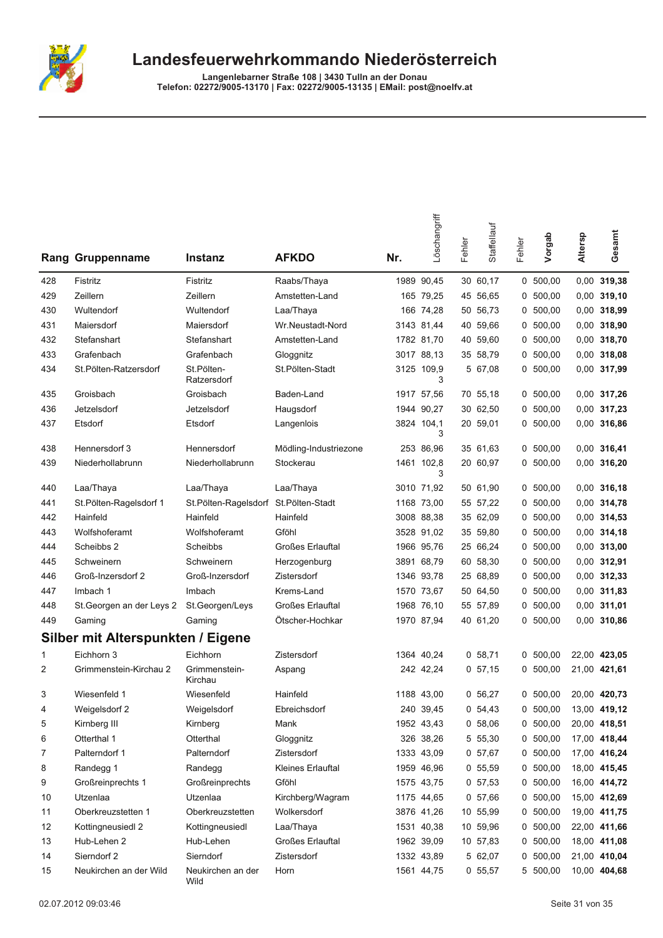

|     | <b>Rang Gruppenname</b>           | <b>Instanz</b>                       | <b>AFKDO</b>            | Nr. | Löschangriff    | Fehler | Staffellauf | Fehler | Vorgab     | Altersp | Gesamt        |
|-----|-----------------------------------|--------------------------------------|-------------------------|-----|-----------------|--------|-------------|--------|------------|---------|---------------|
| 428 | Fistritz                          | Fistritz                             | Raabs/Thaya             |     | 1989 90,45      |        | 30 60,17    |        | 0, 500, 00 |         | 0,00 319,38   |
| 429 | Zeillern                          | Zeillern                             | Amstetten-Land          |     | 165 79,25       |        | 45 56,65    | 0      | 500,00     |         | 0,00 319,10   |
| 430 | Wultendorf                        | Wultendorf                           | Laa/Thaya               |     | 166 74,28       |        | 50 56,73    | 0      | 500,00     | 0,00    | 318,99        |
| 431 | Maiersdorf                        | Maiersdorf                           | Wr.Neustadt-Nord        |     | 3143 81,44      |        | 40 59,66    | 0      | 500,00     |         | 0,00 318,90   |
| 432 | Stefanshart                       | Stefanshart                          | Amstetten-Land          |     | 1782 81,70      |        | 40 59,60    |        | 0, 500, 00 |         | 0,00 318,70   |
| 433 | Grafenbach                        | Grafenbach                           | Gloggnitz               |     | 3017 88,13      |        | 35 58,79    |        | 0, 500, 00 |         | 0,00 318,08   |
| 434 | St.Pölten-Ratzersdorf             | St.Pölten-<br>Ratzersdorf            | St.Pölten-Stadt         |     | 3125 109,9<br>3 |        | 5 67,08     | 0      | 500,00     |         | 0,00 317,99   |
| 435 | Groisbach                         | Groisbach                            | Baden-Land              |     | 1917 57,56      |        | 70 55,18    |        | 0, 500, 00 |         | 0,00 317,26   |
| 436 | Jetzelsdorf                       | Jetzelsdorf                          | Haugsdorf               |     | 1944 90,27      |        | 30 62,50    | 0      | 500,00     |         | 0,00 317,23   |
| 437 | Etsdorf                           | Etsdorf                              | Langenlois              |     | 3824 104,1<br>3 |        | 20 59,01    |        | 0, 500, 00 |         | 0,00 316,86   |
| 438 | Hennersdorf 3                     | Hennersdorf                          | Mödling-Industriezone   |     | 253 86,96       |        | 35 61,63    |        | 0, 500, 00 |         | 0,00 316,41   |
| 439 | Niederhollabrunn                  | Niederhollabrunn                     | Stockerau               |     | 1461 102,8<br>3 |        | 20 60,97    | 0      | 500,00     |         | 0,00 316,20   |
| 440 | Laa/Thaya                         | Laa/Thaya                            | Laa/Thaya               |     | 3010 71,92      |        | 50 61,90    |        | 0, 500, 00 |         | 0.00 316,18   |
| 441 | St.Pölten-Ragelsdorf 1            | St.Pölten-Ragelsdorf St.Pölten-Stadt |                         |     | 1168 73,00      |        | 55 57,22    | 0      | 500,00     |         | 0,00 314,78   |
| 442 | Hainfeld                          | Hainfeld                             | Hainfeld                |     | 3008 88,38      |        | 35 62,09    | 0      | 500,00     | 0,00    | 314,53        |
| 443 | Wolfshoferamt                     | Wolfshoferamt                        | Gföhl                   |     | 3528 91,02      |        | 35 59,80    | 0      | 500,00     |         | 0,00 314,18   |
| 444 | Scheibbs 2                        | Scheibbs                             | Großes Erlauftal        |     | 1966 95,76      |        | 25 66,24    |        | 0, 500, 00 |         | $0,00$ 313,00 |
| 445 | Schweinern                        | Schweinern                           | Herzogenburg            |     | 3891 68,79      |        | 60 58,30    |        | 0, 500, 00 |         | 0,00 312,91   |
| 446 | Groß-Inzersdorf 2                 | Groß-Inzersdorf                      | Zistersdorf             |     | 1346 93,78      |        | 25 68,89    | 0      | 500,00     | 0,00    | 312,33        |
| 447 | Imbach 1                          | Imbach                               | Krems-Land              |     | 1570 73,67      |        | 50 64,50    | 0      | 500,00     | 0,00    | 311,83        |
| 448 | St. Georgen an der Leys 2         | St.Georgen/Leys                      | <b>Großes Erlauftal</b> |     | 1968 76,10      |        | 55 57,89    | 0      | 500,00     |         | 0,00 311,01   |
| 449 | Gaming                            | Gaming                               | Ötscher-Hochkar         |     | 1970 87,94      |        | 40 61,20    |        | 0, 500, 00 |         | 0,00 310,86   |
|     | Silber mit Alterspunkten / Eigene |                                      |                         |     |                 |        |             |        |            |         |               |
| 1   | Eichhorn 3                        | Eichhorn                             | Zistersdorf             |     | 1364 40,24      |        | 0, 58, 71   |        | 0, 500, 00 |         | 22,00 423,05  |
| 2   | Grimmenstein-Kirchau 2            | Grimmenstein-<br>Kirchau             | Aspang                  |     | 242 42,24       |        | 0, 57, 15   |        | 0, 500, 00 |         | 21,00 421,61  |
| 3   | Wiesenfeld 1                      | Wiesenfeld                           | Hainfeld                |     | 1188 43,00      |        | 0, 56, 27   |        | 0, 500, 00 |         | 20,00 420,73  |
| 4   | Weigelsdorf 2                     | Weigelsdorf                          | Ebreichsdorf            |     | 240 39,45       |        | 0, 54, 43   |        | 0, 500, 00 |         | 13,00 419,12  |
| 5   | Kirnberg III                      | Kirnberg                             | Mank                    |     | 1952 43,43      |        | 0, 58, 06   |        | 0 500,00   |         | 20,00 418,51  |
| 6   | Otterthal 1                       | Otterthal                            | Gloggnitz               |     | 326 38,26       |        | 5 55,30     |        | 0, 500, 00 |         | 17,00 418,44  |
| 7   | Palterndorf 1                     | Palterndorf                          | Zistersdorf             |     | 1333 43,09      |        | 0, 57, 67   |        | 0 500,00   |         | 17,00 416,24  |
| 8   | Randegg 1                         | Randegg                              | Kleines Erlauftal       |     | 1959 46,96      |        | 0, 55, 59   |        | 0, 500, 00 |         | 18,00 415,45  |
| 9   | Großreinprechts 1                 | Großreinprechts                      | Gföhl                   |     | 1575 43,75      |        | 0, 57, 53   |        | 0, 500, 00 |         | 16,00 414,72  |
| 10  | Utzenlaa                          | Utzenlaa                             | Kirchberg/Wagram        |     | 1175 44,65      |        | 0, 57, 66   | 0      | 500,00     |         | 15,00 412,69  |
| 11  | Oberkreuzstetten 1                | Oberkreuzstetten                     | Wolkersdorf             |     | 3876 41,26      |        | 10 55,99    |        | 0, 500, 00 |         | 19,00 411,75  |
| 12  | Kottingneusiedl 2                 | Kottingneusiedl                      | Laa/Thaya               |     | 1531 40,38      |        | 10 59,96    |        | 0 500,00   |         | 22,00 411,66  |
| 13  | Hub-Lehen 2                       | Hub-Lehen                            | Großes Erlauftal        |     | 1962 39,09      |        | 10 57,83    |        | 0, 500, 00 |         | 18,00 411,08  |
| 14  | Sierndorf 2                       | Sierndorf                            | Zistersdorf             |     | 1332 43,89      |        | 5 62,07     |        | 0, 500, 00 |         | 21,00 410,04  |
| 15  | Neukirchen an der Wild            | Neukirchen an der<br>Wild            | Horn                    |     | 1561 44,75      |        | 0, 55, 57   |        | 5 500,00   |         | 10,00 404,68  |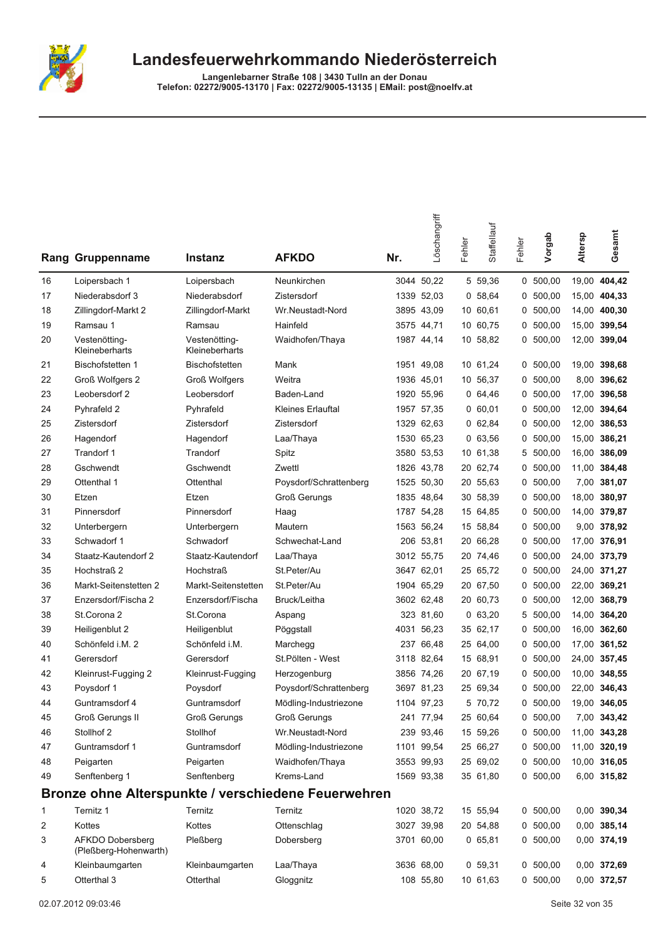

|    | Rang Gruppenname                                 | <b>Instanz</b>                  | <b>AFKDO</b>                                        | Nr.  | Löschangriff | Fehler | Staffellauf | Fehler | Vorgab     | Altersp | Gesamt       |
|----|--------------------------------------------------|---------------------------------|-----------------------------------------------------|------|--------------|--------|-------------|--------|------------|---------|--------------|
| 16 | Loipersbach 1                                    | Loipersbach                     | Neunkirchen                                         |      | 3044 50,22   |        | 5 59,36     |        | 0, 500, 00 |         | 19,00 404,42 |
| 17 | Niederabsdorf 3                                  | Niederabsdorf                   | Zistersdorf                                         |      | 1339 52,03   |        | 0, 58, 64   |        | 0, 500, 00 |         | 15,00 404,33 |
| 18 | Zillingdorf-Markt 2                              | Zillingdorf-Markt               | Wr.Neustadt-Nord                                    |      | 3895 43.09   |        | 10 60,61    | 0      | 500,00     |         | 14,00 400,30 |
| 19 | Ramsau 1                                         | Ramsau                          | Hainfeld                                            |      | 3575 44,71   |        | 10 60,75    | 0      | 500,00     |         | 15,00 399,54 |
| 20 | Vestenötting-<br>Kleineberharts                  | Vestenötting-<br>Kleineberharts | Waidhofen/Thaya                                     |      | 1987 44,14   |        | 10 58,82    | 0      | 500,00     |         | 12,00 399,04 |
| 21 | <b>Bischofstetten 1</b>                          | <b>Bischofstetten</b>           | Mank                                                |      | 1951 49,08   |        | 10 61,24    | 0      | 500,00     |         | 19,00 398,68 |
| 22 | Groß Wolfgers 2                                  | <b>Groß Wolfgers</b>            | Weitra                                              |      | 1936 45,01   |        | 10 56,37    | 0      | 500,00     |         | 8,00 396,62  |
| 23 | Leobersdorf 2                                    | Leobersdorf                     | Baden-Land                                          | 1920 | 55,96        |        | 064,46      |        | 0, 500, 00 |         | 17,00 396,58 |
| 24 | Pyhrafeld 2                                      | Pyhrafeld                       | <b>Kleines Erlauftal</b>                            | 1957 | 57,35        |        | 0 60,01     |        | 0, 500, 00 |         | 12,00 394,64 |
| 25 | Zistersdorf                                      | Zistersdorf                     | Zistersdorf                                         | 1329 | 62,63        |        | 062,84      | 0      | 500,00     | 12,00   | 386,53       |
| 26 | Hagendorf                                        | Hagendorf                       | Laa/Thaya                                           |      | 1530 65,23   |        | 063,56      | 0      | 500,00     | 15,00   | 386,21       |
| 27 | Trandorf 1                                       | Trandorf                        | Spitz                                               |      | 3580 53,53   |        | 10 61,38    | 5      | 500,00     | 16,00   | 386,09       |
| 28 | Gschwendt                                        | Gschwendt                       | Zwettl                                              |      | 1826 43,78   |        | 20 62,74    | 0      | 500,00     |         | 11,00 384,48 |
| 29 | Ottenthal 1                                      | Ottenthal                       | Poysdorf/Schrattenberg                              |      | 1525 50,30   |        | 20 55,63    |        | 0, 500, 00 | 7,00    | 381,07       |
| 30 | Etzen                                            | Etzen                           | <b>Groß Gerungs</b>                                 |      | 1835 48,64   |        | 30 58,39    | 0      | 500,00     | 18,00   | 380,97       |
| 31 | Pinnersdorf                                      | Pinnersdorf                     | Haag                                                | 1787 | 54,28        |        | 15 64,85    | 0      | 500,00     |         | 14,00 379,87 |
| 32 | Unterbergern                                     | Unterbergern                    | Mautern                                             |      | 1563 56.24   |        | 15 58,84    | 0      | 500,00     |         | 9,00 378,92  |
| 33 | Schwadorf 1                                      | Schwadorf                       | Schwechat-Land                                      |      | 206 53,81    |        | 20 66,28    |        | 0, 500, 00 |         | 17,00 376,91 |
| 34 | Staatz-Kautendorf 2                              | Staatz-Kautendorf               | Laa/Thaya                                           |      | 3012 55,75   |        | 20 74,46    |        | 0, 500, 00 |         | 24,00 373,79 |
| 35 | Hochstraß 2                                      | <b>Hochstraß</b>                | St.Peter/Au                                         |      | 3647 62,01   |        | 25 65,72    | 0      | 500,00     |         | 24,00 371,27 |
| 36 | Markt-Seitenstetten 2                            | Markt-Seitenstetten             | St.Peter/Au                                         |      | 1904 65,29   |        | 20 67,50    | 0      | 500,00     |         | 22,00 369,21 |
| 37 | Enzersdorf/Fischa 2                              | Enzersdorf/Fischa               | Bruck/Leitha                                        |      | 3602 62,48   |        | 20 60,73    | 0      | 500,00     |         | 12,00 368,79 |
| 38 | St.Corona 2                                      | St.Corona                       | Aspang                                              |      | 323 81,60    |        | 063,20      | 5      | 500,00     |         | 14,00 364,20 |
| 39 | Heiligenblut 2                                   | Heiligenblut                    | Pöggstall                                           |      | 4031 56,23   |        | 35 62,17    | 0      | 500,00     |         | 16,00 362,60 |
| 40 | Schönfeld i.M. 2                                 | Schönfeld i.M.                  | Marchegg                                            | 237  | 66,48        |        | 25 64,00    | 0      | 500,00     | 17,00   | 361,52       |
| 41 | Gerersdorf                                       | Gerersdorf                      | St.Pölten - West                                    | 3118 | 82,64        |        | 15 68,91    | 0      | 500,00     |         | 24,00 357,45 |
| 42 | Kleinrust-Fugging 2                              | Kleinrust-Fugging               | Herzogenburg                                        |      | 3856 74,26   |        | 20 67,19    | 0      | 500,00     |         | 10,00 348,55 |
| 43 | Poysdorf 1                                       | Poysdorf                        | Poysdorf/Schrattenberg                              |      | 3697 81.23   |        | 25 69,34    | 0      | 500,00     |         | 22,00 346,43 |
| 44 | Guntramsdorf 4                                   | Guntramsdorf                    | Mödling-Industriezone                               |      | 1104 97,23   |        | 5 70,72     |        | 0, 500, 00 |         | 19,00 346,05 |
| 45 | Groß Gerungs II                                  | <b>Groß Gerungs</b>             | <b>Groß Gerungs</b>                                 |      | 241 77,94    |        | 25 60,64    |        | 0, 500, 00 |         | 7,00 343,42  |
| 46 | Stollhof 2                                       | Stollhof                        | Wr.Neustadt-Nord                                    |      | 239 93,46    |        | 15 59,26    |        | 0, 500, 00 |         | 11,00 343,28 |
| 47 | Guntramsdorf 1                                   | Guntramsdorf                    | Mödling-Industriezone                               |      | 1101 99,54   |        | 25 66,27    |        | 0, 500, 00 |         | 11,00 320,19 |
| 48 | Peigarten                                        | Peigarten                       | Waidhofen/Thaya                                     |      | 3553 99,93   |        | 25 69,02    |        | 0 500,00   |         | 10,00 316,05 |
| 49 | Senftenberg 1                                    | Senftenberg                     | Krems-Land                                          |      | 1569 93,38   |        | 35 61,80    |        | 0, 500, 00 |         | 6,00 315,82  |
|    |                                                  |                                 | Bronze ohne Alterspunkte / verschiedene Feuerwehren |      |              |        |             |        |            |         |              |
| 1  | Ternitz 1                                        | Ternitz                         | Ternitz                                             |      | 1020 38,72   |        | 15 55,94    |        | 0, 500, 00 |         | 0,00 390,34  |
| 2  | Kottes                                           | Kottes                          | Ottenschlag                                         |      | 3027 39,98   |        | 20 54,88    |        | 0, 500, 00 |         | 0,00 385,14  |
| 3  | <b>AFKDO Dobersberg</b><br>(Pleßberg-Hohenwarth) | Pleßberg                        | Dobersberg                                          |      | 3701 60,00   |        | 065,81      |        | 0, 500, 00 |         | 0,00 374,19  |
| 4  | Kleinbaumgarten                                  | Kleinbaumgarten                 | Laa/Thaya                                           |      | 3636 68,00   |        | 0, 59, 31   |        | 0, 500, 00 |         | 0,00 372,69  |
| 5  | Otterthal 3                                      | Otterthal                       | Gloggnitz                                           |      | 108 55,80    |        | 10 61,63    |        | 0, 500, 00 |         | 0,00 372,57  |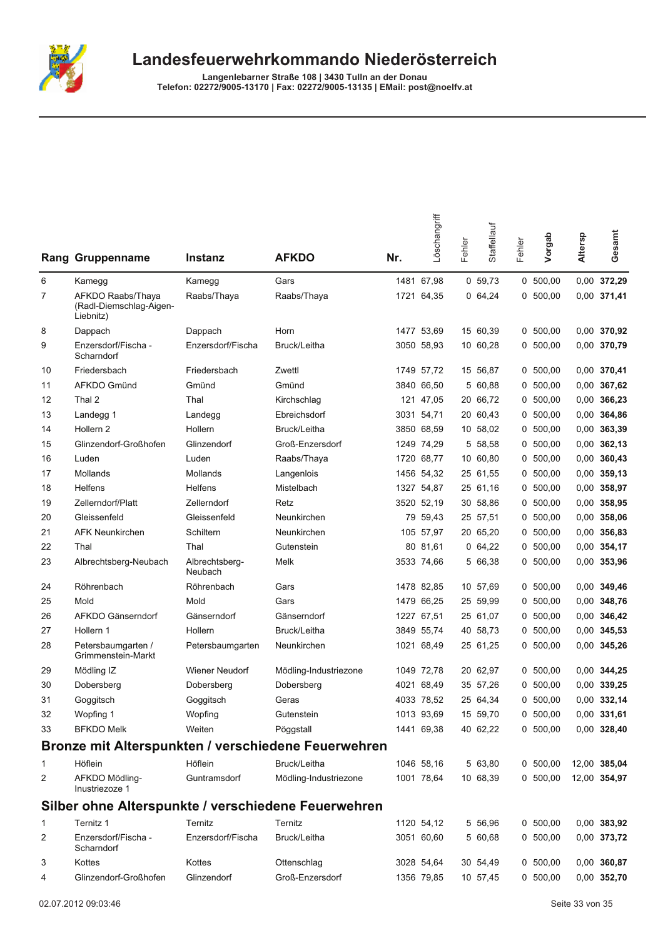

| Rang | Gruppenname                                               | <b>Instanz</b>            | <b>AFKDO</b>                                        | Nr. | Löschangriff | Fehler | Staffellauf | Fehler | Vorgab     | Altersp | Gesamt        |
|------|-----------------------------------------------------------|---------------------------|-----------------------------------------------------|-----|--------------|--------|-------------|--------|------------|---------|---------------|
| 6    | Kamegg                                                    | Kamegg                    | Gars                                                |     | 1481 67,98   |        | 0, 59, 73   |        | 0, 500, 00 |         | 0,00 372,29   |
| 7    | AFKDO Raabs/Thaya<br>(Radl-Diemschlag-Aigen-<br>Liebnitz) | Raabs/Thaya               | Raabs/Thaya                                         |     | 1721 64,35   |        | 0, 64, 24   |        | 0, 500, 00 |         | 0,00 371,41   |
| 8    | Dappach                                                   | Dappach                   | Horn                                                |     | 1477 53,69   |        | 15 60,39    |        | 0, 500, 00 |         | 0,00 370,92   |
| 9    | Enzersdorf/Fischa -<br>Scharndorf                         | Enzersdorf/Fischa         | Bruck/Leitha                                        |     | 3050 58,93   |        | 10 60,28    |        | 0, 500, 00 |         | 0,00 370,79   |
| 10   | Friedersbach                                              | Friedersbach              | Zwettl                                              |     | 1749 57,72   |        | 15 56,87    |        | 0, 500, 00 |         | 0,00 370,41   |
| 11   | AFKDO Gmünd                                               | Gmünd                     | Gmünd                                               |     | 3840 66,50   |        | 5 60,88     | 0      | 500,00     |         | 0,00 367,62   |
| 12   | Thal 2                                                    | Thal                      | Kirchschlag                                         |     | 121 47,05    |        | 20 66,72    |        | 0, 500, 00 |         | 0,00 366,23   |
| 13   | Landegg 1                                                 | Landegg                   | Ebreichsdorf                                        |     | 3031 54,71   |        | 20 60,43    | 0      | 500,00     | 0,00    | 364,86        |
| 14   | Hollern <sub>2</sub>                                      | Hollern                   | Bruck/Leitha                                        |     | 3850 68,59   |        | 10 58,02    | 0      | 500,00     |         | 0,00 363,39   |
| 15   | Glinzendorf-Großhofen                                     | Glinzendorf               | Groß-Enzersdorf                                     |     | 1249 74,29   |        | 5 58,58     |        | 0, 500, 00 |         | $0,00$ 362,13 |
| 16   | Luden                                                     | Luden                     | Raabs/Thaya                                         |     | 1720 68,77   |        | 10 60,80    | 0      | 500,00     |         | 0,00 360,43   |
| 17   | Mollands                                                  | Mollands                  | Langenlois                                          |     | 1456 54,32   |        | 25 61,55    |        | 0, 500, 00 |         | 0,00 359,13   |
| 18   | <b>Helfens</b>                                            | <b>Helfens</b>            | Mistelbach                                          |     | 1327 54,87   |        | 25 61,16    |        | 0, 500, 00 |         | 0,00 358,97   |
| 19   | Zellerndorf/Platt                                         | Zellerndorf               | Retz                                                |     | 3520 52,19   |        | 30 58,86    | 0      | 500,00     |         | 0,00 358,95   |
| 20   | Gleissenfeld                                              | Gleissenfeld              | Neunkirchen                                         |     | 79 59,43     |        | 25 57,51    |        | 0, 500, 00 |         | 0,00 358,06   |
| 21   | <b>AFK Neunkirchen</b>                                    | Schiltern                 | Neunkirchen                                         |     | 105 57,97    |        | 20 65,20    | 0      | 500,00     |         | 0.00 356,83   |
| 22   | Thal                                                      | Thal                      | Gutenstein                                          |     | 80 81,61     |        | 0, 64, 22   |        | 0, 500, 00 |         | 0,00 354,17   |
| 23   | Albrechtsberg-Neubach                                     | Albrechtsberg-<br>Neubach | Melk                                                |     | 3533 74,66   |        | 5 66,38     |        | 0, 500, 00 |         | 0,00 353,96   |
| 24   | Röhrenbach                                                | Röhrenbach                | Gars                                                |     | 1478 82,85   |        | 10 57,69    |        | 0, 500, 00 |         | 0,00 349,46   |
| 25   | Mold                                                      | Mold                      | Gars                                                |     | 1479 66,25   |        | 25 59,99    |        | 0, 500, 00 |         | 0,00 348,76   |
| 26   | AFKDO Gänserndorf                                         | Gänserndorf               | Gänserndorf                                         |     | 1227 67,51   |        | 25 61,07    | 0      | 500,00     |         | 0,00 346,42   |
| 27   | Hollern 1                                                 | Hollern                   | Bruck/Leitha                                        |     | 3849 55,74   |        | 40 58,73    |        | 0, 500, 00 |         | 0,00 345,53   |
| 28   | Petersbaumgarten /<br>Grimmenstein-Markt                  | Petersbaumgarten          | Neunkirchen                                         |     | 1021 68,49   |        | 25 61,25    |        | 0, 500, 00 |         | 0,00 345,26   |
| 29   | Mödling IZ                                                | Wiener Neudorf            | Mödling-Industriezone                               |     | 1049 72,78   |        | 20 62,97    | 0      | 500,00     |         | 0,00 344,25   |
| 30   | Dobersberg                                                | Dobersberg                | Dobersberg                                          |     | 4021 68,49   |        | 35 57,26    |        | 0, 500, 00 |         | 0.00 339,25   |
| 31   | Goggitsch                                                 | Goggitsch                 | Geras                                               |     | 4033 78,52   |        | 25 64,34    |        | 0, 500, 00 |         | 0,00 332,14   |
| 32   | Wopfing 1                                                 | Wopfing                   | Gutenstein                                          |     | 1013 93,69   |        | 15 59,70    |        | 0 500,00   |         | 0,00 331,61   |
| 33   | <b>BFKDO Melk</b>                                         | Weiten                    | Pöggstall                                           |     | 1441 69,38   |        | 40 62,22    |        | 0, 500, 00 |         | 0,00 328,40   |
|      |                                                           |                           | Bronze mit Alterspunkten / verschiedene Feuerwehren |     |              |        |             |        |            |         |               |
| 1    | Höflein                                                   | Höflein                   | Bruck/Leitha                                        |     | 1046 58,16   |        | 5 63,80     |        | 0, 500, 00 |         | 12,00 385,04  |
| 2    | AFKDO Mödling-<br>Inustriezoze 1                          | Guntramsdorf              | Mödling-Industriezone                               |     | 1001 78,64   |        | 10 68,39    |        | 0, 500, 00 |         | 12,00 354,97  |
|      |                                                           |                           | Silber ohne Alterspunkte / verschiedene Feuerwehren |     |              |        |             |        |            |         |               |
| 1    | Ternitz 1                                                 | Ternitz                   | Ternitz                                             |     | 1120 54,12   |        | 5 56,96     |        | 0 500,00   |         | 0,00 383,92   |
| 2    | Enzersdorf/Fischa -<br>Scharndorf                         | Enzersdorf/Fischa         | Bruck/Leitha                                        |     | 3051 60,60   |        | 5 60,68     |        | 0, 500, 00 |         | 0,00 373,72   |
| 3    | Kottes                                                    | Kottes                    | Ottenschlag                                         |     | 3028 54,64   |        | 30 54,49    |        | 0, 500, 00 |         | 0,00 360,87   |
| 4    | Glinzendorf-Großhofen                                     | Glinzendorf               | Groß-Enzersdorf                                     |     | 1356 79,85   |        | 10 57,45    |        | 0 500,00   |         | 0,00 352,70   |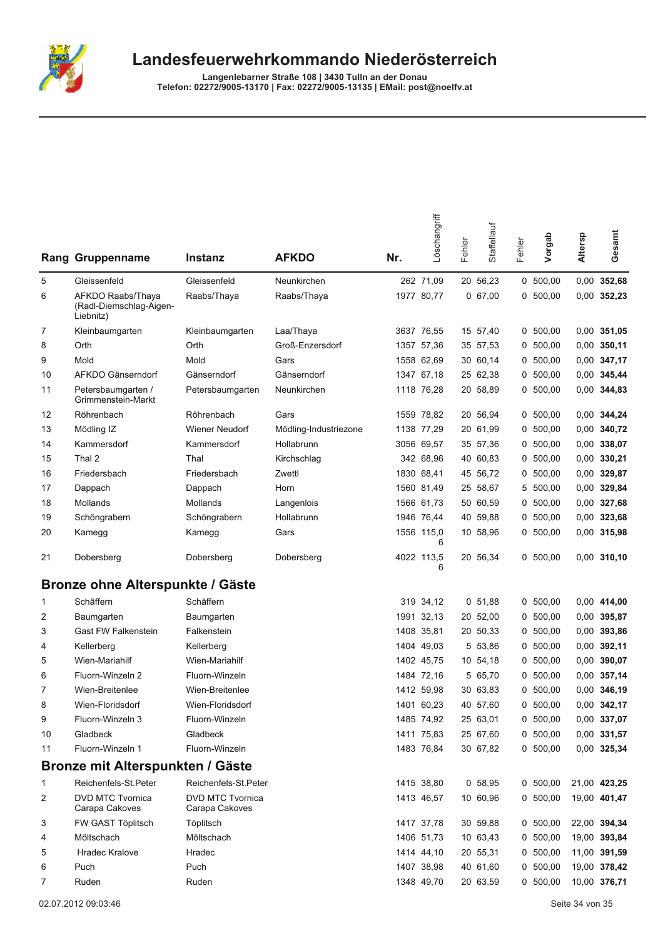

|              | <b>Rang Gruppenname</b>                                   | <b>Instanz</b>                            | <b>AFKDO</b>          | Nr. | Löschangriff    | Fehler | Staffellauf | Fehler | Vorgab     | Altersp | Gesamt        |
|--------------|-----------------------------------------------------------|-------------------------------------------|-----------------------|-----|-----------------|--------|-------------|--------|------------|---------|---------------|
| 5            | Gleissenfeld                                              | Gleissenfeld                              | Neunkirchen           |     | 262 71,09       |        | 20 56,23    |        | 0 500,00   |         | 0,00 352,68   |
| 6            | AFKDO Raabs/Thaya<br>(Radl-Diemschlag-Aigen-<br>Liebnitz) | Raabs/Thaya                               | Raabs/Thaya           |     | 1977 80,77      |        | 0, 67, 00   |        | 0, 500, 00 |         | 0,00 352,23   |
| 7            | Kleinbaumgarten                                           | Kleinbaumgarten                           | Laa/Thaya             |     | 3637 76,55      |        | 15 57,40    |        | 0, 500, 00 |         | 0,00 351,05   |
| 8            | Orth                                                      | Orth                                      | Groß-Enzersdorf       |     | 1357 57,36      |        | 35 57,53    |        | 0, 500, 00 |         | $0,00$ 350,11 |
| 9            | Mold                                                      | Mold                                      | Gars                  |     | 1558 62.69      |        | 30 60,14    | 0      | 500,00     |         | 0,00 347,17   |
| 10           | AFKDO Gänserndorf                                         | Gänserndorf                               | Gänserndorf           |     | 1347 67,18      |        | 25 62,38    | 0      | 500,00     |         | 0,00 345,44   |
| 11           | Petersbaumgarten /<br>Grimmenstein-Markt                  | Petersbaumgarten                          | Neunkirchen           |     | 1118 76,28      |        | 20 58,89    |        | 0 500,00   |         | 0,00 344,83   |
| 12           | Röhrenbach                                                | Röhrenbach                                | Gars                  |     | 1559 78,82      |        | 20 56,94    | 0      | 500,00     |         | 0,00 344,24   |
| 13           | Mödling IZ                                                | Wiener Neudorf                            | Mödling-Industriezone |     | 1138 77,29      |        | 20 61,99    | 0      | 500,00     |         | 0,00 340,72   |
| 14           | Kammersdorf                                               | Kammersdorf                               | Hollabrunn            |     | 3056 69,57      |        | 35 57,36    | 0      | 500,00     |         | 0,00 338,07   |
| 15           | Thal 2                                                    | Thal                                      | Kirchschlag           |     | 342 68,96       |        | 40 60,83    |        | 0, 500, 00 |         | $0,00$ 330,21 |
| 16           | Friedersbach                                              | Friedersbach                              | Zwettl                |     | 1830 68,41      |        | 45 56,72    |        | 0, 500, 00 |         | 0,00 329,87   |
| 17           | Dappach                                                   | Dappach                                   | Horn                  |     | 1560 81,49      |        | 25 58,67    | 5      | 500,00     |         | 0,00 329,84   |
| 18           | Mollands                                                  | Mollands                                  | Langenlois            |     | 1566 61,73      |        | 50 60,59    | 0      | 500,00     |         | 0,00 327,68   |
| 19           | Schöngrabern                                              | Schöngrabern                              | Hollabrunn            |     | 1946 76,44      |        | 40 59,88    | 0      | 500,00     |         | $0,00$ 323,68 |
| 20           | Kamegg                                                    | Kamegg                                    | Gars                  |     | 1556 115,0<br>6 |        | 10 58,96    |        | 0, 500, 00 |         | 0,00 315,98   |
| 21           | Dobersberg                                                | Dobersberg                                | Dobersberg            |     | 4022 113,5<br>6 |        | 20 56,34    |        | 0, 500, 00 |         | $0,00$ 310,10 |
|              | Bronze ohne Alterspunkte / Gäste                          |                                           |                       |     |                 |        |             |        |            |         |               |
| 1            | Schäffern                                                 | Schäffern                                 |                       |     | 319 34,12       |        | 0, 51, 88   | 0      | 500,00     |         | 0,00 414,00   |
| 2            | Baumgarten                                                | Baumgarten                                |                       |     | 1991 32,13      |        | 20 52,00    | 0      | 500,00     |         | 0,00 395,87   |
| 3            | <b>Gast FW Falkenstein</b>                                | Falkenstein                               |                       |     | 1408 35,81      |        | 20 50,33    | 0      | 500,00     |         | 0,00 393,86   |
| 4            | Kellerberg                                                | Kellerberg                                |                       |     | 1404 49,03      |        | 5 53,86     |        | 0, 500, 00 |         | 0,00 392,11   |
| 5            | Wien-Mariahilf                                            | Wien-Mariahilf                            |                       |     | 1402 45,75      |        | 10 54,18    |        | 0, 500, 00 |         | 0,00 390,07   |
| 6            | Fluorn-Winzeln 2                                          | Fluorn-Winzeln                            |                       |     | 1484 72,16      |        | 5 65,70     | 0      | 500,00     |         | 0,00 357,14   |
| 7            | Wien-Breitenlee                                           | Wien-Breitenlee                           |                       |     | 1412 59,98      |        | 30 63,83    | 0      | 500,00     | 0,00    | 346,19        |
| 8            | Wien-Floridsdorf                                          | Wien-Floridsdorf                          |                       |     | 1401 60,23      |        | 40 57,60    |        | 0, 500, 00 |         | 0,00 342,17   |
| 9            | Fluorn-Winzeln 3                                          | Fluorn-Winzeln                            |                       |     | 1485 74,92      |        | 25 63,01    |        | 0 500,00   |         | 0,00 337,07   |
| 10           | Gladbeck                                                  | Gladbeck                                  |                       |     | 1411 75,83      |        | 25 67,60    |        | 0, 500, 00 |         | 0,00 331,57   |
| 11           | Fluorn-Winzeln 1                                          | Fluorn-Winzeln                            |                       |     | 1483 76,84      |        | 30 67,82    |        | 0, 500, 00 |         | 0,00 325,34   |
|              | Bronze mit Alterspunkten / Gäste                          |                                           |                       |     |                 |        |             |        |            |         |               |
| $\mathbf{1}$ | Reichenfels-St.Peter                                      | Reichenfels-St.Peter                      |                       |     | 1415 38,80      |        | 0 58,95     |        | 0, 500, 00 |         | 21,00 423,25  |
| 2            | DVD MTC Tvornica<br>Carapa Cakoves                        | <b>DVD MTC Tvornica</b><br>Carapa Cakoves |                       |     | 1413 46,57      |        | 10 60,96    |        | 0, 500, 00 |         | 19,00 401,47  |
| 3            | FW GAST Töplitsch                                         | Töplitsch                                 |                       |     | 1417 37,78      |        | 30 59,88    |        | 0, 500, 00 |         | 22,00 394,34  |
| 4            | Möltschach                                                | Möltschach                                |                       |     | 1406 51,73      |        | 10 63,43    |        | 0, 500, 00 |         | 19,00 393,84  |
| 5            | <b>Hradec Kralove</b>                                     | Hradec                                    |                       |     | 1414 44,10      |        | 20 55,31    |        | 0 500,00   |         | 11,00 391,59  |
| 6            | Puch                                                      | Puch                                      |                       |     | 1407 38,98      |        | 40 61,60    |        | 0, 500, 00 |         | 19,00 378,42  |
| 7            | Ruden                                                     | Ruden                                     |                       |     | 1348 49,70      |        | 20 63,59    |        | 0, 500, 00 |         | 10,00 376,71  |